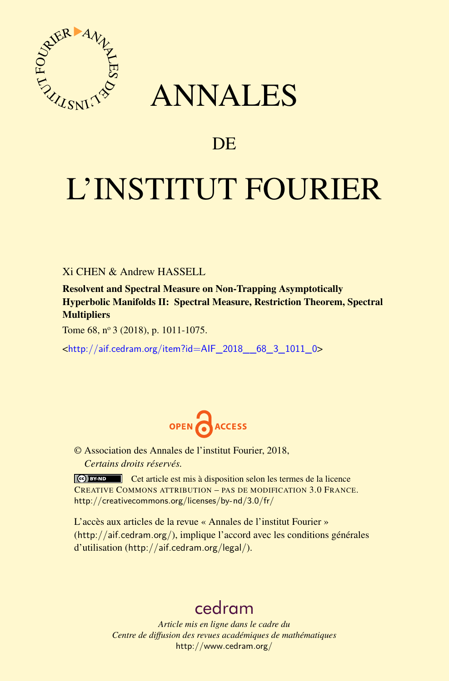

# ANNALES

## **DE**

# L'INSTITUT FOURIER

Xi CHEN & Andrew HASSELL

Resolvent and Spectral Measure on Non-Trapping Asymptotically Hyperbolic Manifolds II: Spectral Measure, Restriction Theorem, Spectral **Multipliers** 

Tome 68, nº 3 (2018), p. 1011-1075.

<[http://aif.cedram.org/item?id=AIF\\_2018\\_\\_68\\_3\\_1011\\_0](http://aif.cedram.org/item?id=AIF_2018__68_3_1011_0)>



© Association des Annales de l'institut Fourier, 2018, *Certains droits réservés.*

Cet article est mis à disposition selon les termes de la licence CREATIVE COMMONS ATTRIBUTION – PAS DE MODIFICATION 3.0 FRANCE. <http://creativecommons.org/licenses/by-nd/3.0/fr/>

L'accès aux articles de la revue « Annales de l'institut Fourier » (<http://aif.cedram.org/>), implique l'accord avec les conditions générales d'utilisation (<http://aif.cedram.org/legal/>).

## [cedram](http://www.cedram.org/)

*Article mis en ligne dans le cadre du Centre de diffusion des revues académiques de mathématiques* <http://www.cedram.org/>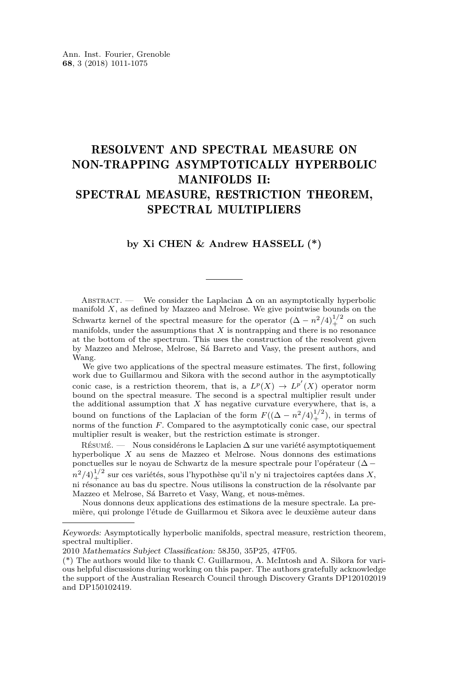## RESOLVENT AND SPECTRAL MEASURE ON NON-TRAPPING ASYMPTOTICALLY HYPERBOLIC MANIFOLDS II: SPECTRAL MEASURE, RESTRICTION THEOREM, SPECTRAL MULTIPLIERS

## **by Xi CHEN & Andrew HASSELL (\*)**

ABSTRACT. — We consider the Laplacian  $\Delta$  on an asymptotically hyperbolic manifold *X*, as defined by Mazzeo and Melrose. We give pointwise bounds on the Schwartz kernel of the spectral measure for the operator  $(\Delta - n^2/4)_+^{1/2}$  on such manifolds, under the assumptions that  $X$  is nontrapping and there is no resonance at the bottom of the spectrum. This uses the construction of the resolvent given by Mazzeo and Melrose, Melrose, Sá Barreto and Vasy, the present authors, and Wang.

We give two applications of the spectral measure estimates. The first, following work due to Guillarmou and Sikora with the second author in the asymptotically conic case, is a restriction theorem, that is, a  $L^p(X) \to L^{p'}(X)$  operator norm bound on the spectral measure. The second is a spectral multiplier result under the additional assumption that  $X$  has negative curvature everywhere, that is, a bound on functions of the Laplacian of the form  $F((\Delta - n^2/4)_+^{1/2})$ , in terms of norms of the function *F*. Compared to the asymptotically conic case, our spectral multiplier result is weaker, but the restriction estimate is stronger.

Résumé. — Nous considérons le Laplacien ∆ sur une variété asymptotiquement hyperbolique *X* au sens de Mazzeo et Melrose. Nous donnons des estimations ponctuelles sur le noyau de Schwartz de la mesure spectrale pour l'opérateur (∆ −  $n^2/4)_+^{1/2}$  sur ces variétés, sous l'hypothèse qu'il n'y ni trajectoires captées dans *X*, ni résonance au bas du spectre. Nous utilisons la construction de la résolvante par Mazzeo et Melrose, Sá Barreto et Vasy, Wang, et nous-mêmes.

Nous donnons deux applications des estimations de la mesure spectrale. La première, qui prolonge l'étude de Guillarmou et Sikora avec le deuxième auteur dans

Keywords: Asymptotically hyperbolic manifolds, spectral measure, restriction theorem, spectral multiplier.

<sup>2010</sup> Mathematics Subject Classification: 58J50, 35P25, 47F05.

<sup>(\*)</sup> The authors would like to thank C. Guillarmou, A. McIntosh and A. Sikora for various helpful discussions during working on this paper. The authors gratefully acknowledge the support of the Australian Research Council through Discovery Grants DP120102019 and DP150102419.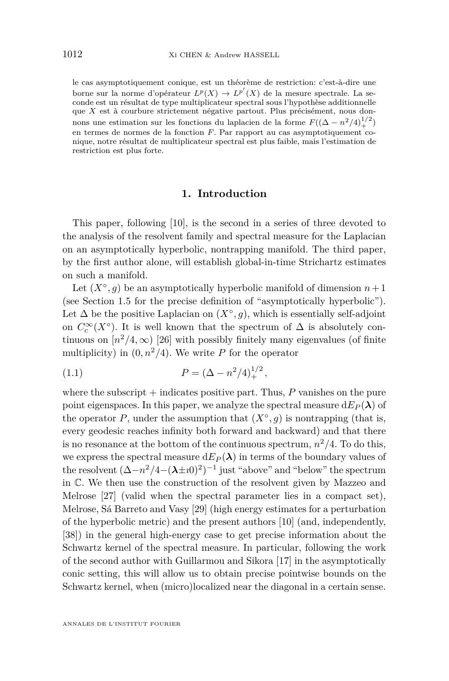le cas asymptotiquement conique, est un théorème de restriction: c'est-à-dire une borne sur la norme d'opérateur  $L^p(X) \to L^{p'}(X)$  de la mesure spectrale. La seconde est un résultat de type multiplicateur spectral sous l'hypothèse additionnelle que *X* est à courbure strictement négative partout. Plus précisément, nous donnons une estimation sur les fonctions du laplacien de la forme  $F((\Delta - n^2/4)_+^{1/2})$ en termes de normes de la fonction *F*. Par rapport au cas asymptotiquement conique, notre résultat de multiplicateur spectral est plus faible, mais l'estimation de restriction est plus forte.

## **1. Introduction**

This paper, following [\[10\]](#page-63-0), is the second in a series of three devoted to the analysis of the resolvent family and spectral measure for the Laplacian on an asymptotically hyperbolic, nontrapping manifold. The third paper, by the first author alone, will establish global-in-time Strichartz estimates on such a manifold.

Let  $(X^{\circ}, g)$  be an asymptotically hyperbolic manifold of dimension  $n+1$ (see Section [1.5](#page-8-0) for the precise definition of "asymptotically hyperbolic"). Let  $\Delta$  be the positive Laplacian on  $(X^{\circ}, g)$ , which is essentially self-adjoint on  $C_c^{\infty}(X^{\circ})$ . It is well known that the spectrum of  $\Delta$  is absolutely continuous on  $[n^2/4,\infty)$  [\[26\]](#page-64-0) with possibly finitely many eigenvalues (of finite multiplicity) in  $(0, n^2/4)$ . We write *P* for the operator

<span id="page-2-0"></span>(1.1) 
$$
P = (\Delta - n^2/4)_+^{1/2},
$$

where the subscript  $+$  indicates positive part. Thus,  $P$  vanishes on the pure point eigenspaces. In this paper, we analyze the spectral measure  $dE_P(\lambda)$  of the operator *P*, under the assumption that  $(X^{\circ}, g)$  is nontrapping (that is, every geodesic reaches infinity both forward and backward) and that there is no resonance at the bottom of the continuous spectrum,  $n^2/4$ . To do this, we express the spectral measure  $dE_P(\lambda)$  in terms of the boundary values of the resolvent  $(\Delta - n^2/4 - (\lambda \pm i0)^2)^{-1}$  just "above" and "below" the spectrum in C. We then use the construction of the resolvent given by Mazzeo and Melrose [\[27\]](#page-64-1) (valid when the spectral parameter lies in a compact set), Melrose, Sá Barreto and Vasy [\[29\]](#page-64-2) (high energy estimates for a perturbation of the hyperbolic metric) and the present authors [\[10\]](#page-63-0) (and, independently, [\[38\]](#page-64-3)) in the general high-energy case to get precise information about the Schwartz kernel of the spectral measure. In particular, following the work of the second author with Guillarmou and Sikora [\[17\]](#page-63-1) in the asymptotically conic setting, this will allow us to obtain precise pointwise bounds on the Schwartz kernel, when (micro)localized near the diagonal in a certain sense.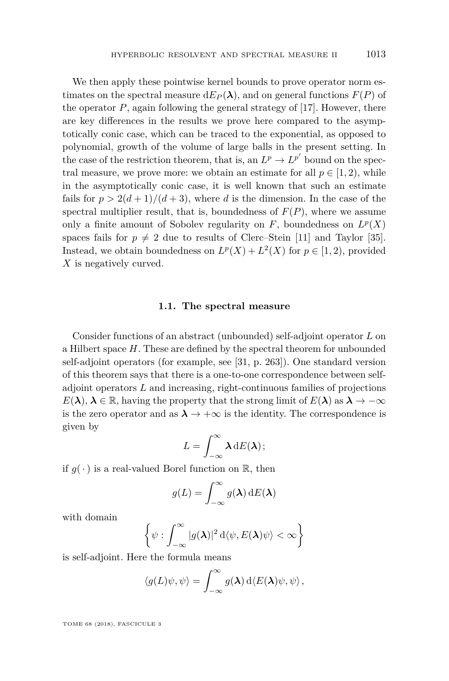We then apply these pointwise kernel bounds to prove operator norm estimates on the spectral measure  $dE_P(\lambda)$ , and on general functions  $F(P)$  of the operator  $P$ , again following the general strategy of  $[17]$ . However, there are key differences in the results we prove here compared to the asymptotically conic case, which can be traced to the exponential, as opposed to polynomial, growth of the volume of large balls in the present setting. In the case of the restriction theorem, that is, an  $L^p \to L^{p'}$  bound on the spectral measure, we prove more: we obtain an estimate for all  $p \in [1, 2)$ , while in the asymptotically conic case, it is well known that such an estimate fails for  $p > 2(d+1)/(d+3)$ , where *d* is the dimension. In the case of the spectral multiplier result, that is, boundedness of  $F(P)$ , where we assume only a finite amount of Sobolev regularity on  $F$ , boundedness on  $L^p(X)$ spaces fails for  $p \neq 2$  due to results of Clerc–Stein [\[11\]](#page-63-2) and Taylor [\[35\]](#page-64-4). Instead, we obtain boundedness on  $L^p(X) + L^2(X)$  for  $p \in [1, 2)$ , provided *X* is negatively curved.

#### **1.1. The spectral measure**

Consider functions of an abstract (unbounded) self-adjoint operator *L* on a Hilbert space *H*. These are defined by the spectral theorem for unbounded self-adjoint operators (for example, see [\[31,](#page-64-5) p. 263]). One standard version of this theorem says that there is a one-to-one correspondence between selfadjoint operators *L* and increasing, right-continuous families of projections  $E(\lambda)$ ,  $\lambda \in \mathbb{R}$ , having the property that the strong limit of  $E(\lambda)$  as  $\lambda \to -\infty$ is the zero operator and as  $\lambda \to +\infty$  is the identity. The correspondence is given by

$$
L=\int_{-\infty}^{\infty}\lambda\,\mathrm{d}E(\lambda);
$$

if  $g(\cdot)$  is a real-valued Borel function on  $\mathbb{R}$ , then

$$
g(L) = \int_{-\infty}^{\infty} g(\lambda) \, \mathrm{d}E(\lambda)
$$

with domain

$$
\left\{\psi:\int_{-\infty}^{\infty}|g(\boldsymbol{\lambda})|^2\,\mathrm{d}\langle\psi,E(\boldsymbol{\lambda})\psi\rangle<\infty\right\}
$$

is self-adjoint. Here the formula means

$$
\langle g(L)\psi,\psi\rangle = \int_{-\infty}^{\infty} g(\boldsymbol{\lambda}) \,d\langle E(\boldsymbol{\lambda})\psi,\psi\rangle,
$$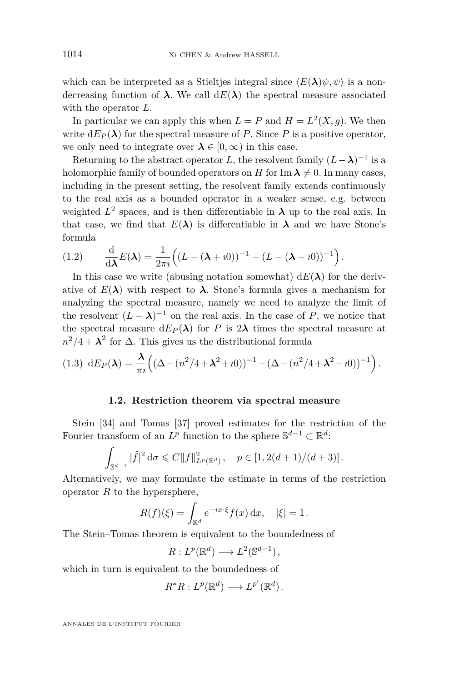which can be interpreted as a Stieltjes integral since  $\langle E(\lambda)\psi, \psi \rangle$  is a nondecreasing function of  $\lambda$ . We call  $dE(\lambda)$  the spectral measure associated with the operator *L*.

In particular we can apply this when  $L = P$  and  $H = L^2(X, g)$ . We then write  $dE_P(\lambda)$  for the spectral measure of *P*. Since *P* is a positive operator, we only need to integrate over  $\lambda \in [0, \infty)$  in this case.

Returning to the abstract operator *L*, the resolvent family  $(L - \lambda)^{-1}$  is a holomorphic family of bounded operators on *H* for Im  $\lambda \neq 0$ . In many cases, including in the present setting, the resolvent family extends continuously to the real axis as a bounded operator in a weaker sense, e.g. between weighted  $L^2$  spaces, and is then differentiable in  $\lambda$  up to the real axis. In that case, we find that  $E(\lambda)$  is differentiable in  $\lambda$  and we have Stone's formula

<span id="page-4-1"></span>
$$
(1.2) \qquad \frac{\mathrm{d}}{\mathrm{d}\lambda}E(\lambda) = \frac{1}{2\pi i}\Big((L - (\lambda + i0))^{-1} - (L - (\lambda - i0))^{-1}\Big).
$$

In this case we write (abusing notation somewhat)  $dE(\lambda)$  for the derivative of  $E(\lambda)$  with respect to  $\lambda$ . Stone's formula gives a mechanism for analyzing the spectral measure, namely we need to analyze the limit of the resolvent  $(L - \lambda)^{-1}$  on the real axis. In the case of *P*, we notice that the spectral measure  $dE_P(\lambda)$  for *P* is  $2\lambda$  times the spectral measure at  $n^2/4 + \lambda^2$  for  $\Delta$ . This gives us the distributional formula

<span id="page-4-0"></span>
$$
(1.3) \, dE_P(\lambda) = \frac{\lambda}{\pi i} \Big( (\Delta - (n^2/4 + \lambda^2 + i0))^{-1} - (\Delta - (n^2/4 + \lambda^2 - i0))^{-1} \Big).
$$

## **1.2. Restriction theorem via spectral measure**

Stein [\[34\]](#page-64-6) and Tomas [\[37\]](#page-64-7) proved estimates for the restriction of the Fourier transform of an  $L^p$  function to the sphere  $\mathbb{S}^{d-1} \subset \mathbb{R}^d$ :

$$
\int_{\mathbb{S}^{d-1}} |\widehat{f}|^2 d\sigma \leq C \|f\|_{L^p(\mathbb{R}^d)}^2, \quad p \in [1, 2(d+1)/(d+3)].
$$

Alternatively, we may formulate the estimate in terms of the restriction operator *R* to the hypersphere,

$$
R(f)(\xi) = \int_{\mathbb{R}^d} e^{-ix\cdot\xi} f(x) \, \mathrm{d}x, \quad |\xi| = 1.
$$

The Stein–Tomas theorem is equivalent to the boundedness of

$$
R: L^p(\mathbb{R}^d) \longrightarrow L^2(\mathbb{S}^{d-1}),
$$

which in turn is equivalent to the boundedness of

$$
R^*R: L^p(\mathbb{R}^d) \longrightarrow L^{p'}(\mathbb{R}^d).
$$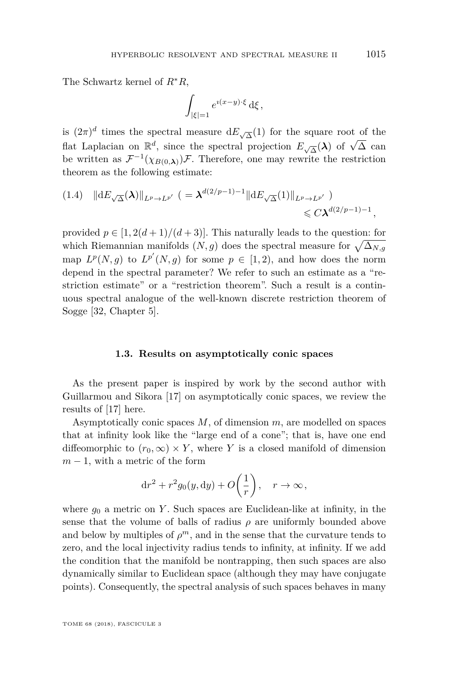The Schwartz kernel of *R*∗*R*,

$$
\int_{|\xi|=1} e^{\imath(x-y)\cdot\xi} \,\mathrm{d}\xi \,,
$$

is  $(2\pi)^d$  times the spectral measure  $dE_{\sqrt{\Delta}}(1)$  for the square root of the flat Laplacian on  $\mathbb{R}^d$ , since the spectral projection  $E_{\sqrt{\Delta}}(\lambda)$  of  $\sqrt{\Delta}$  can be written as  $\mathcal{F}^{-1}(\chi_{B(0,\lambda)})\mathcal{F}$ . Therefore, one may rewrite the restriction theorem as the following estimate:

$$
(1.4) \quad \|dE_{\sqrt{\Delta}}(\lambda)\|_{L^p \to L^{p'}} \ (=\lambda^{d(2/p-1)-1} \|dE_{\sqrt{\Delta}}(1)\|_{L^p \to L^{p'}}) \leq C\lambda^{d(2/p-1)-1},
$$

provided  $p \in [1, 2(d+1)/(d+3)]$ . This naturally leads to the question: for which Riemannian manifolds  $(N, g)$  does the spectral measure for  $\sqrt{\Delta_{N,g}}$ map  $L^p(N, g)$  to  $L^{p'}(N, g)$  for some  $p \in [1, 2)$ , and how does the norm depend in the spectral parameter? We refer to such an estimate as a "restriction estimate" or a "restriction theorem". Such a result is a continuous spectral analogue of the well-known discrete restriction theorem of Sogge [\[32,](#page-64-8) Chapter 5].

## **1.3. Results on asymptotically conic spaces**

As the present paper is inspired by work by the second author with Guillarmou and Sikora [\[17\]](#page-63-1) on asymptotically conic spaces, we review the results of [\[17\]](#page-63-1) here.

Asymptotically conic spaces *M*, of dimension *m*, are modelled on spaces that at infinity look like the "large end of a cone"; that is, have one end diffeomorphic to  $(r_0, \infty) \times Y$ , where *Y* is a closed manifold of dimension  $m-1$ , with a metric of the form

$$
dr2 + r2g0(y, dy) + O\left(\frac{1}{r}\right), \quad r \to \infty,
$$

where  $g_0$  a metric on *Y*. Such spaces are Euclidean-like at infinity, in the sense that the volume of balls of radius  $\rho$  are uniformly bounded above and below by multiples of  $\rho^m$ , and in the sense that the curvature tends to zero, and the local injectivity radius tends to infinity, at infinity. If we add the condition that the manifold be nontrapping, then such spaces are also dynamically similar to Euclidean space (although they may have conjugate points). Consequently, the spectral analysis of such spaces behaves in many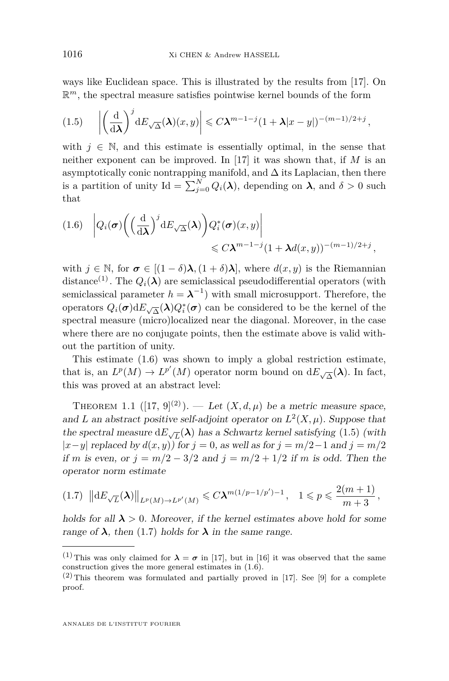ways like Euclidean space. This is illustrated by the results from [\[17\]](#page-63-1). On  $\mathbb{R}^m$ , the spectral measure satisfies pointwise kernel bounds of the form

<span id="page-6-1"></span>
$$
(1.5) \quad \left| \left( \frac{\mathrm{d}}{\mathrm{d}\lambda} \right)^j \mathrm{d}E_{\sqrt{\Delta}}(\lambda)(x,y) \right| \leq C\lambda^{m-1-j} (1+\lambda|x-y|)^{-(m-1)/2+j},
$$

with  $j \in \mathbb{N}$ , and this estimate is essentially optimal, in the sense that neither exponent can be improved. In [\[17\]](#page-63-1) it was shown that, if *M* is an asymptotically conic nontrapping manifold, and  $\Delta$  its Laplacian, then there is a partition of unity Id =  $\sum_{j=0}^{N} Q_i(\lambda)$ , depending on  $\lambda$ , and  $\delta > 0$  such that

<span id="page-6-0"></span>
$$
(1.6) \quad \left| Q_i(\boldsymbol{\sigma}) \left( \left( \frac{\mathrm{d}}{\mathrm{d}\lambda} \right)^j \mathrm{d}E_{\sqrt{\Delta}}(\boldsymbol{\lambda}) \right) Q_i^*(\boldsymbol{\sigma}) (x, y) \right|
$$
  
\$\leqslant C\lambda^{m-1-j} (1 + \lambda d(x, y))^{-(m-1)/2 + j},

with  $j \in \mathbb{N}$ , for  $\sigma \in [(1-\delta)\lambda, (1+\delta)\lambda]$ , where  $d(x, y)$  is the Riemannian distance<sup>(1)</sup>. The  $Q_i(\lambda)$  are semiclassical pseudodifferential operators (with semiclassical parameter  $h = \lambda^{-1}$ ) with small microsupport. Therefore, the operators  $Q_i(\sigma) dE_{\sqrt{\Delta}}(\lambda) Q_i^*(\sigma)$  can be considered to be the kernel of the spectral measure (micro)localized near the diagonal. Moreover, in the case where there are no conjugate points, then the estimate above is valid without the partition of unity.

This estimate [\(1.6\)](#page-6-0) was shown to imply a global restriction estimate, that is, an  $L^p(M) \to L^{p'}(M)$  operator norm bound on  $dE_{\sqrt{\Delta}}(\lambda)$ . In fact, this was proved at an abstract level:

<span id="page-6-3"></span>THEOREM 1.1  $([17, 9]^{(2)})$  $([17, 9]^{(2)})$  $([17, 9]^{(2)})$  $([17, 9]^{(2)})$  $([17, 9]^{(2)})$ . — Let  $(X, d, \mu)$  be a metric measure space, and *L* an abstract positive self-adjoint operator on  $L^2(X, \mu)$ . Suppose that the spectral measure  $dE_{\sqrt{L}}(\lambda)$  has a Schwartz kernel satisfying [\(1.5\)](#page-6-1) (with |*x*−*y*| replaced by *d*(*x, y*)) for *j* = 0, as well as for *j* = *m/*2−1 and *j* = *m/*2 if *m* is even, or  $j = m/2 - 3/2$  and  $j = m/2 + 1/2$  if *m* is odd. Then the operator norm estimate

<span id="page-6-2"></span>
$$
(1.7) \|\|\mathrm{d}E_{\sqrt{L}}(\lambda)\|_{L^p(M)\to L^{p'}(M)} \leq C\lambda^{m(1/p-1/p')-1}, \quad 1 \leq p \leq \frac{2(m+1)}{m+3},
$$

holds for all  $\lambda > 0$ . Moreover, if the kernel estimates above hold for some range of  $\lambda$ , then [\(1.7\)](#page-6-2) holds for  $\lambda$  in the same range.

<sup>&</sup>lt;sup>(1)</sup>This was only claimed for  $\lambda = \sigma$  in [\[17\]](#page-63-1), but in [\[16\]](#page-63-4) it was observed that the same construction gives the more general estimates in [\(1.6\)](#page-6-0).

 $(2)$  This theorem was formulated and partially proved in [\[17\]](#page-63-1). See [\[9\]](#page-63-3) for a complete proof.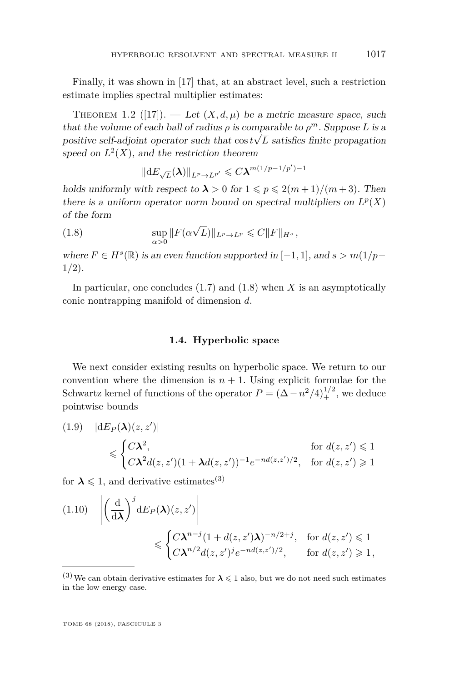Finally, it was shown in [\[17\]](#page-63-1) that, at an abstract level, such a restriction estimate implies spectral multiplier estimates:

<span id="page-7-1"></span>THEOREM 1.2 ([\[17\]](#page-63-1)). — Let  $(X, d, \mu)$  be a metric measure space, such that the volume of each ball of radius  $\rho$  is comparable to  $\rho^m$ . Suppose *L* is a positive self-adjoint operator such that  $\cos t \sqrt{L}$  satisfies finite propagation speed on  $L^2(X)$ , and the restriction theorem

<span id="page-7-0"></span>
$$
\|\mathrm{d}E_{\sqrt{L}}(\lambda)\|_{L^p\to L^{p'}}\leqslant C\lambda^{m(1/p-1/p')-1}
$$

holds uniformly with respect to  $\lambda > 0$  for  $1 \leqslant p \leqslant 2(m+1)/(m+3)$ . Then there is a uniform operator norm bound on spectral multipliers on  $L^p(X)$ of the form

(1.8) 
$$
\sup_{\alpha>0} ||F(\alpha\sqrt{L})||_{L^p\to L^p} \leqslant C||F||_{H^s},
$$

where  $F \in H^s(\mathbb{R})$  is an even function supported in  $[-1, 1]$ , and  $s > m(1/p - 1)$ 1*/*2).

In particular, one concludes [\(1.7\)](#page-6-2) and [\(1.8\)](#page-7-0) when *X* is an asymptotically conic nontrapping manifold of dimension *d*.

## **1.4. Hyperbolic space**

We next consider existing results on hyperbolic space. We return to our convention where the dimension is  $n + 1$ . Using explicit formulae for the Schwartz kernel of functions of the operator  $P = (\Delta - n^2/4)_+^{1/2}$ , we deduce pointwise bounds

$$
(1.9) \quad |\mathrm{d}E_P(\boldsymbol{\lambda})(z, z')|
$$
\n
$$
\leqslant \begin{cases} C\boldsymbol{\lambda}^2, & \text{for } d(z, z') \leqslant 1\\ C\boldsymbol{\lambda}^2 d(z, z')(1 + \boldsymbol{\lambda} d(z, z'))^{-1} e^{-nd(z, z')/2}, & \text{for } d(z, z') \geqslant 1 \end{cases}
$$

for  $\lambda \leq 1$ , and derivative estimates<sup>(3)</sup>

)|

(1.9) |d*E<sup>P</sup>* (*λ*)(*z, z*<sup>0</sup>

$$
(1.10) \quad \left| \left( \frac{\mathrm{d}}{\mathrm{d}\lambda} \right)^j \mathrm{d}E_P(\lambda)(z, z') \right|
$$
  

$$
\leqslant \begin{cases} C\lambda^{n-j} (1 + d(z, z')\lambda)^{-n/2+j}, & \text{for } d(z, z') \leqslant 1 \\ C\lambda^{n/2} d(z, z')^j e^{-nd(z, z')/2}, & \text{for } d(z, z') \geqslant 1, \end{cases}
$$

<sup>&</sup>lt;sup>(3)</sup>We can obtain derivative estimates for  $\lambda \leq 1$  also, but we do not need such estimates in the low energy case.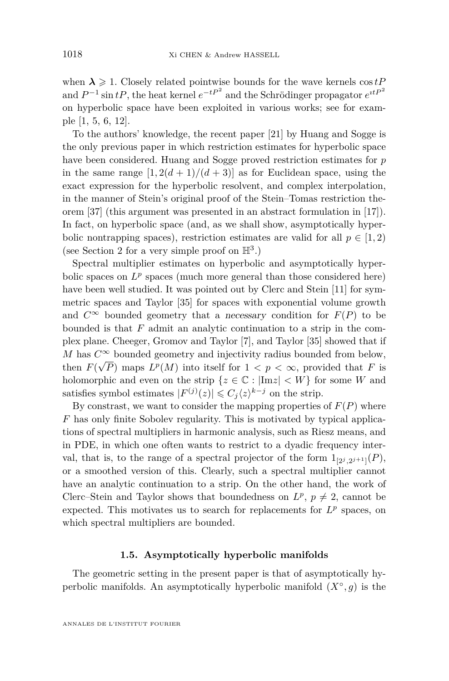when  $\lambda \geq 1$ . Closely related pointwise bounds for the wave kernels  $\cos tP$ and  $P^{-1}$  sin  $tP$ , the heat kernel  $e^{-tP^2}$  and the Schrödinger propagator  $e^{itP^2}$ on hyperbolic space have been exploited in various works; see for example [\[1,](#page-63-5) [5,](#page-63-6) [6,](#page-63-7) [12\]](#page-63-8).

To the authors' knowledge, the recent paper [\[21\]](#page-64-9) by Huang and Sogge is the only previous paper in which restriction estimates for hyperbolic space have been considered. Huang and Sogge proved restriction estimates for *p* in the same range  $[1, 2(d+1)/(d+3)]$  as for Euclidean space, using the exact expression for the hyperbolic resolvent, and complex interpolation, in the manner of Stein's original proof of the Stein–Tomas restriction theorem [\[37\]](#page-64-7) (this argument was presented in an abstract formulation in [\[17\]](#page-63-1)). In fact, on hyperbolic space (and, as we shall show, asymptotically hyperbolic nontrapping spaces), restriction estimates are valid for all  $p \in [1, 2)$ (see Section [2](#page-14-0) for a very simple proof on  $\mathbb{H}^3$ .)

Spectral multiplier estimates on hyperbolic and asymptotically hyperbolic spaces on  $L^p$  spaces (much more general than those considered here) have been well studied. It was pointed out by Clerc and Stein [\[11\]](#page-63-2) for symmetric spaces and Taylor [\[35\]](#page-64-4) for spaces with exponential volume growth and  $C^{\infty}$  bounded geometry that a necessary condition for  $F(P)$  to be bounded is that *F* admit an analytic continuation to a strip in the complex plane. Cheeger, Gromov and Taylor [\[7\]](#page-63-9), and Taylor [\[35\]](#page-64-4) showed that if *M* has  $C^{\infty}$  bounded geometry and injectivity radius bounded from below, then  $F(\sqrt{P})$  maps  $L^p(M)$  into itself for  $1 < p < \infty$ , provided that *F* is holomorphic and even on the strip  $\{z \in \mathbb{C} : |\text{Im}z| < W\}$  for some *W* and satisfies symbol estimates  $|F^{(j)}(z)| \leqslant C_j \langle z \rangle^{k-j}$  on the strip.

By constrast, we want to consider the mapping properties of  $F(P)$  where *F* has only finite Sobolev regularity. This is motivated by typical applications of spectral multipliers in harmonic analysis, such as Riesz means, and in PDE, in which one often wants to restrict to a dyadic frequency interval, that is, to the range of a spectral projector of the form  $1_{[2^j,2^{j+1}]}(P)$ , or a smoothed version of this. Clearly, such a spectral multiplier cannot have an analytic continuation to a strip. On the other hand, the work of Clerc–Stein and Taylor shows that boundedness on  $L^p$ ,  $p \neq 2$ , cannot be expected. This motivates us to search for replacements for  $L^p$  spaces, on which spectral multipliers are bounded.

## **1.5. Asymptotically hyperbolic manifolds**

<span id="page-8-0"></span>The geometric setting in the present paper is that of asymptotically hyperbolic manifolds. An asymptotically hyperbolic manifold  $(X^{\circ}, g)$  is the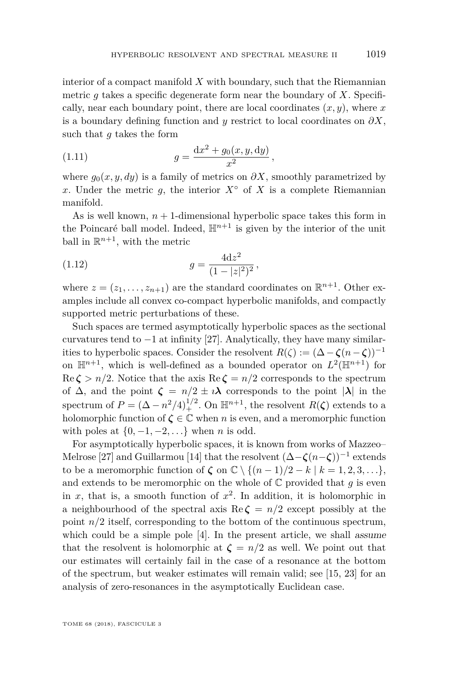interior of a compact manifold *X* with boundary, such that the Riemannian metric  $g$  takes a specific degenerate form near the boundary of  $X$ . Specifically, near each boundary point, there are local coordinates  $(x, y)$ , where  $x$ is a boundary defining function and  $y$  restrict to local coordinates on  $\partial X$ , such that *g* takes the form

<span id="page-9-1"></span>(1.11) 
$$
g = \frac{\mathrm{d}x^2 + g_0(x, y, \mathrm{d}y)}{x^2},
$$

where  $g_0(x, y, dy)$  is a family of metrics on  $\partial X$ , smoothly parametrized by *x*. Under the metric *g*, the interior  $X^\circ$  of *X* is a complete Riemannian manifold.

As is well known,  $n + 1$ -dimensional hyperbolic space takes this form in the Poincaré ball model. Indeed,  $\mathbb{H}^{n+1}$  is given by the interior of the unit ball in  $\mathbb{R}^{n+1}$ , with the metric

<span id="page-9-0"></span>(1.12) 
$$
g = \frac{4dz^2}{(1-|z|^2)^2},
$$

where  $z = (z_1, \ldots, z_{n+1})$  are the standard coordinates on  $\mathbb{R}^{n+1}$ . Other examples include all convex co-compact hyperbolic manifolds, and compactly supported metric perturbations of these.

Such spaces are termed asymptotically hyperbolic spaces as the sectional curvatures tend to  $-1$  at infinity [\[27\]](#page-64-1). Analytically, they have many similarities to hyperbolic spaces. Consider the resolvent  $R(\zeta) := (\Delta - \zeta(n - \zeta))^{-1}$ on  $\mathbb{H}^{n+1}$ , which is well-defined as a bounded operator on  $L^2(\mathbb{H}^{n+1})$  for  $\text{Re }\zeta > n/2$ . Notice that the axis  $\text{Re }\zeta = n/2$  corresponds to the spectrum of  $\Delta$ , and the point  $\zeta = n/2 \pm i\lambda$  corresponds to the point  $|\lambda|$  in the spectrum of  $P = (\Delta - n^2/4)_+^{1/2}$ . On  $\mathbb{H}^{n+1}$ , the resolvent  $R(\zeta)$  extends to a holomorphic function of  $\zeta \in \mathbb{C}$  when *n* is even, and a meromorphic function with poles at  $\{0, -1, -2, \ldots\}$  when *n* is odd.

For asymptotically hyperbolic spaces, it is known from works of Mazzeo– Melrose [\[27\]](#page-64-1) and Guillarmou [\[14\]](#page-63-10) that the resolvent (∆−*ζ*(*n*−*ζ*))<sup>−</sup><sup>1</sup> extends to be a meromorphic function of  $\zeta$  on  $\mathbb{C} \setminus \{(n-1)/2 - k \mid k = 1, 2, 3, \ldots\},\$ and extends to be meromorphic on the whole of  $\mathbb C$  provided that  $q$  is even in  $x$ , that is, a smooth function of  $x^2$ . In addition, it is holomorphic in a neighbourhood of the spectral axis  $\text{Re }\zeta = n/2$  except possibly at the point  $n/2$  itself, corresponding to the bottom of the continuous spectrum, which could be a simple pole [\[4\]](#page-63-11). In the present article, we shall assume that the resolvent is holomorphic at  $\zeta = n/2$  as well. We point out that our estimates will certainly fail in the case of a resonance at the bottom of the spectrum, but weaker estimates will remain valid; see [\[15,](#page-63-12) [23\]](#page-64-10) for an analysis of zero-resonances in the asymptotically Euclidean case.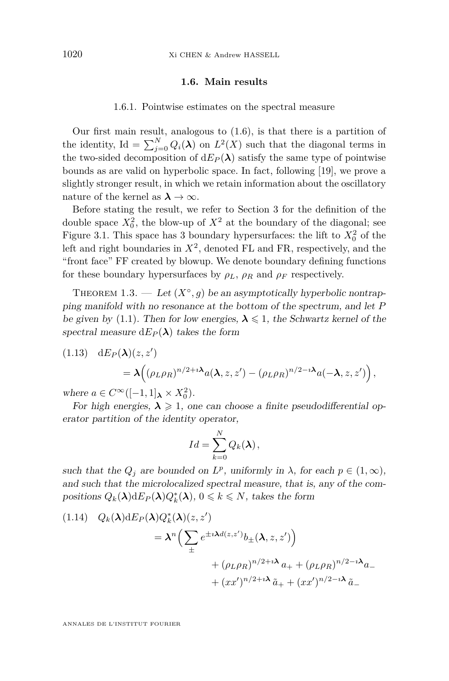## **1.6. Main results**

#### 1.6.1. Pointwise estimates on the spectral measure

<span id="page-10-0"></span>Our first main result, analogous to [\(1.6\)](#page-6-0), is that there is a partition of the identity, Id =  $\sum_{j=0}^{N} Q_i(\lambda)$  on  $L^2(X)$  such that the diagonal terms in the two-sided decomposition of  $dE_P(\lambda)$  satisfy the same type of pointwise bounds as are valid on hyperbolic space. In fact, following [\[19\]](#page-63-13), we prove a slightly stronger result, in which we retain information about the oscillatory nature of the kernel as  $\lambda \to \infty$ .

Before stating the result, we refer to Section [3](#page-18-0) for the definition of the double space  $X_0^2$ , the blow-up of  $X^2$  at the boundary of the diagonal; see Figure [3.1.](#page-19-0) This space has 3 boundary hypersurfaces: the lift to  $X_0^2$  of the left and right boundaries in  $X^2$ , denoted FL and FR, respectively, and the "front face" FF created by blowup. We denote boundary defining functions for these boundary hypersurfaces by  $\rho_L$ ,  $\rho_R$  and  $\rho_F$  respectively.

<span id="page-10-1"></span>THEOREM 1.3. — Let  $(X^{\circ}, g)$  be an asymptotically hyperbolic nontrapping manifold with no resonance at the bottom of the spectrum, and let *P* be given by [\(1.1\)](#page-2-0). Then for low energies,  $\lambda \leq 1$ , the Schwartz kernel of the spectral measure  $dE_P(\lambda)$  takes the form

(1.13) 
$$
dE_P(\lambda)(z, z') = \lambda \Big( (\rho_L \rho_R)^{n/2 + i\lambda} a(\lambda, z, z') - (\rho_L \rho_R)^{n/2 - i\lambda} a(-\lambda, z, z') \Big),
$$

where  $a \in C^{\infty}([-1, 1]_{\lambda} \times X_0^2)$ .

For high energies,  $\lambda \geq 1$ , one can choose a finite pseudodifferential operator partition of the identity operator,

$$
Id = \sum_{k=0}^{N} Q_k(\lambda),
$$

such that the  $Q_j$  are bounded on  $L^p$ , uniformly in  $\lambda$ , for each  $p \in (1, \infty)$ , and such that the microlocalized spectral measure, that is, any of the compositions  $Q_k(\lambda) dE_P(\lambda) Q_k^*(\lambda)$ ,  $0 \leq k \leq N$ , takes the form

<span id="page-10-2"></span>
$$
(1.14) Q_k(\lambda) dE_P(\lambda) Q_k^*(\lambda)(z, z')
$$
  
=  $\lambda^n \Big( \sum_{\pm} e^{\pm i \lambda d(z, z')} b_{\pm}(\lambda, z, z') \Big)$   
+  $(\rho_L \rho_R)^{n/2 + i \lambda} a_{+} + (\rho_L \rho_R)^{n/2 - i \lambda} a_{-}$   
+  $(xx')^{n/2 + i \lambda} \tilde{a}_{+} + (xx')^{n/2 - i \lambda} \tilde{a}_{-}$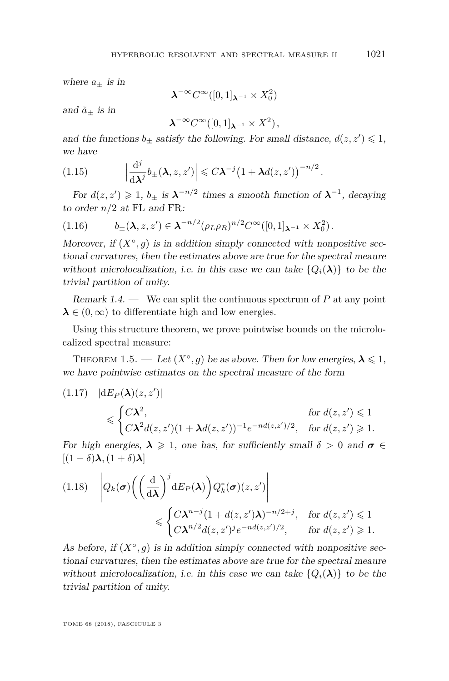where  $a_{\pm}$  is in

$$
\lambda^{-\infty} C^{\infty}([0,1]_{\lambda^{-1}} \times X_0^2)
$$

and  $\tilde{a}_+$  is in

$$
\lambda^{-\infty} C^{\infty}([0,1]_{\lambda^{-1}} \times X^2),
$$

and the functions  $b_{\pm}$  satisfy the following. For small distance,  $d(z, z') \leq 1$ , we have

<span id="page-11-1"></span>(1.15) 
$$
\left|\frac{\mathrm{d}^j}{\mathrm{d}\lambda^j}b_{\pm}(\lambda,z,z')\right| \leqslant C\lambda^{-j}\left(1+\lambda d(z,z')\right)^{-n/2}.
$$

For  $d(z, z') \geq 1$ ,  $b_{\pm}$  is  $\lambda^{-n/2}$  times a smooth function of  $\lambda^{-1}$ , decaying to order *n/*2 at FL and FR:

$$
(1.16) \t b_{\pm}(\lambda, z, z') \in \lambda^{-n/2} (\rho_L \rho_R)^{n/2} C^{\infty}([0,1]_{\lambda^{-1}} \times X_0^2).
$$

Moreover, if  $(X^{\circ}, g)$  is in addition simply connected with nonpositive sectional curvatures, then the estimates above are true for the spectral meaure without microlocalization, i.e. in this case we can take  $\{Q_i(\lambda)\}\)$  to be the trivial partition of unity.

Remark 1.4. — We can split the continuous spectrum of  $P$  at any point  $\lambda \in (0,\infty)$  to differentiate high and low energies.

Using this structure theorem, we prove pointwise bounds on the microlocalized spectral measure:

<span id="page-11-0"></span>THEOREM 1.5. — Let  $(X^{\circ}, g)$  be as above. Then for low energies,  $\lambda \leq 1$ , we have pointwise estimates on the spectral measure of the form

$$
(1.17) \quad |\mathrm{d}E_P(\lambda)(z, z')|
$$
  
\n
$$
\leqslant \begin{cases} C\lambda^2, & \text{for } d(z, z') \leqslant 1 \\ C\lambda^2 d(z, z')(1 + \lambda d(z, z'))^{-1} e^{-nd(z, z')/2}, & \text{for } d(z, z') \geqslant 1. \end{cases}
$$

For high energies,  $\lambda \geq 1$ , one has, for sufficiently small  $\delta > 0$  and  $\sigma \in$  $[(1 - \delta)\lambda, (1 + \delta)\lambda]$ 

$$
(1.18) \quad \left| Q_k(\boldsymbol{\sigma}) \left( \left( \frac{\mathrm{d}}{\mathrm{d}\lambda} \right)^j \mathrm{d} E_P(\lambda) \right) Q_k^*(\boldsymbol{\sigma}) (z, z') \right|
$$
  

$$
\leqslant \begin{cases} C\lambda^{n-j} (1 + d(z, z')\lambda)^{-n/2+j}, & \text{for } d(z, z') \leqslant 1 \\ C\lambda^{n/2} d(z, z')^j e^{-nd(z, z')/2}, & \text{for } d(z, z') \geqslant 1. \end{cases}
$$

As before, if  $(X^{\circ}, g)$  is in addition simply connected with nonpositive sectional curvatures, then the estimates above are true for the spectral meaure without microlocalization, i.e. in this case we can take  ${Q_i(\lambda)}$  to be the trivial partition of unity.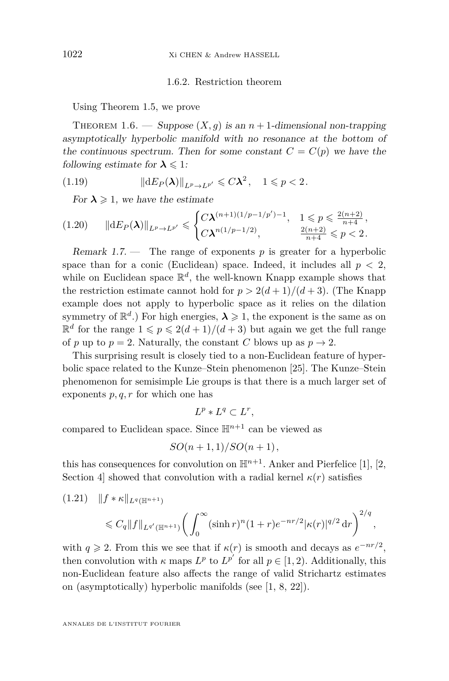## 1.6.2. Restriction theorem

Using Theorem [1.5,](#page-11-0) we prove

<span id="page-12-0"></span>THEOREM 1.6. — Suppose  $(X, g)$  is an  $n + 1$ -dimensional non-trapping asymptotically hyperbolic manifold with no resonance at the bottom of the continuous spectrum. Then for some constant  $C = C(p)$  we have the following estimate for  $\lambda \leq 1$ :

(1.19) 
$$
\|dE_P(\lambda)\|_{L^p \to L^{p'}} \leqslant C\lambda^2, \quad 1 \leqslant p < 2.
$$

<span id="page-12-2"></span>For  $\lambda \geq 1$ , we have the estimate

$$
(1.20) \qquad \|\mathrm{d}E_P(\boldsymbol{\lambda})\|_{L^p\to L^{p'}}\leqslant \begin{cases} C\boldsymbol{\lambda}^{(n+1)(1/p-1/p')-1}, & 1\leqslant p\leqslant \frac{2(n+2)}{n+4},\\ C\boldsymbol{\lambda}^{n(1/p-1/2)}, & \frac{2(n+2)}{n+4}\leqslant p<2. \end{cases}
$$

Remark  $1.7.$  — The range of exponents  $p$  is greater for a hyperbolic space than for a conic (Euclidean) space. Indeed, it includes all  $p < 2$ , while on Euclidean space  $\mathbb{R}^d$ , the well-known Knapp example shows that the restriction estimate cannot hold for  $p > 2(d+1)/(d+3)$ . (The Knapp example does not apply to hyperbolic space as it relies on the dilation symmetry of  $\mathbb{R}^d$ .) For high energies,  $\lambda \geq 1$ , the exponent is the same as on  $\mathbb{R}^d$  for the range  $1 \leqslant p \leqslant 2(d+1)/(d+3)$  but again we get the full range of *p* up to  $p = 2$ . Naturally, the constant *C* blows up as  $p \to 2$ .

This surprising result is closely tied to a non-Euclidean feature of hyperbolic space related to the Kunze–Stein phenomenon [\[25\]](#page-64-11). The Kunze–Stein phenomenon for semisimple Lie groups is that there is a much larger set of exponents *p, q, r* for which one has

$$
L^p * L^q \subset L^r,
$$

compared to Euclidean space. Since  $\mathbb{H}^{n+1}$  can be viewed as

$$
SO(n+1,1)/SO(n+1),
$$

this has consequences for convolution on  $\mathbb{H}^{n+1}$ . Anker and Pierfelice [\[1\]](#page-63-5), [\[2,](#page-63-14) Section 4 showed that convolution with a radial kernel  $\kappa(r)$  satisfies

<span id="page-12-1"></span>
$$
(1.21) \quad ||f * \kappa||_{L^{q}(\mathbb{H}^{n+1})}
$$
  
\$\leq C\_q ||f||\_{L^{q'}(\mathbb{H}^{n+1})}\bigg(\int\_0^\infty (\sinh r)^n (1+r)e^{-nr/2} |\kappa(r)|^{q/2} dr\bigg)^{2/q}\$,

with  $q \ge 2$ . From this we see that if  $\kappa(r)$  is smooth and decays as  $e^{-nr/2}$ , then convolution with  $\kappa$  maps  $L^p$  to  $L^{p'}$  for all  $p \in [1, 2)$ . Additionally, this non-Euclidean feature also affects the range of valid Strichartz estimates on (asymptotically) hyperbolic manifolds (see [\[1,](#page-63-5) [8,](#page-63-15) [22\]](#page-64-12)).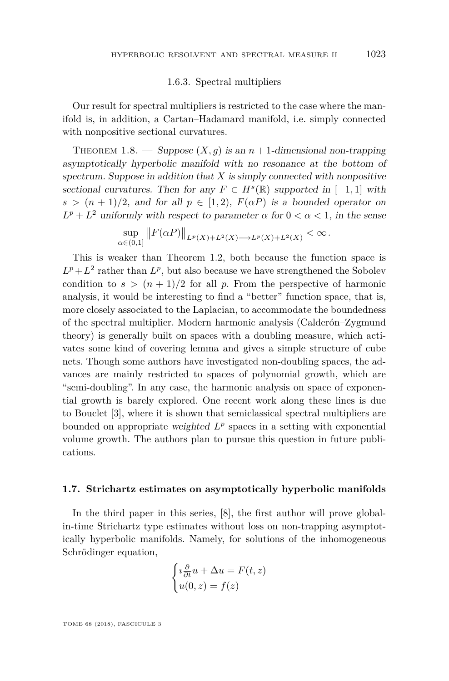## 1.6.3. Spectral multipliers

Our result for spectral multipliers is restricted to the case where the manifold is, in addition, a Cartan–Hadamard manifold, i.e. simply connected with nonpositive sectional curvatures.

<span id="page-13-0"></span>THEOREM 1.8. — Suppose  $(X, g)$  is an  $n + 1$ -dimensional non-trapping asymptotically hyperbolic manifold with no resonance at the bottom of spectrum. Suppose in addition that *X* is simply connected with nonpositive sectional curvatures. Then for any  $F \in H^s(\mathbb{R})$  supported in  $[-1, 1]$  with  $s > (n+1)/2$ , and for all  $p \in [1,2)$ ,  $F(\alpha P)$  is a bounded operator on  $L^p + L^2$  uniformly with respect to parameter *α* for  $0 < \alpha < 1$ , in the sense

$$
\sup_{\alpha\in(0,1]}||F(\alpha P)||_{L^p(X)+L^2(X)\longrightarrow L^p(X)+L^2(X)} < \infty.
$$

This is weaker than Theorem [1.2,](#page-7-1) both because the function space is  $L^p + L^2$  rather than  $L^p$ , but also because we have strengthened the Sobolev condition to  $s > (n + 1)/2$  for all p. From the perspective of harmonic analysis, it would be interesting to find a "better" function space, that is, more closely associated to the Laplacian, to accommodate the boundedness of the spectral multiplier. Modern harmonic analysis (Calderón–Zygmund theory) is generally built on spaces with a doubling measure, which activates some kind of covering lemma and gives a simple structure of cube nets. Though some authors have investigated non-doubling spaces, the advances are mainly restricted to spaces of polynomial growth, which are "semi-doubling". In any case, the harmonic analysis on space of exponential growth is barely explored. One recent work along these lines is due to Bouclet [\[3\]](#page-63-16), where it is shown that semiclassical spectral multipliers are bounded on appropriate weighted  $L^p$  spaces in a setting with exponential volume growth. The authors plan to pursue this question in future publications.

## **1.7. Strichartz estimates on asymptotically hyperbolic manifolds**

In the third paper in this series, [\[8\]](#page-63-15), the first author will prove globalin-time Strichartz type estimates without loss on non-trapping asymptotically hyperbolic manifolds. Namely, for solutions of the inhomogeneous Schrödinger equation,

$$
\begin{cases}\ni \frac{\partial}{\partial t} u + \Delta u = F(t, z) \\
u(0, z) = f(z)\n\end{cases}
$$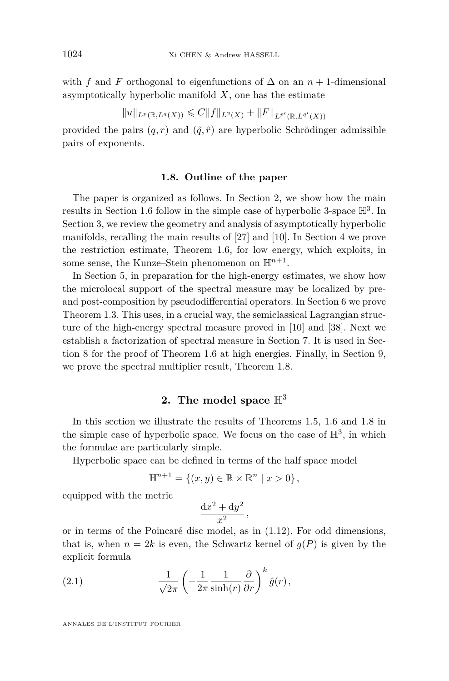with *f* and *F* orthogonal to eigenfunctions of  $\Delta$  on an *n* + 1-dimensional asymptotically hyperbolic manifold *X*, one has the estimate

$$
||u||_{L^p(\mathbb{R},L^q(X))} \leqslant C||f||_{L^2(X)} + ||F||_{L^{\tilde{p}'}(\mathbb{R},L^{\tilde{q}'}(X))}
$$

provided the pairs  $(q, r)$  and  $(\tilde{q}, \tilde{r})$  are hyperbolic Schrödinger admissible pairs of exponents.

## **1.8. Outline of the paper**

The paper is organized as follows. In Section [2,](#page-14-0) we show how the main results in Section [1.6](#page-10-0) follow in the simple case of hyperbolic 3-space  $\mathbb{H}^3$ . In Section [3,](#page-18-0) we review the geometry and analysis of asymptotically hyperbolic manifolds, recalling the main results of [\[27\]](#page-64-1) and [\[10\]](#page-63-0). In Section [4](#page-27-0) we prove the restriction estimate, Theorem [1.6,](#page-12-0) for low energy, which exploits, in some sense, the Kunze–Stein phenomenon on  $\mathbb{H}^{n+1}$ .

In Section [5,](#page-29-0) in preparation for the high-energy estimates, we show how the microlocal support of the spectral measure may be localized by preand post-composition by pseudodifferential operators. In Section [6](#page-35-0) we prove Theorem [1.3.](#page-10-1) This uses, in a crucial way, the semiclassical Lagrangian structure of the high-energy spectral measure proved in [\[10\]](#page-63-0) and [\[38\]](#page-64-3). Next we establish a factorization of spectral measure in Section [7.](#page-46-0) It is used in Section [8](#page-48-0) for the proof of Theorem [1.6](#page-12-0) at high energies. Finally, in Section [9,](#page-54-0) we prove the spectral multiplier result, Theorem [1.8.](#page-13-0)

## **2. The model space** H<sup>3</sup>

<span id="page-14-0"></span>In this section we illustrate the results of Theorems [1.5,](#page-11-0) [1.6](#page-12-0) and [1.8](#page-13-0) in the simple case of hyperbolic space. We focus on the case of  $\mathbb{H}^3$ , in which the formulae are particularly simple.

Hyperbolic space can be defined in terms of the half space model

$$
\mathbb{H}^{n+1} = \{(x, y) \in \mathbb{R} \times \mathbb{R}^n \mid x > 0\},\
$$

equipped with the metric

$$
\frac{\mathrm{d}x^2 + \mathrm{d}y^2}{x^2},
$$

or in terms of the Poincaré disc model, as in [\(1.12\)](#page-9-0). For odd dimensions, that is, when  $n = 2k$  is even, the Schwartz kernel of  $g(P)$  is given by the explicit formula

(2.1) 
$$
\frac{1}{\sqrt{2\pi}} \left( -\frac{1}{2\pi} \frac{1}{\sinh(r)} \frac{\partial}{\partial r} \right)^k \hat{g}(r),
$$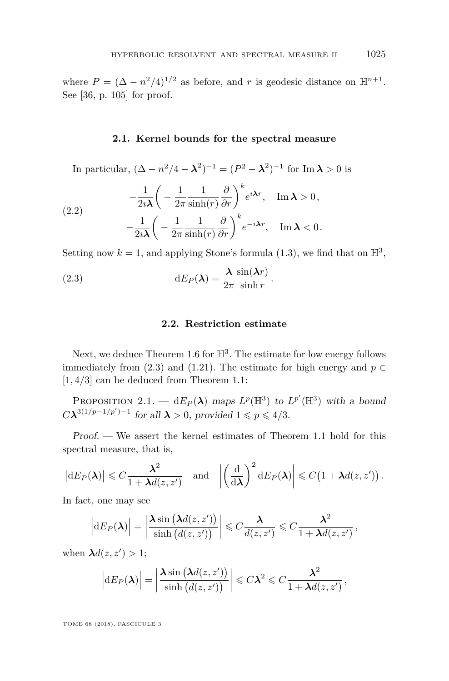where  $P = (\Delta - n^2/4)^{1/2}$  as before, and *r* is geodesic distance on  $\mathbb{H}^{n+1}$ . See [\[36,](#page-64-13) p. 105] for proof.

## **2.1. Kernel bounds for the spectral measure**

In particular,  $(\Delta - n^2/4 - \lambda^2)^{-1} = (P^2 - \lambda^2)^{-1}$  for Im  $\lambda > 0$  is

<span id="page-15-1"></span>(2.2) 
$$
-\frac{1}{2i\lambda} \left( -\frac{1}{2\pi} \frac{1}{\sinh(r)} \frac{\partial}{\partial r} \right)^k e^{i\lambda r}, \quad \text{Im } \lambda > 0, -\frac{1}{2i\lambda} \left( -\frac{1}{2\pi} \frac{1}{\sinh(r)} \frac{\partial}{\partial r} \right)^k e^{-i\lambda r}, \quad \text{Im } \lambda < 0.
$$

Setting now  $k = 1$ , and applying Stone's formula  $(1.3)$ , we find that on  $\mathbb{H}^3$ ,

(2.3) 
$$
dE_P(\lambda) = \frac{\lambda}{2\pi} \frac{\sin(\lambda r)}{\sinh r}.
$$

## <span id="page-15-0"></span>**2.2. Restriction estimate**

Next, we deduce Theorem [1.6](#page-12-0) for  $\mathbb{H}^3$ . The estimate for low energy follows immediately from [\(2.3\)](#page-15-0) and [\(1.21\)](#page-12-1). The estimate for high energy and  $p \in$ [1*,* 4*/*3] can be deduced from Theorem [1.1:](#page-6-3)

PROPOSITION 2.1. —  $dE_P(\lambda)$  maps  $L^p(\mathbb{H}^3)$  to  $L^{p'}(\mathbb{H}^3)$  with a bound  $C\lambda^{3(1/p-1/p')-1}$  for all  $\lambda > 0$ , provided  $1 \leqslant p \leqslant 4/3$ .

Proof. — We assert the kernel estimates of Theorem [1.1](#page-6-3) hold for this spectral measure, that is,

$$
\left|\mathrm{d} E_P(\boldsymbol{\lambda})\right| \leqslant C \frac{\boldsymbol{\lambda}^2}{1+\boldsymbol{\lambda} d(z,z')} \quad \text{and} \quad \left|\left(\frac{\mathrm{d}}{\mathrm{d}\boldsymbol{\lambda}}\right)^2 \mathrm{d} E_P(\boldsymbol{\lambda})\right| \leqslant C\big(1+\boldsymbol{\lambda} d(z,z')\big)\,.
$$

In fact, one may see

$$
\left|\mathrm{d} E_P(\boldsymbol{\lambda})\right| = \left|\frac{\boldsymbol{\lambda}\sin\left(\boldsymbol{\lambda}d(z,z')\right)}{\sinh\left(d(z,z')\right)}\right| \leqslant C\frac{\boldsymbol{\lambda}}{d(z,z')}\leqslant C\frac{\boldsymbol{\lambda}^2}{1+\boldsymbol{\lambda}d(z,z')},
$$

when  $\lambda d(z, z') > 1$ ;

$$
\left|\mathrm{d}E_P(\boldsymbol{\lambda})\right| = \left|\frac{\boldsymbol{\lambda}\sin\left(\boldsymbol{\lambda}d(z,z')\right)}{\sinh\left(d(z,z')\right)}\right| \leqslant C\lambda^2 \leqslant C\frac{\lambda^2}{1+\lambda d(z,z')},
$$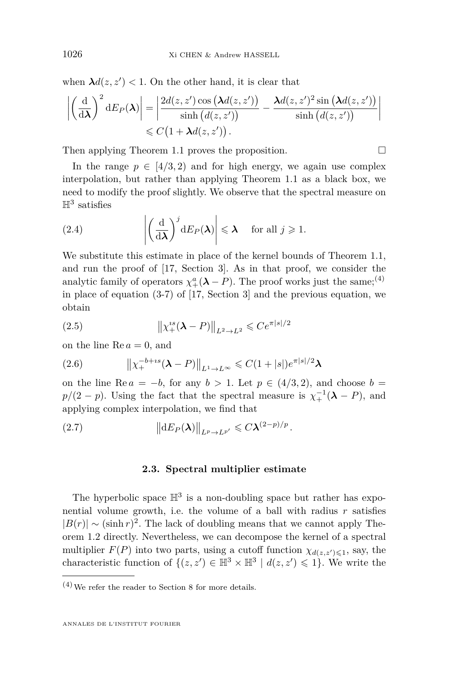when  $\lambda d(z, z') < 1$ . On the other hand, it is clear that

$$
\left| \left( \frac{\mathrm{d}}{\mathrm{d}\lambda} \right)^2 \mathrm{d} E_P(\lambda) \right| = \left| \frac{2d(z, z') \cos \left( \lambda d(z, z') \right)}{\sinh \left( d(z, z') \right)} - \frac{\lambda d(z, z')^2 \sin \left( \lambda d(z, z') \right)}{\sinh \left( d(z, z') \right)} \right|
$$
  
\$\leq C \left( 1 + \lambda d(z, z') \right).

Then applying Theorem [1.1](#page-6-3) proves the proposition.  $\Box$ 

In the range  $p \in [4/3, 2)$  and for high energy, we again use complex interpolation, but rather than applying Theorem [1.1](#page-6-3) as a black box, we need to modify the proof slightly. We observe that the spectral measure on  $\mathbb{H}^3$  satisfies

(2.4) 
$$
\left| \left( \frac{\mathrm{d}}{\mathrm{d}\lambda} \right)^j \mathrm{d} E_P(\lambda) \right| \leq \lambda \quad \text{for all } j \geq 1.
$$

We substitute this estimate in place of the kernel bounds of Theorem [1.1,](#page-6-3) and run the proof of [\[17,](#page-63-1) Section 3]. As in that proof, we consider the analytic family of operators  $\chi^a_+(\lambda - P)$ . The proof works just the same;<sup>(4)</sup> in place of equation (3-7) of [\[17,](#page-63-1) Section 3] and the previous equation, we obtain

(2.5) 
$$
\|\chi_+^{is}(\lambda - P)\|_{L^2 \to L^2} \leq Ce^{\pi|s|/2}
$$

on the line  $\text{Re } a = 0$ , and

(2.6) 
$$
\|x_+^{-b+is}(\lambda - P)\|_{L^1 \to L^\infty} \leq C(1+|s|)e^{\pi|s|/2}\lambda
$$

on the line Re  $a = -b$ , for any  $b > 1$ . Let  $p \in (4/3, 2)$ , and choose  $b =$  $p/(2 - p)$ . Using the fact that the spectral measure is  $\chi_+^{-1}(\lambda - P)$ , and applying complex interpolation, we find that

$$
||dE_P(\lambda)||_{L^p \to L^{p'}} \leqslant C \lambda^{(2-p)/p}.
$$

#### **2.3. Spectral multiplier estimate**

The hyperbolic space  $\mathbb{H}^3$  is a non-doubling space but rather has exponential volume growth, i.e. the volume of a ball with radius  $r$  satisfies  $|B(r)| \sim (\sinh r)^2$ . The lack of doubling means that we cannot apply Theorem [1.2](#page-7-1) directly. Nevertheless, we can decompose the kernel of a spectral multiplier  $F(P)$  into two parts, using a cutoff function  $\chi_{d(z,z')\leq 1}$ , say, the characteristic function of  $\{(z, z') \in \mathbb{H}^3 \times \mathbb{H}^3 \mid d(z, z') \leq 1\}$ . We write the

 $\ ^{(4)}$  We refer the reader to Section [8](#page-48-0) for more details.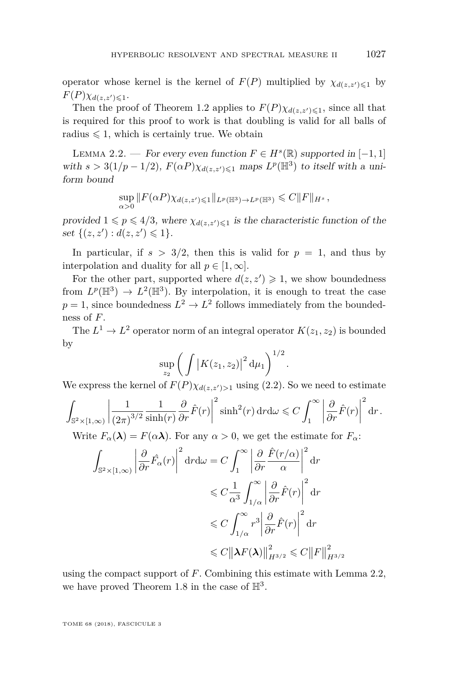operator whose kernel is the kernel of  $F(P)$  multiplied by  $\chi_{d(z,z')\leq 1}$  by  $F(P)\chi_{d(z,z')\leq 1}$ .

Then the proof of Theorem [1.2](#page-7-1) applies to  $F(P)\chi_{d(z,z')\leq 1}$ , since all that is required for this proof to work is that doubling is valid for all balls of radius  $\leq 1$ , which is certainly true. We obtain

<span id="page-17-0"></span>LEMMA 2.2. — For every even function  $F \in H^s(\mathbb{R})$  supported in [−1, 1] with  $s > 3(1/p - 1/2)$ ,  $F(\alpha P)\chi_{d(z, z') \leq 1}$  maps  $L^p(\mathbb{H}^3)$  to itself with a uniform bound

$$
\sup_{\alpha>0} ||F(\alpha P)\chi_{d(z,z')\leq 1}||_{L^p(\mathbb{H}^3)\to L^p(\mathbb{H}^3)} \leq C||F||_{H^s},
$$

provided  $1 \leq p \leq 4/3$ , where  $\chi_{d(z,z')\leq 1}$  is the characteristic function of the set  $\{(z, z') : d(z, z') \leq 1\}.$ 

In particular, if  $s > 3/2$ , then this is valid for  $p = 1$ , and thus by interpolation and duality for all  $p \in [1, \infty]$ .

For the other part, supported where  $d(z, z') \geq 1$ , we show boundedness from  $L^p(\mathbb{H}^3) \to L^2(\mathbb{H}^3)$ . By interpolation, it is enough to treat the case  $p = 1$ , since boundedness  $L^2 \to L^2$  follows immediately from the boundedness of *F*.

The  $L^1 \to L^2$  operator norm of an integral operator  $K(z_1, z_2)$  is bounded by

$$
\sup_{z_2}\bigg(\int \big|K(z_1,z_2)\big|^2\,\mathrm{d}\mu_1\bigg)^{1/2}.
$$

We express the kernel of  $F(P)\chi_{d(z,z')>1}$  using [\(2.2\)](#page-15-1). So we need to estimate

$$
\int_{\mathbb{S}^2 \times [1,\infty)} \left| \frac{1}{(2\pi)^{3/2}} \frac{1}{\sinh(r)} \frac{\partial}{\partial r} \hat{F}(r) \right|^2 \sinh^2(r) \, dr \, d\omega \leq C \int_1^\infty \left| \frac{\partial}{\partial r} \hat{F}(r) \right|^2 dr.
$$

Write  $F_\alpha(\lambda) = F(\alpha \lambda)$ . For any  $\alpha > 0$ , we get the estimate for  $F_\alpha$ :

$$
\int_{\mathbb{S}^2 \times [1,\infty)} \left| \frac{\partial}{\partial r} \hat{F}_{\alpha}(r) \right|^2 \mathrm{d}r \mathrm{d}\omega = C \int_1^{\infty} \left| \frac{\partial}{\partial r} \frac{\hat{F}(r/\alpha)}{\alpha} \right|^2 \mathrm{d}r
$$
  

$$
\leq C \frac{1}{\alpha^3} \int_{1/\alpha}^{\infty} \left| \frac{\partial}{\partial r} \hat{F}(r) \right|^2 \mathrm{d}r
$$
  

$$
\leq C \int_{1/\alpha}^{\infty} r^3 \left| \frac{\partial}{\partial r} \hat{F}(r) \right|^2 \mathrm{d}r
$$
  

$$
\leq C \left\| \lambda F(\lambda) \right\|_{H^{3/2}}^2 \leq C \left\| F \right\|_{H^{3/2}}^2
$$

using the compact support of *F*. Combining this estimate with Lemma [2.2,](#page-17-0) we have proved Theorem [1.8](#page-13-0) in the case of  $\mathbb{H}^3$ .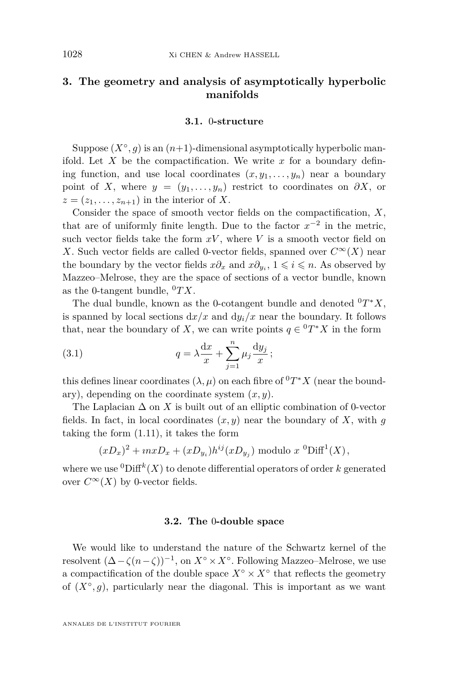## <span id="page-18-0"></span>**3. The geometry and analysis of asymptotically hyperbolic manifolds**

## **3.1.** 0**-structure**

Suppose  $(X^{\circ}, g)$  is an  $(n+1)$ -dimensional asymptotically hyperbolic manifold. Let  $X$  be the compactification. We write  $x$  for a boundary defining function, and use local coordinates  $(x, y_1, \ldots, y_n)$  near a boundary point of *X*, where  $y = (y_1, \ldots, y_n)$  restrict to coordinates on  $\partial X$ , or  $z = (z_1, \ldots, z_{n+1})$  in the interior of X.

Consider the space of smooth vector fields on the compactification, *X*, that are of uniformly finite length. Due to the factor  $x^{-2}$  in the metric, such vector fields take the form  $xV$ , where  $V$  is a smooth vector field on *X*. Such vector fields are called 0-vector fields, spanned over  $C^{\infty}(X)$  near the boundary by the vector fields  $x\partial_x$  and  $x\partial_{y_i}$ ,  $1 \leqslant i \leqslant n$ . As observed by Mazzeo–Melrose, they are the space of sections of a vector bundle, known as the 0-tangent bundle,  ${}^{0}TX$ .

The dual bundle, known as the 0-cotangent bundle and denoted  ${}^{0}T^{*}X$ , is spanned by local sections  $dx/x$  and  $dy_i/x$  near the boundary. It follows that, near the boundary of *X*, we can write points  $q \in {}^{0}T^{*}X$  in the form

(3.1) 
$$
q = \lambda \frac{\mathrm{d}x}{x} + \sum_{j=1}^{n} \mu_j \frac{\mathrm{d}y_j}{x};
$$

this defines linear coordinates  $(\lambda, \mu)$  on each fibre of  ${}^{0}T^{*}X$  (near the boundary), depending on the coordinate system (*x, y*).

The Laplacian  $\Delta$  on *X* is built out of an elliptic combination of 0-vector fields. In fact, in local coordinates  $(x, y)$  near the boundary of X, with g taking the form [\(1.11\)](#page-9-1), it takes the form

$$
(xD_x)^2 + inxD_x + (xD_{y_i})h^{ij}(xD_{y_j})
$$
 modulo  $x$  <sup>0</sup>Diff<sup>1</sup>(X),

where we use  ${}^{0}$ Diff<sup>k</sup> $(X)$  to denote differential operators of order k generated over  $C^{\infty}(X)$  by 0-vector fields.

#### **3.2. The** 0**-double space**

We would like to understand the nature of the Schwartz kernel of the resolvent  $(\Delta - \zeta(n-\zeta))^{-1}$ , on  $X^{\circ} \times X^{\circ}$ . Following Mazzeo–Melrose, we use a compactification of the double space  $X^{\circ} \times X^{\circ}$  that reflects the geometry of  $(X^{\circ}, g)$ , particularly near the diagonal. This is important as we want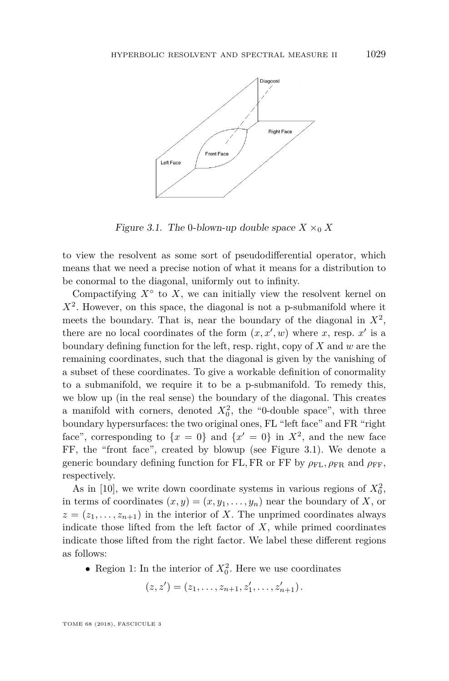

<span id="page-19-0"></span>Figure 3.1. The 0-blown-up double space  $X \times_0 X$ 

to view the resolvent as some sort of pseudodifferential operator, which means that we need a precise notion of what it means for a distribution to be conormal to the diagonal, uniformly out to infinity.

Compactifying  $X^{\circ}$  to  $X$ , we can initially view the resolvent kernel on  $X<sup>2</sup>$ . However, on this space, the diagonal is not a p-submanifold where it meets the boundary. That is, near the boundary of the diagonal in  $X^2$ , there are no local coordinates of the form  $(x, x', w)$  where *x*, resp. *x*<sup>*'*</sup> is a boundary defining function for the left, resp. right, copy of *X* and *w* are the remaining coordinates, such that the diagonal is given by the vanishing of a subset of these coordinates. To give a workable definition of conormality to a submanifold, we require it to be a p-submanifold. To remedy this, we blow up (in the real sense) the boundary of the diagonal. This creates a manifold with corners, denoted  $X_0^2$ , the "0-double space", with three boundary hypersurfaces: the two original ones, FL "left face" and FR "right face", corresponding to  $\{x = 0\}$  and  $\{x' = 0\}$  in  $X^2$ , and the new face FF, the "front face", created by blowup (see Figure [3.1\)](#page-19-0). We denote a generic boundary defining function for FL, FR or FF by  $\rho_{FL}$ ,  $\rho_{FR}$  and  $\rho_{FF}$ , respectively.

As in [\[10\]](#page-63-0), we write down coordinate systems in various regions of  $X_0^2$ , in terms of coordinates  $(x, y) = (x, y_1, \ldots, y_n)$  near the boundary of *X*, or  $z = (z_1, \ldots, z_{n+1})$  in the interior of *X*. The unprimed coordinates always indicate those lifted from the left factor of *X*, while primed coordinates indicate those lifted from the right factor. We label these different regions as follows:

• Region 1: In the interior of  $X_0^2$ . Here we use coordinates

 $(z, z') = (z_1, \ldots, z_{n+1}, z'_1, \ldots, z'_{n+1}).$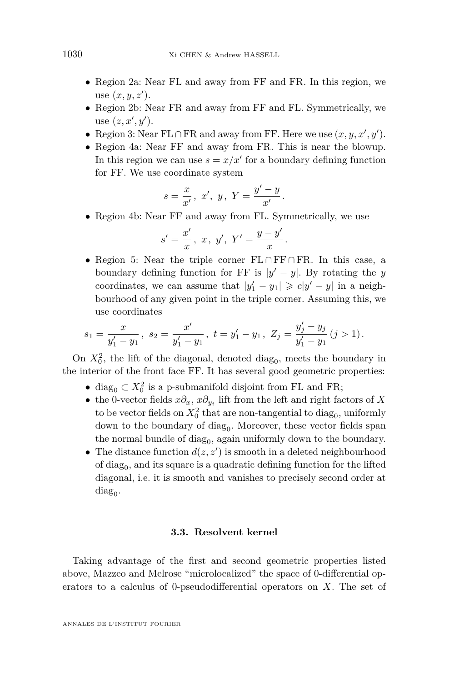- Region 2a: Near FL and away from FF and FR. In this region, we use  $(x, y, z')$ .
- Region 2b: Near FR and away from FF and FL. Symmetrically, we use  $(z, x', y')$ .
- Region 3: Near FL ∩ FR and away from FF. Here we use  $(x, y, x', y')$ .
- Region 4a: Near FF and away from FR. This is near the blowup. In this region we can use  $s = x/x'$  for a boundary defining function for FF. We use coordinate system

$$
s=\frac{x}{x'},\ x',\ y,\ Y=\frac{y'-y}{x'}.
$$

• Region 4b: Near FF and away from FL. Symmetrically, we use

$$
s' = \frac{x'}{x}, \ x, \ y', \ Y' = \frac{y - y'}{x}
$$

• Region 5: Near the triple corner FL ∩ FF ∩ FR. In this case, a boundary defining function for FF is  $|y'-y|$ . By rotating the *y* coordinates, we can assume that  $|y'_1 - y_1| \geq c|y' - y|$  in a neighbourhood of any given point in the triple corner. Assuming this, we use coordinates

*.*

$$
s_1 = \frac{x}{y_1' - y_1}, \ s_2 = \frac{x'}{y_1' - y_1}, \ t = y_1' - y_1, \ Z_j = \frac{y_j' - y_j}{y_1' - y_1} \ (j > 1).
$$

On  $X_0^2$ , the lift of the diagonal, denoted diag<sub>0</sub>, meets the boundary in the interior of the front face FF. It has several good geometric properties:

- diag<sub>0</sub>  $\subset X_0^2$  is a p-submanifold disjoint from FL and FR;
- the 0-vector fields *x∂x*, *x∂y<sup>i</sup>* lift from the left and right factors of *X* to be vector fields on  $X_0^2$  that are non-tangential to diag<sub>0</sub>, uniformly down to the boundary of  $\text{diag}_0$ . Moreover, these vector fields span the normal bundle of  $diag_0$ , again uniformly down to the boundary.
- The distance function  $d(z, z')$  is smooth in a deleted neighbourhood of  $diag_0$ , and its square is a quadratic defining function for the lifted diagonal, i.e. it is smooth and vanishes to precisely second order at  $\text{diag}_0.$

## **3.3. Resolvent kernel**

Taking advantage of the first and second geometric properties listed above, Mazzeo and Melrose "microlocalized" the space of 0-differential operators to a calculus of 0-pseudodifferential operators on *X*. The set of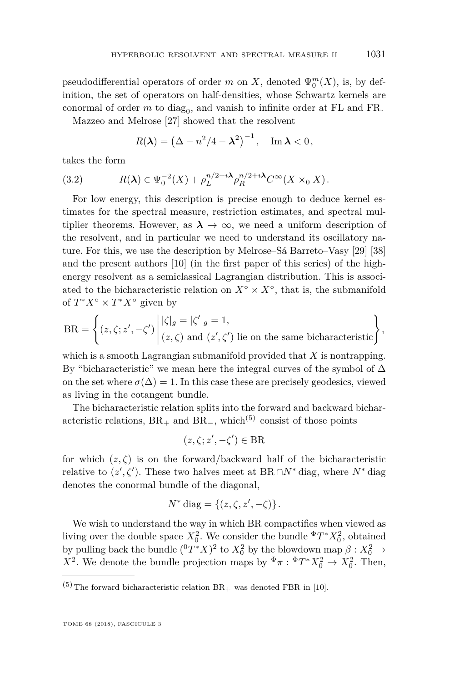pseudodifferential operators of order  $m$  on  $X$ , denoted  $\Psi_0^m(X)$ , is, by definition, the set of operators on half-densities, whose Schwartz kernels are conormal of order  $m$  to diag<sub>0</sub>, and vanish to infinite order at FL and FR.

Mazzeo and Melrose [\[27\]](#page-64-1) showed that the resolvent

<span id="page-21-0"></span>
$$
R(\lambda) = \left(\Delta - n^2/4 - \lambda^2\right)^{-1}, \quad \text{Im}\,\lambda < 0,
$$

takes the form

(3.2) 
$$
R(\lambda) \in \Psi_0^{-2}(X) + \rho_L^{n/2 + i\lambda} \rho_R^{n/2 + i\lambda} C^{\infty}(X \times_0 X).
$$

For low energy, this description is precise enough to deduce kernel estimates for the spectral measure, restriction estimates, and spectral multiplier theorems. However, as  $\lambda \to \infty$ , we need a uniform description of the resolvent, and in particular we need to understand its oscillatory nature. For this, we use the description by Melrose–Sá Barreto–Vasy [\[29\]](#page-64-2) [\[38\]](#page-64-3) and the present authors [\[10\]](#page-63-0) (in the first paper of this series) of the highenergy resolvent as a semiclassical Lagrangian distribution. This is associated to the bicharacteristic relation on  $X^{\circ} \times X^{\circ}$ , that is, the submanifold of  $T^*X^{\circ} \times T^*X^{\circ}$  given by

$$
BR = \left\{ (z, \zeta; z', -\zeta') \middle| \begin{aligned} |\zeta|_g &= |\zeta'|_g = 1, \\ (z, \zeta) \text{ and } (z', \zeta') \text{ lie on the same bicharacteristic} \end{aligned} \right\},
$$

which is a smooth Lagrangian submanifold provided that *X* is nontrapping. By "bicharacteristic" we mean here the integral curves of the symbol of  $\Delta$ on the set where  $\sigma(\Delta) = 1$ . In this case these are precisely geodesics, viewed as living in the cotangent bundle.

The bicharacteristic relation splits into the forward and backward bicharacteristic relations,  $BR_+$  and  $BR_-$ , which<sup>(5)</sup> consist of those points

$$
(z,\zeta;z',-\zeta')\in \mathrm{BR}
$$

for which  $(z, \zeta)$  is on the forward/backward half of the bicharacteristic relative to  $(z', \zeta')$ . These two halves meet at BR ∩*N*<sup>\*</sup> diag, where *N*<sup>\*</sup> diag denotes the conormal bundle of the diagonal,

$$
N^* \operatorname{diag} = \{ (z, \zeta, z', -\zeta) \}.
$$

We wish to understand the way in which BR compactifies when viewed as living over the double space  $X_0^2$ . We consider the bundle  $\Phi T^* X_0^2$ , obtained by pulling back the bundle  $({}^0T^*X)^2$  to  $X_0^2$  by the blowdown map  $\beta: X_0^2 \to$ *X*<sup>2</sup>. We denote the bundle projection maps by  $\Phi \pi : \Phi T^* X_0^2 \to X_0^2$ . Then,

 $(5)$  The forward bicharacteristic relation BR<sub>+</sub> was denoted FBR in [\[10\]](#page-63-0).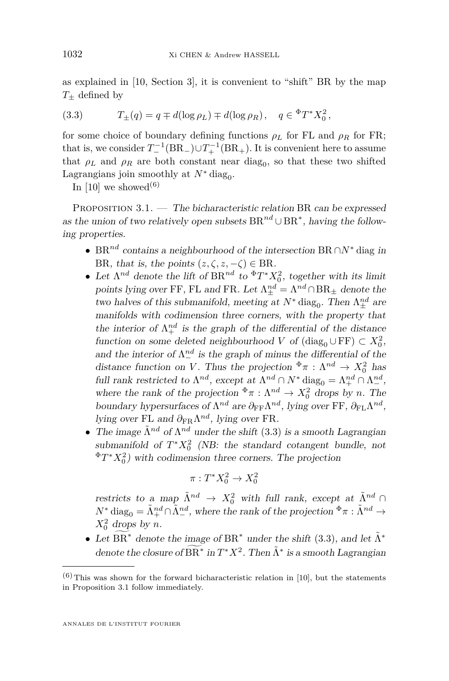as explained in [\[10,](#page-63-0) Section 3], it is convenient to "shift" BR by the map *T*<sup>±</sup> defined by

<span id="page-22-0"></span>(3.3) 
$$
T_{\pm}(q) = q \mp d(\log \rho_L) \mp d(\log \rho_R), \quad q \in {}^{\Phi}T^*X_0^2,
$$

for some choice of boundary defining functions  $\rho_L$  for FL and  $\rho_R$  for FR; that is, we consider  $T^{-1}_{-}(\text{BR}_{-}) \cup T^{-1}_{+}(\text{BR}_{+})$ . It is convenient here to assume that  $\rho_L$  and  $\rho_R$  are both constant near diag<sub>0</sub>, so that these two shifted Lagrangians join smoothly at  $N^*$  diag<sub>0</sub>.

In [\[10\]](#page-63-0) we showed<sup>(6)</sup>

<span id="page-22-1"></span>PROPOSITION  $3.1.$  — The bicharacteristic relation BR can be expressed as the union of two relatively open subsets  $BR^{nd} \cup BR^*$ , having the following properties.

- BR*nd* contains a neighbourhood of the intersection BR ∩*N*<sup>∗</sup> diag in BR, that is, the points  $(z, \zeta, z, -\zeta) \in BR$ .
- Let  $\Lambda^{nd}$  denote the lift of  $BR^{nd}$  to  $\Phi T^* X_0^2$ , together with its limit points lying over FF, FL and FR. Let  $\Lambda^{nd}_{\pm} = \Lambda^{nd} \cap BR_{\pm}$  denote the two halves of this submanifold, meeting at  $N^*$  diag<sub>0</sub>. Then  $\Lambda^{nd}_{\pm}$  are manifolds with codimension three corners, with the property that the interior of  $\Lambda^{nd}_+$  is the graph of the differential of the distance function on some deleted neighbourhood *V* of  $(\text{diag}_0 \cup \text{FF}) \subset X_0^2$ , and the interior of  $\Lambda^{nd}_{-}$  is the graph of minus the differential of the distance function on *V*. Thus the projection  $\Phi_{\pi} : \Lambda^{nd} \to X_0^2$  has full rank restricted to  $\Lambda^{nd}$ , except at  $\Lambda^{nd} \cap N^*$  diag<sub>0</sub> =  $\Lambda^{nd}_{+} \cap \Lambda^{nd}_{-}$ , where the rank of the projection  $\Phi \pi : \Lambda^{nd} \to X_0^2$  drops by *n*. The boundary hypersurfaces of  $\Lambda^{nd}$  are  $\partial_{FF}\Lambda^{nd}$ , lying over FF,  $\partial_{FL}\Lambda^{nd}$ , lying over FL and *∂*FRΛ *nd*, lying over FR.
- The image  $\tilde{\Lambda}^{nd}$  of  $\Lambda^{nd}$  under the shift [\(3.3\)](#page-22-0) is a smooth Lagrangian submanifold of  $T^*X_0^2$  (NB: the standard cotangent bundle, not <sup>Φ</sup>*T* <sup>∗</sup>*X*<sup>2</sup> 0 ) with codimension three corners. The projection

$$
\pi:T^*X^2_0\to X^2_0
$$

restricts to a map  $\tilde{\Lambda}^{nd} \to X_0^2$  with full rank, except at  $\tilde{\Lambda}^{nd} \cap$  $N^*$  diag<sub>0</sub> =  $\tilde{\Lambda}^{nd}_+ \cap \tilde{\Lambda}^{nd}_-$ , where the rank of the projection  $\Phi \pi : \tilde{\Lambda}^{nd} \to$  $X_0^2$  drops by *n*.

• Let  $\widetilde{BR^*}$  denote the image of  $BR^*$  under the shift [\(3.3\)](#page-22-0), and let  $\widetilde{\Lambda}^*$ denote the closure of  $\widetilde{BR}^*$  in  $T^*X^2$ . Then  $\tilde{\Lambda}^*$  is a smooth Lagrangian

 $(6)$  This was shown for the forward bicharacteristic relation in [\[10\]](#page-63-0), but the statements in Proposition [3.1](#page-22-1) follow immediately.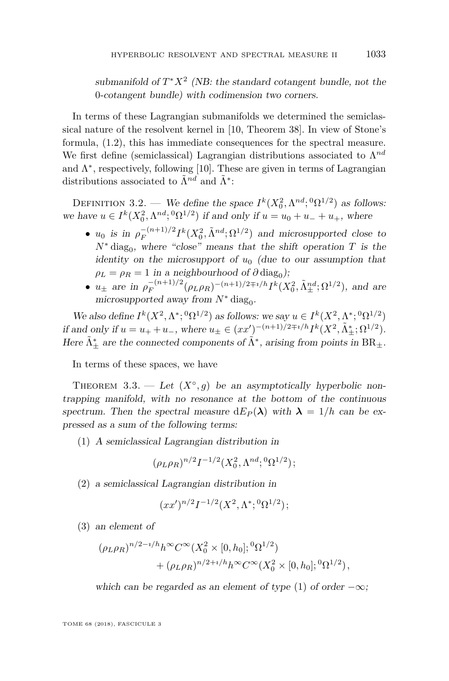submanifold of  $T^*X^2$  (NB: the standard cotangent bundle, not the 0-cotangent bundle) with codimension two corners.

In terms of these Lagrangian submanifolds we determined the semiclassical nature of the resolvent kernel in [\[10,](#page-63-0) Theorem 38]. In view of Stone's formula, [\(1.2\)](#page-4-1), this has immediate consequences for the spectral measure. We first define (semiclassical) Lagrangian distributions associated to Λ *nd* and  $\Lambda^*$ , respectively, following [\[10\]](#page-63-0). These are given in terms of Lagrangian distributions associated to  $\tilde{\Lambda}^{nd}$  and  $\tilde{\Lambda}^*$ :

<span id="page-23-3"></span>DEFINITION 3.2. — We define the space  $I^k(X_0^2, \Lambda^{nd}; {}^0\Omega^{1/2})$  as follows: we have  $u \in I^k(X_0^2, \Lambda^{nd}; {}^0\Omega^{1/2})$  if and only if  $u = u_0 + u_- + u_+$ , where

- *u*<sub>0</sub> is in  $\rho_F^{-(n+1)/2}$  $\int_F^{-(n+1)/2} I^k(X_0^2, \tilde{\Lambda}^{nd}; \Omega^{1/2})$  and microsupported close to  $N^*$  diag<sub>0</sub>, where "close" means that the shift operation  $T$  is the identity on the microsupport of  $u_0$  (due to our assumption that  $\rho_L = \rho_R = 1$  in a neighbourhood of  $\partial \text{diag}_0$ );
- $u_{\pm}$  are in  $\rho_F^{-(n+1)/2}$  $F_F^{-(n+1)/2}(\rho_L \rho_R)^{-(n+1)/2 \mp i/h} I^k(X_0^2, \tilde{\Lambda}_{\pm}^{nd}; \Omega^{1/2}),$  and are microsupported away from  $N^*$  diag<sub>0</sub>.

We also define  $I^k(X^2, \Lambda^*; {}^0\Omega^{1/2})$  as follows: we say  $u \in I^k(X^2, \Lambda^*; {}^0\Omega^{1/2})$ if and only if  $u = u_+ + u_-,$  where  $u_{\pm} \in (xx')^{-(n+1)/2 \mp i/h} I^k(X^2, \tilde{\Lambda}_{\pm}^*; \Omega^{1/2}).$ Here  $\tilde{\Lambda}_{\pm}^{*}$  are the connected components of  $\tilde{\Lambda}^{*}$ , arising from points in  $BR_{\pm}$ .

In terms of these spaces, we have

<span id="page-23-2"></span>THEOREM 3.3. — Let  $(X^{\circ}, g)$  be an asymptotically hyperbolic nontrapping manifold, with no resonance at the bottom of the continuous spectrum. Then the spectral measure  $dE_P(\lambda)$  with  $\lambda = 1/h$  can be expressed as a sum of the following terms:

<span id="page-23-0"></span>(1) A semiclassical Lagrangian distribution in

$$
(\rho_L \rho_R)^{n/2} I^{-1/2}(X_0^2, \Lambda^{nd}; {}^0\Omega^{1/2});
$$

<span id="page-23-1"></span>(2) a semiclassical Lagrangian distribution in

$$
(xx')^{n/2}I^{-1/2}(X^2,\Lambda^*; {}^0\Omega^{1/2});
$$

<span id="page-23-4"></span>(3) an element of

$$
(\rho_L \rho_R)^{n/2 - i/h} h^{\infty} C^{\infty}(X_0^2 \times [0, h_0]; {}^0\Omega^{1/2})
$$
  
+ 
$$
(\rho_L \rho_R)^{n/2 + i/h} h^{\infty} C^{\infty}(X_0^2 \times [0, h_0]; {}^0\Omega^{1/2}),
$$

which can be regarded as an element of type [\(1\)](#page-23-0) of order  $-\infty$ ;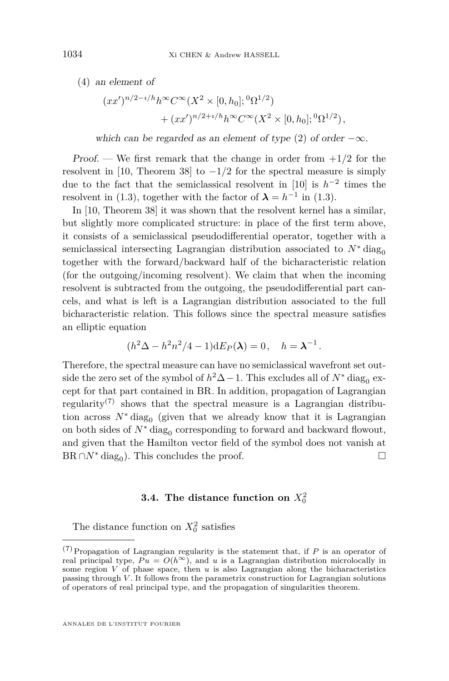<span id="page-24-0"></span>(4) an element of

$$
(xx')^{n/2-i/h}h^{\infty}C^{\infty}(X^2 \times [0,h_0]; {}^0\Omega^{1/2})
$$
  
+ 
$$
(xx')^{n/2+i/h}h^{\infty}C^{\infty}(X^2 \times [0,h_0]; {}^0\Omega^{1/2}),
$$

which can be regarded as an element of type [\(2\)](#page-23-1) of order  $-\infty$ .

Proof. — We first remark that the change in order from +1*/*2 for the resolvent in [\[10,](#page-63-0) Theorem 38] to  $-1/2$  for the spectral measure is simply due to the fact that the semiclassical resolvent in  $[10]$  is  $h^{-2}$  times the resolvent in [\(1.3\)](#page-4-0), together with the factor of  $\lambda = h^{-1}$  in (1.3).

In [\[10,](#page-63-0) Theorem 38] it was shown that the resolvent kernel has a similar, but slightly more complicated structure: in place of the first term above, it consists of a semiclassical pseudodifferential operator, together with a semiclassical intersecting Lagrangian distribution associated to  $N^*$  diag<sub>0</sub> together with the forward/backward half of the bicharacteristic relation (for the outgoing/incoming resolvent). We claim that when the incoming resolvent is subtracted from the outgoing, the pseudodifferential part cancels, and what is left is a Lagrangian distribution associated to the full bicharacteristic relation. This follows since the spectral measure satisfies an elliptic equation

$$
(h2 \Delta - h2 n2/4 - 1) dEP(\lambda) = 0, \quad h = \lambda-1.
$$

Therefore, the spectral measure can have no semiclassical wavefront set outside the zero set of the symbol of  $h^2\Delta - 1$ . This excludes all of  $N^*$  diag<sub>0</sub> except for that part contained in BR. In addition, propagation of Lagrangian regularity<sup>(7)</sup> shows that the spectral measure is a Lagrangian distribution across  $N^*$  diag<sub>0</sub> (given that we already know that it is Lagrangian on both sides of  $N^*$  diag<sub>0</sub> corresponding to forward and backward flowout, and given that the Hamilton vector field of the symbol does not vanish at  $BR \cap N^*$  diag<sub>0</sub>). This concludes the proof.

## **3.4.** The distance function on  $X_0^2$

The distance function on  $X_0^2$  satisfies

<sup>(7)</sup> Propagation of Lagrangian regularity is the statement that, if *P* is an operator of real principal type,  $Pu = O(h^{\infty})$ , and *u* is a Lagrangian distribution microlocally in some region  $V$  of phase space, then  $u$  is also Lagrangian along the bicharacteristics passing through *V* . It follows from the parametrix construction for Lagrangian solutions of operators of real principal type, and the propagation of singularities theorem.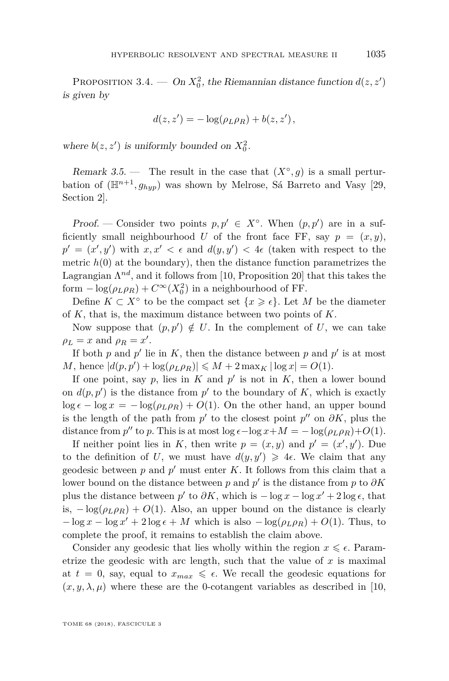<span id="page-25-0"></span>PROPOSITION 3.4. — On  $X_0^2$ , the Riemannian distance function  $d(z, z')$ is given by

$$
d(z, z') = -\log(\rho_L \rho_R) + b(z, z'),
$$

where  $b(z, z')$  is uniformly bounded on  $X_0^2$ .

Remark 3.5. — The result in the case that  $(X^{\circ}, g)$  is a small perturbation of  $(\mathbb{H}^{n+1}, g_{hyp})$  was shown by Melrose, Sá Barreto and Vasy [\[29,](#page-64-2) Section 2].

Proof. — Consider two points  $p, p' \in X^{\circ}$ . When  $(p, p')$  are in a sufficiently small neighbourhood *U* of the front face FF, say  $p = (x, y)$ ,  $p' = (x', y')$  with  $x, x' < \epsilon$  and  $d(y, y') < 4\epsilon$  (taken with respect to the metric  $h(0)$  at the boundary), then the distance function parametrizes the Lagrangian  $\Lambda^{nd}$ , and it follows from [\[10,](#page-63-0) Proposition 20] that this takes the form  $-\log(\rho_L \rho_R) + C^{\infty}(X_0^2)$  in a neighbourhood of FF.

Define  $K \subset X^{\circ}$  to be the compact set  $\{x \geq \epsilon\}$ . Let M be the diameter of *K*, that is, the maximum distance between two points of *K*.

Now suppose that  $(p, p') \notin U$ . In the complement of U, we can take  $\rho_L = x$  and  $\rho_R = x'$ .

If both  $p$  and  $p'$  lie in  $K$ , then the distance between  $p$  and  $p'$  is at most *M*, hence  $|d(p, p') + \log(\rho_L \rho_R)| \leq M + 2 \max_K |\log x| = O(1)$ .

If one point, say  $p$ , lies in  $K$  and  $p'$  is not in  $K$ , then a lower bound on  $d(p, p')$  is the distance from  $p'$  to the boundary of  $K$ , which is exactly  $\log \epsilon - \log x = -\log(\rho_L \rho_R) + O(1)$ . On the other hand, an upper bound is the length of the path from  $p'$  to the closest point  $p''$  on  $\partial K$ , plus the distance from  $p''$  to  $p$ . This is at most  $\log \epsilon - \log x + M = -\log(\rho_L \rho_R) + O(1)$ .

If neither point lies in *K*, then write  $p = (x, y)$  and  $p' = (x', y')$ . Due to the definition of U, we must have  $d(y, y') \geq 4\epsilon$ . We claim that any geodesic between  $p$  and  $p'$  must enter  $K$ . It follows from this claim that a lower bound on the distance between *p* and  $p'$  is the distance from *p* to  $\partial K$ plus the distance between  $p'$  to  $\partial K$ , which is  $-\log x - \log x' + 2 \log \epsilon$ , that is,  $-\log(\rho_L \rho_R) + O(1)$ . Also, an upper bound on the distance is clearly  $-\log x - \log x' + 2\log \epsilon + M$  which is also  $-\log(\rho_L \rho_R) + O(1)$ . Thus, to complete the proof, it remains to establish the claim above.

Consider any geodesic that lies wholly within the region  $x \leq \epsilon$ . Parametrize the geodesic with arc length, such that the value of *x* is maximal at  $t = 0$ , say, equal to  $x_{max} \leq \epsilon$ . We recall the geodesic equations for  $(x, y, \lambda, \mu)$  where these are the 0-cotangent variables as described in [\[10,](#page-63-0)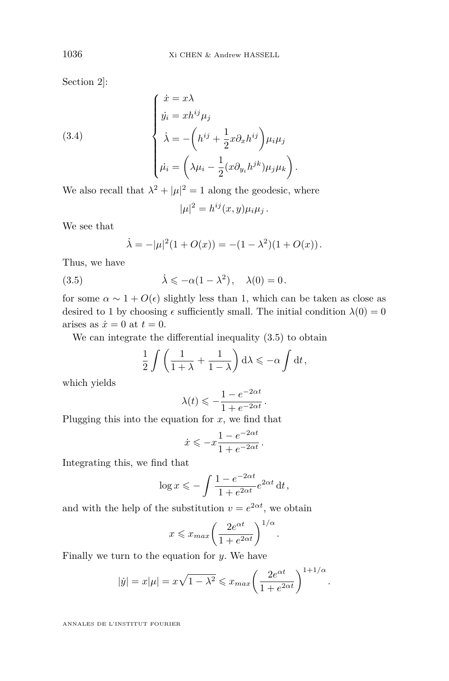Section 2]:

(3.4)  

$$
\begin{cases}\n\dot{x} = x\lambda \\
\dot{y}_i = xh^{ij}\mu_j \\
\dot{\lambda} = -\left(h^{ij} + \frac{1}{2}x\partial_x h^{ij}\right)\mu_i\mu_j \\
\dot{\mu}_i = \left(\lambda\mu_i - \frac{1}{2}(x\partial_{y_i}h^{jk})\mu_j\mu_k\right).\n\end{cases}
$$

We also recall that  $\lambda^2 + |\mu|^2 = 1$  along the geodesic, where

<span id="page-26-1"></span> $|\mu|^2 = h^{ij}(x, y)\mu_i\mu_j$ .

We see that

<span id="page-26-0"></span>
$$
\dot{\lambda} = -|\mu|^2 (1 + O(x)) = -(1 - \lambda^2)(1 + O(x)).
$$

Thus, we have

(3.5) 
$$
\dot{\lambda} \leqslant -\alpha(1-\lambda^2), \quad \lambda(0) = 0.
$$

for some  $\alpha \sim 1 + O(\epsilon)$  slightly less than 1, which can be taken as close as desired to 1 by choosing  $\epsilon$  sufficiently small. The initial condition  $\lambda(0) = 0$ arises as  $\dot{x} = 0$  at  $t = 0$ .

We can integrate the differential inequality  $(3.5)$  to obtain

$$
\frac{1}{2}\int \left(\frac{1}{1+\lambda}+\frac{1}{1-\lambda}\right) d\lambda \leqslant -\alpha \int dt,
$$

which yields

$$
\lambda(t) \leqslant -\frac{1-e^{-2\alpha t}}{1+e^{-2\alpha t}}.
$$

Plugging this into the equation for *x*, we find that

$$
\dot{x} \leqslant -x\frac{1-e^{-2\alpha t}}{1+e^{-2\alpha t}}\,.
$$

Integrating this, we find that

$$
\log x \leqslant -\int \frac{1 - e^{-2\alpha t}}{1 + e^{2\alpha t}} e^{2\alpha t} dt,
$$

and with the help of the substitution  $v = e^{2\alpha t}$ , we obtain

$$
x \leq x_{max} \left( \frac{2e^{\alpha t}}{1 + e^{2\alpha t}} \right)^{1/\alpha}.
$$

Finally we turn to the equation for *y*. We have

$$
|\dot{y}| = x|\mu| = x\sqrt{1-\lambda^2} \leq x_{max} \left(\frac{2e^{\alpha t}}{1+e^{2\alpha t}}\right)^{1+1/\alpha}.
$$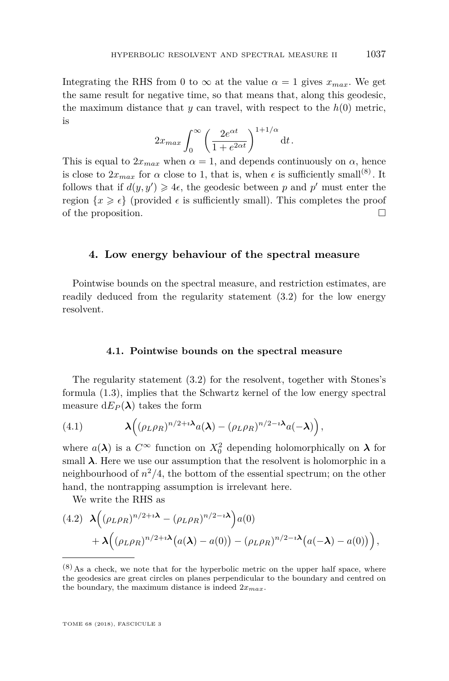Integrating the RHS from 0 to  $\infty$  at the value  $\alpha = 1$  gives  $x_{max}$ . We get the same result for negative time, so that means that, along this geodesic, the maximum distance that  $y$  can travel, with respect to the  $h(0)$  metric, is

$$
2x_{max} \int_0^\infty \left(\frac{2e^{\alpha t}}{1+e^{2\alpha t}}\right)^{1+1/\alpha} \mathrm{d}t.
$$

This is equal to  $2x_{max}$  when  $\alpha = 1$ , and depends continuously on  $\alpha$ , hence is close to  $2x_{max}$  for  $\alpha$  close to 1, that is, when  $\epsilon$  is sufficiently small<sup>(8)</sup>. It follows that if  $d(y, y') \geq 4\epsilon$ , the geodesic between p and p' must enter the region  $\{x \geq \epsilon\}$  (provided  $\epsilon$  is sufficiently small). This completes the proof of the proposition.

## <span id="page-27-0"></span>**4. Low energy behaviour of the spectral measure**

Pointwise bounds on the spectral measure, and restriction estimates, are readily deduced from the regularity statement [\(3.2\)](#page-21-0) for the low energy resolvent.

### **4.1. Pointwise bounds on the spectral measure**

The regularity statement [\(3.2\)](#page-21-0) for the resolvent, together with Stones's formula [\(1.3\)](#page-4-0), implies that the Schwartz kernel of the low energy spectral measure  $dE_P(\lambda)$  takes the form

(4.1) 
$$
\lambda\Big((\rho_L\rho_R)^{n/2+i\lambda}a(\lambda)-(\rho_L\rho_R)^{n/2-i\lambda}a(-\lambda)\Big),
$$

where  $a(\lambda)$  is a  $C^{\infty}$  function on  $X_0^2$  depending holomorphically on  $\lambda$  for small  $\lambda$ . Here we use our assumption that the resolvent is holomorphic in a neighbourhood of  $n^2/4$ , the bottom of the essential spectrum; on the other hand, the nontrapping assumption is irrelevant here.

We write the RHS as

$$
(4.2) \quad \lambda \Big( (\rho_L \rho_R)^{n/2 + i\lambda} - (\rho_L \rho_R)^{n/2 - i\lambda} \Big) a(0)
$$
  
+ 
$$
\lambda \Big( (\rho_L \rho_R)^{n/2 + i\lambda} \big( a(\lambda) - a(0) \big) - (\rho_L \rho_R)^{n/2 - i\lambda} \big( a(-\lambda) - a(0) \big) \Big),
$$

 $(8)$  As a check, we note that for the hyperbolic metric on the upper half space, where the geodesics are great circles on planes perpendicular to the boundary and centred on the boundary, the maximum distance is indeed 2*xmax*.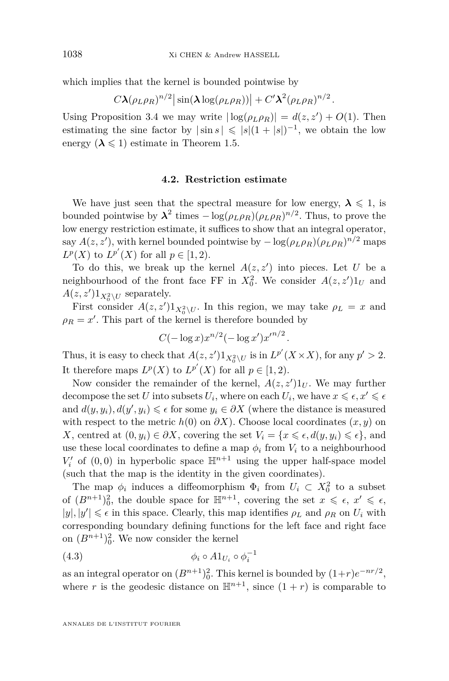which implies that the kernel is bounded pointwise by

$$
C\boldsymbol{\lambda}(\rho_L\rho_R)^{n/2}\big|\sin(\boldsymbol{\lambda}\log(\rho_L\rho_R))\big|+C'\boldsymbol{\lambda}^2(\rho_L\rho_R)^{n/2}.
$$

Using Proposition [3.4](#page-25-0) we may write  $|\log(\rho_L \rho_R)| = d(z, z') + O(1)$ . Then estimating the sine factor by  $|\sin s| \leqslant |s|(1+|s|)^{-1}$ , we obtain the low energy  $(\lambda \leq 1)$  estimate in Theorem [1.5.](#page-11-0)

## **4.2. Restriction estimate**

We have just seen that the spectral measure for low energy,  $\lambda \leq 1$ , is bounded pointwise by  $\lambda^2$  times  $-\log(\rho_L \rho_R)(\rho_L \rho_R)^{n/2}$ . Thus, to prove the low energy restriction estimate, it suffices to show that an integral operator, say  $A(z, z')$ , with kernel bounded pointwise by  $-\log(\rho_L \rho_R)(\rho_L \rho_R)^{n/2}$  maps *L*<sup>*p*</sup></sup>(*X*) for all  $p \in [1, 2)$ .

To do this, we break up the kernel  $A(z, z')$  into pieces. Let *U* be a neighbourhood of the front face FF in  $X_0^2$ . We consider  $A(z, z')1_U$  and  $A(z, z')1_{X_0^2 \setminus U}$  separately.

First consider  $A(z, z') 1_{X_0^2 \setminus U}$ . In this region, we may take  $\rho_L = x$  and  $\rho_R = x'$ . This part of the kernel is therefore bounded by

$$
C(-\log x)x^{n/2}(-\log x')x'^{n/2}
$$
.

Thus, it is easy to check that  $A(z, z')1_{X_0^2 \setminus U}$  is in  $L^{p'}(X \times X)$ , for any  $p' > 2$ . It therefore maps  $L^p(X)$  to  $L^{p'}(X)$  for all  $p \in [1, 2)$ .

Now consider the remainder of the kernel,  $A(z, z')1_U$ . We may further decompose the set *U* into subsets  $U_i$ , where on each  $U_i$ , we have  $x \leq \epsilon, x' \leq \epsilon$ and  $d(y, y_i)$ ,  $d(y', y_i) \leq \epsilon$  for some  $y_i \in \partial X$  (where the distance is measured with respect to the metric  $h(0)$  on  $\partial X$ ). Choose local coordinates  $(x, y)$  on *X*, centred at  $(0, y_i) \in \partial X$ , covering the set  $V_i = \{x \leq \epsilon, d(y, y_i) \leq \epsilon\}$ , and use these local coordinates to define a map  $\phi_i$  from  $V_i$  to a neighbourhood  $V_i'$  of  $(0,0)$  in hyperbolic space  $\mathbb{H}^{n+1}$  using the upper half-space model (such that the map is the identity in the given coordinates).

The map  $\phi_i$  induces a diffeomorphism  $\Phi_i$  from  $U_i \subset X_0^2$  to a subset of  $(B^{n+1})_0^2$ , the double space for  $\mathbb{H}^{n+1}$ , covering the set  $x \leq \epsilon$ ,  $x' \leq \epsilon$ ,  $|y|, |y'| \leq \epsilon$  in this space. Clearly, this map identifies  $\rho_L$  and  $\rho_R$  on  $U_i$  with corresponding boundary defining functions for the left face and right face on  $(B^{n+1})_0^2$ . We now consider the kernel

<span id="page-28-0"></span>
$$
\phi_i \circ A1_{U_i} \circ \phi_i^{-1}
$$

as an integral operator on  $(B^{n+1})_0^2$ . This kernel is bounded by  $(1+r)e^{-nr/2}$ , where *r* is the geodesic distance on  $\mathbb{H}^{n+1}$ , since  $(1+r)$  is comparable to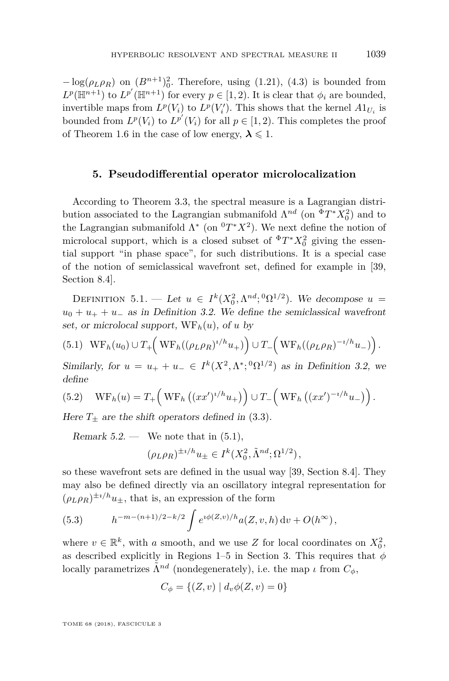$-\log(\rho_L \rho_R)$  on  $(B^{n+1})_0^2$ . Therefore, using [\(1.21\)](#page-12-1), [\(4.3\)](#page-28-0) is bounded from  $L^p(\mathbb{H}^{n+1})$  to  $L^{p'}(\mathbb{H}^{n+1})$  for every  $p \in [1, 2)$ . It is clear that  $\phi_i$  are bounded, invertible maps from  $L^p(V_i)$  to  $L^p(V'_i)$ . This shows that the kernel  $A1_{U_i}$  is bounded from  $L^p(V_i)$  to  $L^{p'}(V_i)$  for all  $p \in [1, 2)$ . This completes the proof of Theorem [1.6](#page-12-0) in the case of low energy,  $\lambda \leq 1$ .

## **5. Pseudodifferential operator microlocalization**

<span id="page-29-0"></span>According to Theorem [3.3,](#page-23-2) the spectral measure is a Lagrangian distribution associated to the Lagrangian submanifold  $\Lambda^{nd}$  (on <sup> $\Phi T^* X_0^2$ </sup>) and to the Lagrangian submanifold  $\Lambda^*$  (on  ${}^0T^*X^2$ ). We next define the notion of microlocal support, which is a closed subset of  ${}^{\Phi}T^*X_0^2$  giving the essential support "in phase space", for such distributions. It is a special case of the notion of semiclassical wavefront set, defined for example in [\[39,](#page-64-14) Section 8.4].

DEFINITION 5.1. — Let  $u \in I^k(X_0^2, \Lambda^{nd}; {}^0\Omega^{1/2})$ . We decompose  $u =$  $u_0 + u_+ + u_-$  as in Definition [3.2.](#page-23-3) We define the semiclassical wavefront set, or microlocal support,  $WF_h(u)$ , of *u* by

<span id="page-29-1"></span>
$$
(5.1) \quad \text{WF}_h(u_0) \cup T_+\left(\text{WF}_h((\rho_L \rho_R)^{i/h} u_+)\right) \cup T_-\left(\text{WF}_h((\rho_L \rho_R)^{-i/h} u_-)\right).
$$

Similarly, for  $u = u_+ + u_- \in I^k(X^2, \Lambda^*, {}^0\Omega^{1/2})$  as in Definition [3.2,](#page-23-3) we define

<span id="page-29-3"></span>(5.2) 
$$
\operatorname{WF}_h(u) = T_+\left(\operatorname{WF}_h\left((xx')^{i/h}u_+\right)\right) \cup T_-\left(\operatorname{WF}_h\left((xx')^{-i/h}u_-\right)\right).
$$

Here  $T_{\pm}$  are the shift operators defined in [\(3.3\)](#page-22-0).

Remark  $5.2$  — We note that in  $(5.1)$ ,

$$
(\rho_L \rho_R)^{\pm i/h} u_\pm \in I^k(X_0^2, \tilde{\Lambda}^{nd}; \Omega^{1/2}),
$$

so these wavefront sets are defined in the usual way [\[39,](#page-64-14) Section 8.4]. They may also be defined directly via an oscillatory integral representation for  $(\rho_L \rho_R)^{\pm i/h} u_{\pm}$ , that is, an expression of the form

<span id="page-29-2"></span>(5.3) 
$$
h^{-m-(n+1)/2-k/2} \int e^{i\phi(Z,v)/h} a(Z,v,h) dv + O(h^{\infty}),
$$

where  $v \in \mathbb{R}^k$ , with *a* smooth, and we use *Z* for local coordinates on  $X_0^2$ , as described explicitly in Regions 1–5 in Section [3.](#page-18-0) This requires that  $\phi$ locally parametrizes  $\tilde{\Lambda}^{nd}$  (nondegenerately), i.e. the map *ι* from  $C_{\phi}$ ,

$$
C_{\phi} = \{(Z, v) \mid d_v \phi(Z, v) = 0\}
$$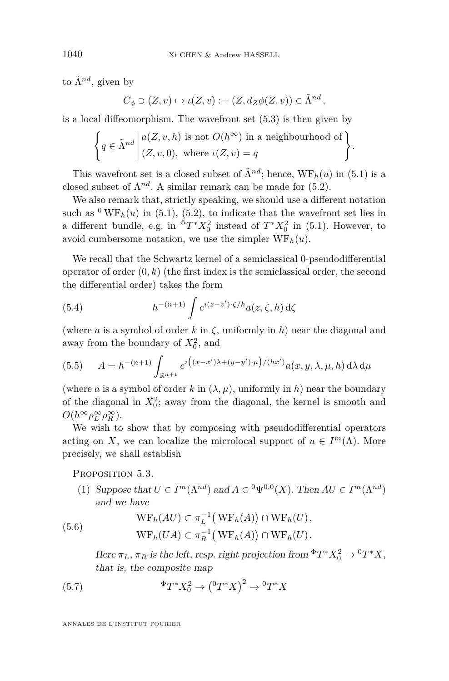to  $\tilde{\Lambda}^{nd}$ , given by

$$
C_{\phi} \ni (Z, v) \mapsto \iota(Z, v) := (Z, d_Z \phi(Z, v)) \in \tilde{\Lambda}^{nd},
$$

is a local diffeomorphism. The wavefront set [\(5.3\)](#page-29-2) is then given by

$$
\left\{ q \in \tilde{\Lambda}^{nd} \middle| \begin{aligned} &a(Z, v, h) \text{ is not } O(h^{\infty}) \text{ in a neighbourhood of} \\ & (Z, v, 0), \text{ where } \iota(Z, v) = q \end{aligned} \right\}.
$$

This wavefront set is a closed subset of  $\tilde{\Lambda}^{nd}$ ; hence,  $WF_h(u)$  in [\(5.1\)](#page-29-1) is a closed subset of  $\Lambda^{nd}$ . A similar remark can be made for  $(5.2)$ .

We also remark that, strictly speaking, we should use a different notation such as  $\rm{^0WF}_h(u)$  in [\(5.1\)](#page-29-1), [\(5.2\)](#page-29-3), to indicate that the wavefront set lies in a different bundle, e.g. in  ${}^{\Phi}T^*X_0^2$  instead of  $T^*X_0^2$  in [\(5.1\)](#page-29-1). However, to avoid cumbersome notation, we use the simpler  $WF_h(u)$ .

We recall that the Schwartz kernel of a semiclassical 0-pseudodifferential operator of order  $(0, k)$  (the first index is the semiclassical order, the second the differential order) takes the form

<span id="page-30-2"></span>(5.4) 
$$
h^{-(n+1)} \int e^{i(z-z')\cdot\zeta/h} a(z,\zeta,h) d\zeta
$$

(where *a* is a symbol of order *k* in *ζ*, uniformly in *h*) near the diagonal and away from the boundary of  $X_0^2$ , and

<span id="page-30-3"></span>(5.5) 
$$
A = h^{-(n+1)} \int_{\mathbb{R}^{n+1}} e^{i \left( (x-x')\lambda + (y-y') \cdot \mu \right) / (hx')} a(x, y, \lambda, \mu, h) d\lambda d\mu
$$

(where *a* is a symbol of order *k* in  $(\lambda, \mu)$ , uniformly in *h*) near the boundary of the diagonal in  $X_0^2$ ; away from the diagonal, the kernel is smooth and  $O(h^{\infty} \rho_L^{\infty} \rho_R^{\infty}).$ 

We wish to show that by composing with pseudodifferential operators acting on *X*, we can localize the microlocal support of  $u \in I^m(\Lambda)$ . More precisely, we shall establish

<span id="page-30-4"></span>PROPOSITION 5.3.

(1) Suppose that  $U \in I^m(\Lambda^{nd})$  and  $A \in {}^0\Psi^{0,0}(X)$ . Then  $AU \in I^m(\Lambda^{nd})$ and we have

(5.6) 
$$
WF_h(AU) \subset \pi_L^{-1}(WF_h(A)) \cap WF_h(U),
$$

$$
WF_h(UA) \subset \pi_R^{-1}(WF_h(A)) \cap WF_h(U).
$$

<span id="page-30-1"></span><span id="page-30-0"></span>Here  $\pi_L$ ,  $\pi_R$  is the left, resp. right projection from  ${}^{\Phi}T^*X_0^2 \to {}^0T^*X$ , that is, the composite map

(5.7) 
$$
{}^{\Phi}T^*X_0^2 \to \left({}^0T^*X\right)^2 \to {}^0T^*X
$$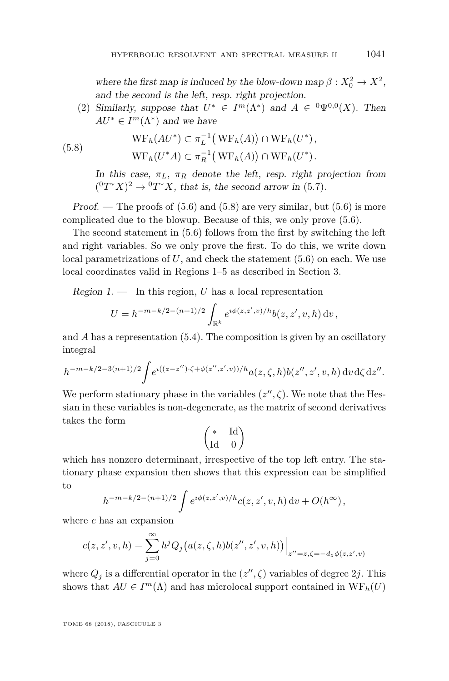where the first map is induced by the blow-down map  $\beta: X_0^2 \to X^2$ , and the second is the left, resp. right projection.

(2) Similarly, suppose that  $U^* \in I^m(\Lambda^*)$  and  $A \in {}^0\Psi^{0,0}(X)$ . Then  $AU^* \in I^m(\Lambda^*)$  and we have

(5.8) 
$$
WF_h(AU^*) \subset \pi_L^{-1}(WF_h(A)) \cap WF_h(U^*),
$$

$$
WF_h(U^*A) \subset \pi_R^{-1}(WF_h(A)) \cap WF_h(U^*).
$$

<span id="page-31-0"></span>In this case,  $\pi_L$ ,  $\pi_R$  denote the left, resp. right projection from  $({}^0T^*X)^2 \rightarrow {}^0T^*X$ , that is, the second arrow in [\(5.7\)](#page-30-0).

Proof. — The proofs of  $(5.6)$  and  $(5.8)$  are very similar, but  $(5.6)$  is more complicated due to the blowup. Because of this, we only prove [\(5.6\)](#page-30-1).

The second statement in [\(5.6\)](#page-30-1) follows from the first by switching the left and right variables. So we only prove the first. To do this, we write down local parametrizations of *U*, and check the statement [\(5.6\)](#page-30-1) on each. We use local coordinates valid in Regions 1–5 as described in Section [3.](#page-18-0)

Region  $1.$  — In this region, *U* has a local representation

$$
U = h^{-m-k/2-(n+1)/2} \int_{\mathbb{R}^k} e^{i\phi(z,z',v)/h} b(z,z',v,h) dv,
$$

and *A* has a representation [\(5.4\)](#page-30-2). The composition is given by an oscillatory integral

$$
h^{-m-k/2-3(n+1)/2} \int e^{\imath((z-z'')\cdot\zeta+\phi(z'',z',v))/h} a(z,\zeta,h) b(z'',z',v,h) \,dv \,d\zeta \,dz''.
$$

We perform stationary phase in the variables  $(z'', \zeta)$ . We note that the Hessian in these variables is non-degenerate, as the matrix of second derivatives takes the form

$$
\begin{pmatrix} * & \mathrm{Id} \\ \mathrm{Id} & 0 \end{pmatrix}
$$

which has nonzero determinant, irrespective of the top left entry. The stationary phase expansion then shows that this expression can be simplified to

$$
h^{-m-k/2-(n+1)/2} \int e^{i\phi(z,z',v)/h} c(z,z',v,h) dv + O(h^{\infty}),
$$

where *c* has an expansion

$$
c(z, z', v, h) = \sum_{j=0}^{\infty} h^j Q_j (a(z, \zeta, h) b(z'', z', v, h)) \Big|_{z'' = z, \zeta = -d_z \phi(z, z', v)}
$$

where  $Q_j$  is a differential operator in the  $(z'', \zeta)$  variables of degree 2*j*. This shows that  $AU \in I^m(\Lambda)$  and has microlocal support contained in  $WF_h(U)$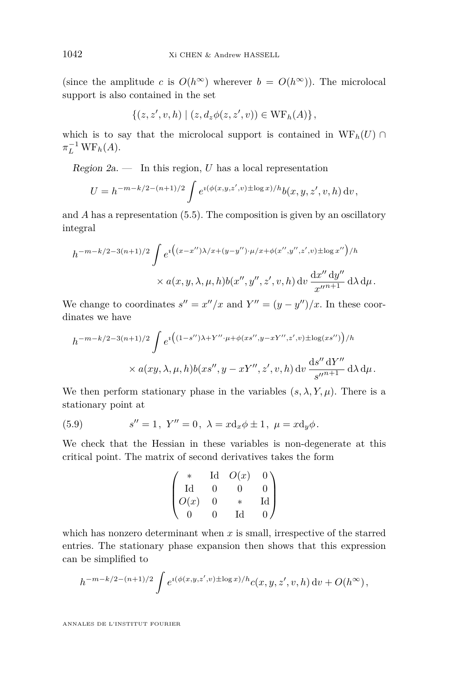(since the amplitude *c* is  $O(h^{\infty})$  wherever  $b = O(h^{\infty})$ ). The microlocal support is also contained in the set

$$
\{(z, z', v, h) \mid (z, d_z \phi(z, z', v)) \in \text{WF}_h(A) \},
$$

which is to say that the microlocal support is contained in  $WF_h(U) \cap$  $\pi_L^{-1} \operatorname{WF}_h(A)$ .

Region  $2a$ . — In this region, *U* has a local representation

$$
U = h^{-m-k/2-(n+1)/2} \int e^{i(\phi(x,y,z',v) \pm \log x)/h} b(x,y,z',v,h) dv,
$$

and *A* has a representation [\(5.5\)](#page-30-3). The composition is given by an oscillatory integral

$$
h^{-m-k/2-3(n+1)/2} \int e^{i \left( (x-x'')\lambda/x + (y-y'') \cdot \mu/x + \phi(x'', y'', z', v) \pm \log x'' \right) / h} \times a(x, y, \lambda, \mu, h) b(x'', y'', z', v, h) dv \frac{dx'' dy''}{x''^{n+1}} d\lambda d\mu.
$$

We change to coordinates  $s'' = x''/x$  and  $Y'' = (y - y'')/x$ . In these coordinates we have

$$
h^{-m-k/2-3(n+1)/2} \int e^{i \left( (1-s'')\lambda + Y'' \cdot \mu + \phi(xs'', y - xY'', z', v) \pm \log(xs'') \right) / h}
$$
  
×  $a(xy, \lambda, \mu, h) b(xs'', y - xY'', z', v, h) dv \frac{ds'' dY''}{s''^{n+1}} d\lambda d\mu.$ 

We then perform stationary phase in the variables  $(s, \lambda, Y, \mu)$ . There is a stationary point at

<span id="page-32-0"></span>(5.9) 
$$
s'' = 1
$$
,  $Y'' = 0$ ,  $\lambda = x d_x \phi \pm 1$ ,  $\mu = x d_y \phi$ .

We check that the Hessian in these variables is non-degenerate at this critical point. The matrix of second derivatives takes the form

$$
\begin{pmatrix}\n* & \text{Id} & O(x) & 0 \\
\text{Id} & 0 & 0 & 0 \\
O(x) & 0 & * & \text{Id} \\
0 & 0 & \text{Id} & 0\n\end{pmatrix}
$$

which has nonzero determinant when *x* is small, irrespective of the starred entries. The stationary phase expansion then shows that this expression can be simplified to

$$
h^{-m-k/2-(n+1)/2} \int e^{i(\phi(x,y,z',v) \pm \log x)/h} c(x,y,z',v,h) dv + O(h^{\infty}),
$$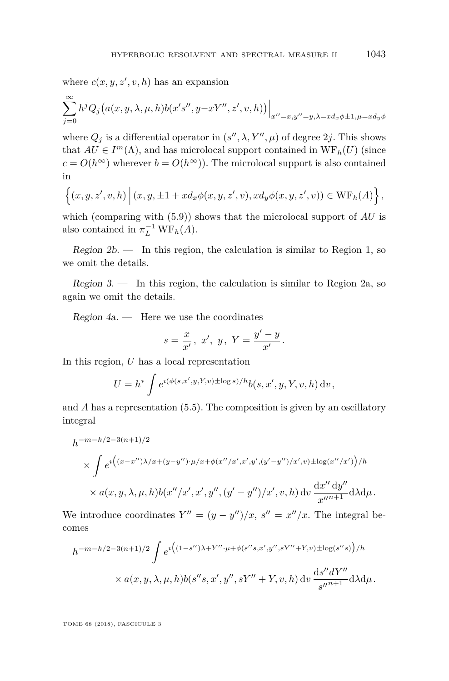where  $c(x, y, z', v, h)$  has an expansion

$$
\sum_{j=0}^{\infty} h^j Q_j (a(x, y, \lambda, \mu, h) b(x's'', y-xY'', z', v, h)) \Big|_{x''=x, y''=y, \lambda=x d_x \phi \pm 1, \mu=x d_y \phi}
$$

where  $Q_j$  is a differential operator in  $(s'', \lambda, Y'', \mu)$  of degree  $2j$ . This shows that  $AU \in I^m(\Lambda)$ , and has microlocal support contained in  $WF_h(U)$  (since  $c = O(h^{\infty})$  wherever  $b = O(h^{\infty})$ . The microlocal support is also contained in

$$
\left\{(x,y,z',v,h)\,\Big|\,(x,y,\pm 1+xd_x\phi(x,y,z',v),xd_y\phi(x,y,z',v))\in \mathrm{WF}_h(A)\right\},\
$$

which (comparing with  $(5.9)$ ) shows that the microlocal support of *AU* is also contained in  $\pi_L^{-1} \text{WF}_h(A)$ .

Region  $2b$ . — In this region, the calculation is similar to Region 1, so we omit the details.

Region  $3.$  — In this region, the calculation is similar to Region 2a, so again we omit the details.

 $Region\ 4a.$  — Here we use the coordinates

$$
s = \frac{x}{x'}
$$
, x', y, Y =  $\frac{y'-y}{x'}$ .

In this region, *U* has a local representation

$$
U = h^* \int e^{i(\phi(s,x',y,Y,v) \pm \log s)/h} b(s,x',y,Y,v,h) dv,
$$

and *A* has a representation [\(5.5\)](#page-30-3). The composition is given by an oscillatory integral

$$
h^{-m-k/2-3(n+1)/2}
$$
  
\$\times \int e^{i((x-x'')\lambda/x+(y-y'')\cdot\mu/x+\phi(x''/x',x',y',(y'-y'')/x',v)\pm \log(x''/x')}/h\$  
\$\times a(x,y,\lambda,\mu,h)b(x''/x',x',y'',(y'-y'')/x',v,h) \, dv\$ \$\frac{dx''}{x''^{n+1}}d\lambda d\mu\$.\$

We introduce coordinates  $Y'' = (y - y'')/x$ ,  $s'' = x''/x$ . The integral becomes

$$
h^{-m-k/2-3(n+1)/2} \int e^{i \left( (1-s'')\lambda + Y'' \cdot \mu + \phi(s''s, x', y'', sY'' + Y, v) \pm \log(s''s) \right) / h}
$$
  
×  $a(x, y, \lambda, \mu, h) b(s''s, x', y'', sY'' + Y, v, h) dv \frac{ds'' dY''}{s''^{n+1}} d\lambda d\mu.$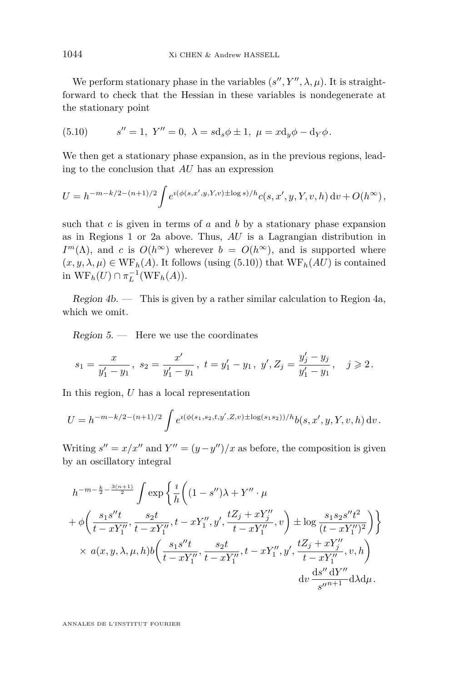We perform stationary phase in the variables  $(s'', Y'', \lambda, \mu)$ . It is straightforward to check that the Hessian in these variables is nondegenerate at the stationary point

<span id="page-34-0"></span>(5.10) 
$$
s'' = 1
$$
,  $Y'' = 0$ ,  $\lambda = s d_s \phi \pm 1$ ,  $\mu = x d_y \phi - d_Y \phi$ .

We then get a stationary phase expansion, as in the previous regions, leading to the conclusion that *AU* has an expression

$$
U = h^{-m-k/2-(n+1)/2} \int e^{i(\phi(s,x',y,Y,v) \pm \log s)/h} c(s,x',y,Y,v,h) \, dv + O(h^{\infty}),
$$

such that *c* is given in terms of *a* and *b* by a stationary phase expansion as in Regions 1 or 2a above. Thus, *AU* is a Lagrangian distribution in *I*<sup>m</sup>( $\Lambda$ ), and *c* is  $O(h^{\infty})$  wherever  $b = O(h^{\infty})$ , and is supported where  $(x, y, \lambda, \mu) \in \text{WF}_h(A)$ . It follows (using [\(5.10\)](#page-34-0)) that  $\text{WF}_h(AU)$  is contained in  $WF_h(U) \cap \pi_L^{-1}(WF_h(A)).$ 

Region  $4b$ . — This is given by a rather similar calculation to Region  $4a$ , which we omit.

 $Region 5.$  — Here we use the coordinates

$$
s_1=\frac{x}{y'_1-y_1},\,\,s_2=\frac{x'}{y'_1-y_1},\,\,t=y'_1-y_1,\,\,y',Z_j=\frac{y'_j-y_j}{y'_1-y_1},\quad j\geqslant 2\,.
$$

In this region, *U* has a local representation

$$
U = h^{-m-k/2-(n+1)/2} \int e^{i(\phi(s_1,s_2,t,y',Z,v) \pm \log(s_1s_2))/h} b(s,x',y,Y,v,h) \, dv.
$$

Writing  $s'' = x/x''$  and  $Y'' = (y - y'')/x$  as before, the composition is given by an oscillatory integral

$$
\begin{split} h^{-m-\frac{k}{2}-\frac{3(n+1)}{2}} &\int \exp\left\{\frac{\imath}{h}\bigg((1-s'')\lambda+Y''\cdot\mu \right.\\&\left. +\phi\bigg(\frac{s_1s''t}{t-xY_1''},\frac{s_2t}{t-xY_1''},t-xY_1'',y',\frac{tZ_j+xY_j''}{t-xY_1''},v\bigg)\pm\log\frac{s_1s_2s''t^2}{(t-xY_1'')^2}\bigg)\right\}\\&\times\, a(x,y,\lambda,\mu,h)b\bigg(\frac{s_1s''t}{t-xY_1''},\frac{s_2t}{t-xY_1''},t-xY_1'',y',\frac{tZ_j+xY_j''}{t-xY_1''},v,h\bigg)\\&\text{d} v\,\frac{\mathrm{d}s''\,\mathrm{d}Y''}{s''^{n+1}}\mathrm{d}\lambda\mathrm{d}\mu. \end{split}
$$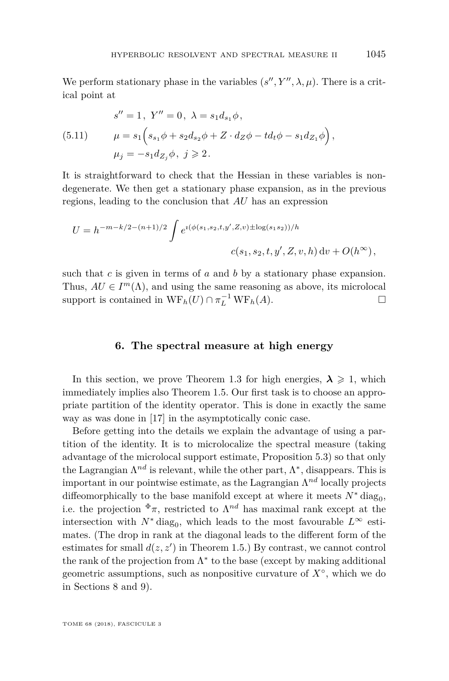We perform stationary phase in the variables  $(s'', Y'', \lambda, \mu)$ . There is a critical point at

(5.11) 
$$
s'' = 1, Y'' = 0, \lambda = s_1 d_{s_1} \phi,
$$

$$
\mu = s_1 \left( s_{s_1} \phi + s_2 d_{s_2} \phi + Z \cdot d_Z \phi - t d_t \phi - s_1 d_{Z_1} \phi \right),
$$

$$
\mu_j = -s_1 d_{Z_j} \phi, j \ge 2.
$$

It is straightforward to check that the Hessian in these variables is nondegenerate. We then get a stationary phase expansion, as in the previous regions, leading to the conclusion that *AU* has an expression

$$
U = h^{-m-k/2-(n+1)/2} \int e^{i(\phi(s_1,s_2,t,y',Z,v) \pm \log(s_1s_2))/h}
$$
  

$$
c(s_1,s_2,t,y',Z,v,h) dv + O(h^{\infty}),
$$

such that *c* is given in terms of *a* and *b* by a stationary phase expansion. Thus,  $AU \in I^m(\Lambda)$ , and using the same reasoning as above, its microlocal support is contained in  $WF_h(U) \cap \pi_L^{-1} WF_h(A)$ .

## **6. The spectral measure at high energy**

<span id="page-35-0"></span>In this section, we prove Theorem [1.3](#page-10-1) for high energies,  $\lambda \geq 1$ , which immediately implies also Theorem [1.5.](#page-11-0) Our first task is to choose an appropriate partition of the identity operator. This is done in exactly the same way as was done in [\[17\]](#page-63-1) in the asymptotically conic case.

Before getting into the details we explain the advantage of using a partition of the identity. It is to microlocalize the spectral measure (taking advantage of the microlocal support estimate, Proposition [5.3\)](#page-30-4) so that only the Lagrangian  $\Lambda^{nd}$  is relevant, while the other part,  $\Lambda^*$ , disappears. This is important in our pointwise estimate, as the Lagrangian Λ *nd* locally projects diffeomorphically to the base manifold except at where it meets  $N^*$  diag<sub>0</sub>, i.e. the projection  $\Phi \pi$ , restricted to  $\Lambda^{nd}$  has maximal rank except at the intersection with  $N^*$  diag<sub>0</sub>, which leads to the most favourable  $L^{\infty}$  estimates. (The drop in rank at the diagonal leads to the different form of the estimates for small  $d(z, z')$  in Theorem [1.5.](#page-11-0)) By contrast, we cannot control the rank of the projection from  $\Lambda^*$  to the base (except by making additional geometric assumptions, such as nonpositive curvature of *X*◦ , which we do in Sections [8](#page-48-0) and [9\)](#page-54-0).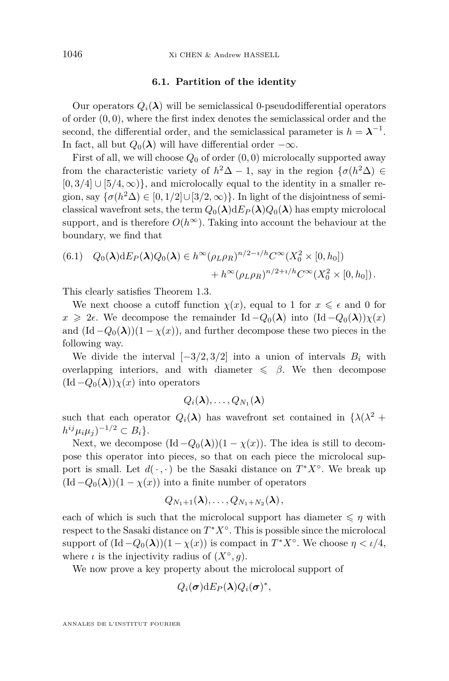#### **6.1. Partition of the identity**

Our operators  $Q_i(\lambda)$  will be semiclassical 0-pseudodifferential operators of order (0*,* 0), where the first index denotes the semiclassical order and the second, the differential order, and the semiclassical parameter is  $h = \lambda^{-1}$ . In fact, all but  $Q_0(\lambda)$  will have differential order  $-\infty$ .

First of all, we will choose  $Q_0$  of order  $(0,0)$  microlocally supported away from the characteristic variety of  $h^2\Delta - 1$ , say in the region  $\{\sigma(h^2\Delta) \in$  $[0,3/4] \cup [5/4,\infty)$ , and microlocally equal to the identity in a smaller region, say  $\{\sigma(h^2\Delta) \in [0, 1/2] \cup [3/2, \infty)\}\$ . In light of the disjointness of semiclassical wavefront sets, the term  $Q_0(\lambda) dE_P(\lambda) Q_0(\lambda)$  has empty microlocal support, and is therefore  $O(h^{\infty})$ . Taking into account the behaviour at the boundary, we find that

(6.1) 
$$
Q_0(\lambda) dE_P(\lambda) Q_0(\lambda) \in h^{\infty} (\rho_L \rho_R)^{n/2 - i/h} C^{\infty}(X_0^2 \times [0, h_0])
$$
  
  $+ h^{\infty} (\rho_L \rho_R)^{n/2 + i/h} C^{\infty}(X_0^2 \times [0, h_0]).$ 

This clearly satisfies Theorem [1.3.](#page-10-1)

We next choose a cutoff function  $\chi(x)$ , equal to 1 for  $x \leq \epsilon$  and 0 for  $x \geq 2\epsilon$ . We decompose the remainder Id  $-Q_0(\lambda)$  into  $(\text{Id}-Q_0(\lambda))\chi(x)$ and  $(\text{Id} - Q_0(\lambda))(1 - \chi(x))$ , and further decompose these two pieces in the following way.

We divide the interval  $[-3/2, 3/2]$  into a union of intervals  $B_i$  with overlapping interiors, and with diameter  $\leq \beta$ . We then decompose  $(\text{Id}-Q_0(\lambda))\chi(x)$  into operators

$$
Q_i(\boldsymbol{\lambda}),\ldots,Q_{N_1}(\boldsymbol{\lambda})
$$

such that each operator  $Q_i(\lambda)$  has wavefront set contained in  $\{\lambda(\lambda^2 + \lambda)\}$  $h^{ij}\mu_i\mu_j)^{-1/2} \subset B_i$ .

Next, we decompose  $(\text{Id} - Q_0(\lambda))(1 - \chi(x))$ . The idea is still to decompose this operator into pieces, so that on each piece the microlocal support is small. Let  $d(\cdot, \cdot)$  be the Sasaki distance on  $T^*X^\circ$ . We break up  $(\text{Id}-Q_0(\lambda))(1-\chi(x))$  into a finite number of operators

$$
Q_{N_1+1}(\boldsymbol{\lambda}),\ldots,Q_{N_1+N_2}(\boldsymbol{\lambda})\,,
$$

each of which is such that the microlocal support has diameter  $\leq \eta$  with respect to the Sasaki distance on *T* <sup>∗</sup>*X*◦ . This is possible since the microlocal support of  $(\text{Id} - Q_0(\lambda))(1 - \chi(x))$  is compact in  $T^*X^\circ$ . We choose  $\eta < \iota/4$ , where *ι* is the injectivity radius of  $(X^{\circ}, g)$ .

We now prove a key property about the microlocal support of

$$
Q_i(\boldsymbol{\sigma})dE_P(\boldsymbol{\lambda})Q_i(\boldsymbol{\sigma})^*,
$$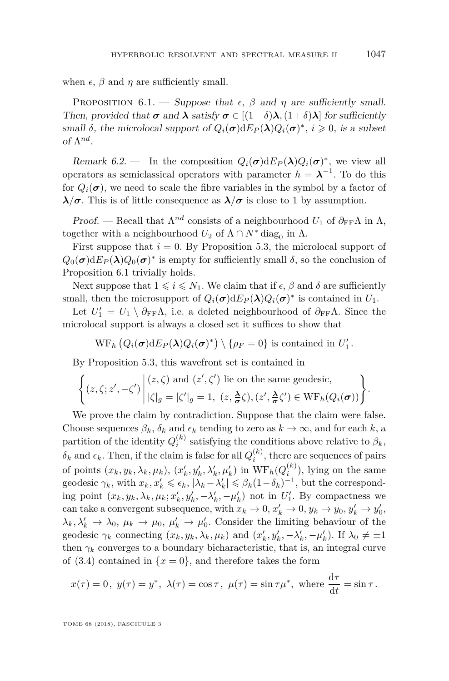when  $\epsilon$ ,  $\beta$  and  $\eta$  are sufficiently small.

<span id="page-37-0"></span>PROPOSITION 6.1. — Suppose that  $\epsilon$ ,  $\beta$  and  $\eta$  are sufficiently small. Then, provided that  $\sigma$  and  $\lambda$  satisfy  $\sigma \in [(1-\delta)\lambda, (1+\delta)\lambda]$  for sufficiently small  $\delta$ , the microlocal support of  $Q_i(\sigma) dE_P(\lambda) Q_i(\sigma)^*$ ,  $i \geq 0$ , is a subset of Λ *nd* .

Remark 6.2. — In the composition  $Q_i(\sigma) dE_P(\lambda) Q_i(\sigma)^*$ , we view all operators as semiclassical operators with parameter  $h = \lambda^{-1}$ . To do this for  $Q_i(\sigma)$ , we need to scale the fibre variables in the symbol by a factor of *λ*/*σ*. This is of little consequence as  $\lambda/\sigma$  is close to 1 by assumption.

Proof. — Recall that  $\Lambda^{nd}$  consists of a neighbourhood  $U_1$  of  $\partial_{FF}\Lambda$  in  $\Lambda$ , together with a neighbourhood  $U_2$  of  $\Lambda \cap N^*$  diag<sub>0</sub> in  $\Lambda$ .

First suppose that  $i = 0$ . By Proposition [5.3,](#page-30-4) the microlocal support of  $Q_0(\sigma) dE_P(\lambda) Q_0(\sigma)^*$  is empty for sufficiently small  $\delta$ , so the conclusion of Proposition [6.1](#page-37-0) trivially holds.

Next suppose that  $1 \leq i \leq N_1$ . We claim that if  $\epsilon$ ,  $\beta$  and  $\delta$  are sufficiently small, then the microsupport of  $Q_i(\sigma) dE_P(\lambda) Q_i(\sigma)^*$  is contained in  $U_1$ .

Let  $U_1' = U_1 \setminus \partial_{FF} \Lambda$ , i.e. a deleted neighbourhood of  $\partial_{FF} \Lambda$ . Since the microlocal support is always a closed set it suffices to show that

$$
\operatorname{WF}_h(Q_i(\boldsymbol{\sigma})\mathrm{d}E_P(\boldsymbol{\lambda})Q_i(\boldsymbol{\sigma})^*)\setminus\{\rho_F=0\}\text{ is contained in }U'_1.
$$

By Proposition [5.3,](#page-30-4) this wavefront set is contained in

$$
\left\{ (z,\zeta;z',-\zeta') \middle| \begin{aligned} (z,\zeta) \text{ and } (z',\zeta') \text{ lie on the same geodesic,} \\ |\zeta|_g = |\zeta'|_g = 1, & (z,\frac{\lambda}{\sigma}\zeta), (z',\frac{\lambda}{\sigma}\zeta') \in \mathrm{WF}_h(Q_i(\sigma)) \end{aligned} \right\}.
$$

We prove the claim by contradiction. Suppose that the claim were false. Choose sequences  $\beta_k$ ,  $\delta_k$  and  $\epsilon_k$  tending to zero as  $k \to \infty$ , and for each  $k$ , a partition of the identity  $Q_i^{(k)}$  satisfying the conditions above relative to  $\beta_k$ ,  $\delta_k$  and  $\epsilon_k$ . Then, if the claim is false for all  $Q_i^{(k)}$ , there are sequences of pairs of points  $(x_k, y_k, \lambda_k, \mu_k)$ ,  $(x'_k, y'_k, \lambda'_k, \mu'_k)$  in  $WF_h(Q_i^{(k)})$ , lying on the same geodesic  $\gamma_k$ , with  $x_k, x'_k \leq \epsilon_k$ ,  $|\lambda_k - \lambda'_k| \leq \beta_k (1 - \delta_k)^{-1}$ , but the corresponding point  $(x_k, y_k, \lambda_k, \mu_k; x'_k, y'_k, -\lambda'_k, -\mu'_k)$  not in  $U'_1$ . By compactness we can take a convergent subsequence, with  $x_k \to 0$ ,  $x'_k \to 0$ ,  $y_k \to y_0$ ,  $y'_k \to y'_0$ ,  $\lambda_k, \lambda'_k \to \lambda_0, \mu_k \to \mu_0, \mu'_k \to \mu'_0$ . Consider the limiting behaviour of the geodesic  $\gamma_k$  connecting  $(x_k, y_k, \lambda_k, \mu_k)$  and  $(x'_k, y'_k, -\lambda'_k, -\mu'_k)$ . If  $\lambda_0 \neq \pm 1$ then  $\gamma_k$  converges to a boundary bicharacteristic, that is, an integral curve of [\(3.4\)](#page-26-1) contained in  $\{x=0\}$ , and therefore takes the form

$$
x(\tau) = 0
$$
,  $y(\tau) = y^*$ ,  $\lambda(\tau) = \cos \tau$ ,  $\mu(\tau) = \sin \tau \mu^*$ , where  $\frac{d\tau}{dt} = \sin \tau$ .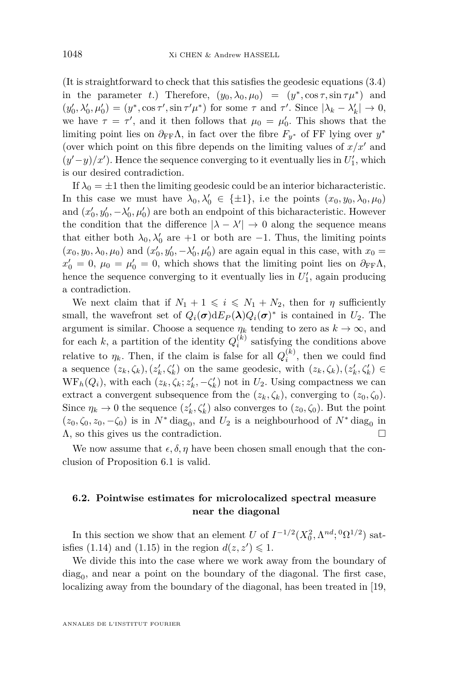(It is straightforward to check that this satisfies the geodesic equations [\(3.4\)](#page-26-1) in the parameter *t*.) Therefore,  $(y_0, \lambda_0, \mu_0) = (y^*, \cos \tau, \sin \tau \mu^*)$  and  $(y'_0, \lambda'_0, \mu'_0) = (y^*, \cos \tau', \sin \tau' \mu^*)$  for some  $\tau$  and  $\tau'$ . Since  $|\lambda_k - \lambda'_k| \to 0$ , we have  $\tau = \tau'$ , and it then follows that  $\mu_0 = \mu'_0$ . This shows that the limiting point lies on  $\partial_{\text{FF}}\Lambda$ , in fact over the fibre  $F_{y^*}$  of FF lying over  $y^*$ (over which point on this fibre depends on the limiting values of  $x/x'$  and  $(y'-y)/x'$ ). Hence the sequence converging to it eventually lies in  $U'_1$ , which is our desired contradiction.

If  $\lambda_0 = \pm 1$  then the limiting geodesic could be an interior bicharacteristic. In this case we must have  $\lambda_0, \lambda'_0 \in {\pm 1}$ , i.e the points  $(x_0, y_0, \lambda_0, \mu_0)$ and  $(x'_0, y'_0, -\lambda'_0, \mu'_0)$  are both an endpoint of this bicharacteristic. However the condition that the difference  $|\lambda - \lambda'| \to 0$  along the sequence means that either both  $\lambda_0, \lambda'_0$  are +1 or both are -1. Thus, the limiting points  $(x_0, y_0, \lambda_0, \mu_0)$  and  $(x'_0, y'_0, -\lambda'_0, \mu'_0)$  are again equal in this case, with  $x_0 =$  $x'_0 = 0, \mu_0 = \mu'_0 = 0$ , which shows that the limiting point lies on  $\partial_{FF}\Lambda$ , hence the sequence converging to it eventually lies in  $U_1'$ , again producing a contradiction.

We next claim that if  $N_1 + 1 \leq i \leq N_1 + N_2$ , then for *η* sufficiently small, the wavefront set of  $Q_i(\sigma) dE_P(\lambda) Q_i(\sigma)^*$  is contained in  $U_2$ . The argument is similar. Choose a sequence  $\eta_k$  tending to zero as  $k \to \infty$ , and for each  $k$ , a partition of the identity  $Q_i^{(k)}$  satisfying the conditions above relative to  $\eta_k$ . Then, if the claim is false for all  $Q_i^{(k)}$ , then we could find a sequence  $(z_k, \zeta_k), (z'_k, \zeta'_k)$  on the same geodesic, with  $(z_k, \zeta_k), (z'_k, \zeta'_k) \in$  $WF_h(Q_i)$ , with each  $(z_k, \zeta_k; z'_k, -\zeta'_k)$  not in  $U_2$ . Using compactness we can extract a convergent subsequence from the  $(z_k, \zeta_k)$ , converging to  $(z_0, \zeta_0)$ . Since  $\eta_k \to 0$  the sequence  $(z'_k, \zeta'_k)$  also converges to  $(z_0, \zeta_0)$ . But the point  $(z_0, \zeta_0, z_0, -\zeta_0)$  is in  $N^*$  diag<sub>0</sub>, and  $U_2$  is a neighbourhood of  $N^*$  diag<sub>0</sub> in  $\Lambda$ , so this gives us the contradiction.

We now assume that  $\epsilon, \delta, \eta$  have been chosen small enough that the conclusion of Proposition [6.1](#page-37-0) is valid.

## **6.2. Pointwise estimates for microlocalized spectral measure near the diagonal**

In this section we show that an element *U* of  $I^{-1/2}(X_0^2, \Lambda^{nd}; {}^0\Omega^{1/2})$  sat-isfies [\(1.14\)](#page-10-2) and [\(1.15\)](#page-11-1) in the region  $d(z, z') \leq 1$ .

We divide this into the case where we work away from the boundary of  $\text{diag}_0$ , and near a point on the boundary of the diagonal. The first case, localizing away from the boundary of the diagonal, has been treated in [\[19,](#page-63-13)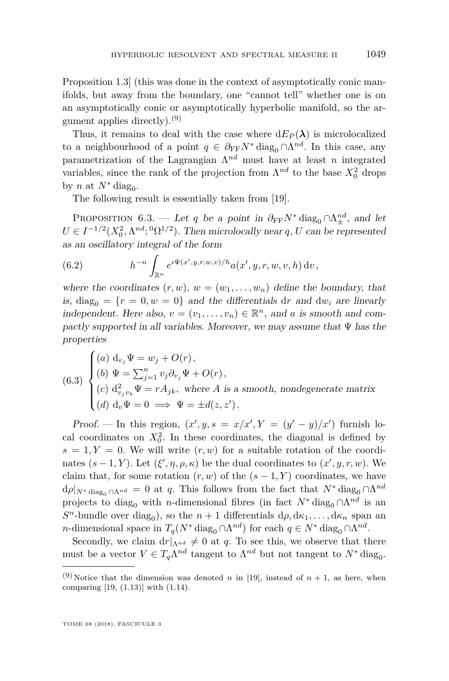Proposition 1.3] (this was done in the context of asymptotically conic manifolds, but away from the boundary, one "cannot tell" whether one is on an asymptotically conic or asymptotically hyperbolic manifold, so the argument applies directly).<sup>(9)</sup>

Thus, it remains to deal with the case where  $dE_P(\lambda)$  is microlocalized to a neighbourhood of a point  $q \in \partial_{FF} N^*$  diag<sub>0</sub> ∩  $\Lambda^{nd}$ . In this case, any parametrization of the Lagrangian Λ *nd* must have at least *n* integrated variables, since the rank of the projection from  $\Lambda^{nd}$  to the base  $X_0^2$  drops by *n* at  $N^*$  diag<sub>0</sub>.

The following result is essentially taken from [\[19\]](#page-63-13).

<span id="page-39-5"></span>PROPOSITION 6.3. — Let *q* be a point in  $\partial_{FF} N^*$  diag<sub>0</sub> ∩ $\Lambda^{nd}_{\pm}$ , and let  $U \in I^{-1/2}(X_0^2, \Lambda^{nd}; {}^0\Omega^{1/2})$ . Then microlocally near *q*, *U* can be represented as an oscillatory integral of the form

<span id="page-39-2"></span>(6.2) 
$$
h^{-n} \int_{\mathbb{R}^n} e^{i\Psi(x',y,r,w,v)/h} a(x',y,r,w,v,h) dv,
$$

where the coordinates  $(r, w)$ ,  $w = (w_1, \ldots, w_n)$  define the boundary, that is, diag<sub>0</sub> =  $\{r = 0, w = 0\}$  and the differentials dr and dw<sub>*i*</sub> are linearly independent. Here also,  $v = (v_1, \ldots, v_n) \in \mathbb{R}^n$ , and *a* is smooth and compactly supported in all variables. Moreover, we may assume that  $\Psi$  has the properties

<span id="page-39-6"></span><span id="page-39-3"></span><span id="page-39-0"></span>(6.3) 
$$
\begin{cases} (a) \ d_{v_j} \Psi = w_j + O(r), \\ (b) \ \Psi = \sum_{j=1}^n v_j \partial_{v_j} \Psi + O(r), \\ (c) \ d_{v_j v_k}^2 \Psi = r A_{jk}, \text{ where } A \text{ is a smooth, nondegenerate matrix} \\ (d) \ d_v \Psi = 0 \implies \Psi = \pm d(z, z'). \end{cases}
$$

<span id="page-39-4"></span><span id="page-39-1"></span>Proof. — In this region,  $(x', y, s = x/x', Y = (y' - y)/x')$  furnish local coordinates on  $X_0^2$ . In these coordinates, the diagonal is defined by  $s = 1, Y = 0$ . We will write  $(r, w)$  for a suitable rotation of the coordinates  $(s-1, Y)$ . Let  $(\xi', \eta, \rho, \kappa)$  be the dual coordinates to  $(x', y, r, w)$ . We claim that, for some rotation  $(r, w)$  of the  $(s - 1, Y)$  coordinates, we have  $d\rho|_{N^* \text{ diag}_0 \cap \Lambda^{nd}} = 0$  at *q*. This follows from the fact that  $N^* \text{ diag}_0 \cap \Lambda^{nd}$ projects to diag<sub>0</sub> with *n*-dimensional fibres (in fact  $N^*$  diag<sub>0</sub> ∩ $\Lambda^{nd}$  is an  $S<sup>n</sup>$ -bundle over diag<sub>0</sub>), so the *n* + 1 differentials  $d\rho, d\kappa_1, \ldots, d\kappa_n$  span an *n*-dimensional space in  $T_q(N^* \text{ diag}_0 \cap \Lambda^{nd})$  for each  $q \in N^* \text{ diag}_0 \cap \Lambda^{nd}$ .

Secondly, we claim  $dr|_{\Lambda^{nd}} \neq 0$  at *q*. To see this, we observe that there must be a vector  $V \in T_q \Lambda^{nd}$  tangent to  $\Lambda^{nd}$  but not tangent to  $N^*$  diag<sub>0</sub>.

<sup>&</sup>lt;sup>(9)</sup>Notice that the dimension was denoted *n* in [\[19\]](#page-63-13), instead of  $n + 1$ , as here, when comparing [\[19,](#page-63-13) (1.13)] with [\(1.14\)](#page-10-2).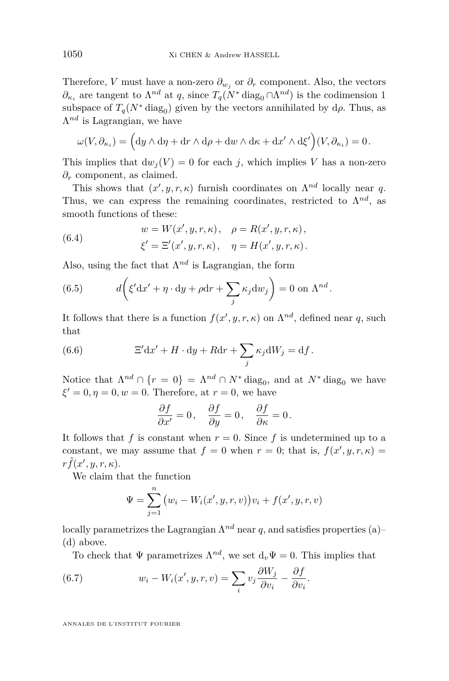Therefore, *V* must have a non-zero  $\partial_{w_j}$  or  $\partial_r$  component. Also, the vectors *∂*<sub>κ*i*</sub></sub> are tangent to  $Λ^{nd}$  at *q*, since  $T_q(N^* \text{ diag}_0 ∩ Λ^{nd})$  is the codimension 1 subspace of  $T_q(N^* \text{ diag}_0)$  given by the vectors annihilated by  $d\rho$ . Thus, as  $\Lambda^{nd}$  is Lagrangian, we have

$$
\omega(V, \partial_{\kappa_i}) = \left(\mathrm{d}y \wedge \mathrm{d}\eta + \mathrm{d}r \wedge \mathrm{d}\rho + \mathrm{d}w \wedge \mathrm{d}\kappa + \mathrm{d}x' \wedge \mathrm{d}\xi'\right)(V, \partial_{\kappa_i}) = 0.
$$

This implies that  $dw_i(V) = 0$  for each *j*, which implies *V* has a non-zero *∂<sup>r</sup>* component, as claimed.

This shows that  $(x', y, r, \kappa)$  furnish coordinates on  $\Lambda^{nd}$  locally near *q*. Thus, we can express the remaining coordinates, restricted to  $\Lambda^{nd}$ , as smooth functions of these:

(6.4) 
$$
w = W(x', y, r, \kappa), \quad \rho = R(x', y, r, \kappa), \n\xi' = \Xi'(x', y, r, \kappa), \quad \eta = H(x', y, r, \kappa).
$$

Also, using the fact that  $\Lambda^{nd}$  is Lagrangian, the form

(6.5) 
$$
d\left(\xi'dx' + \eta \cdot dy + \rho dr + \sum_j \kappa_j dw_j\right) = 0 \text{ on } \Lambda^{nd}.
$$

It follows that there is a function  $f(x', y, r, \kappa)$  on  $\Lambda^{nd}$ , defined near q, such that

(6.6) 
$$
\Xi' dx' + H \cdot dy + R dr + \sum_j \kappa_j dW_j = df.
$$

Notice that  $\Lambda^{nd} \cap \{r = 0\} = \Lambda^{nd} \cap N^*$  diag<sub>0</sub>, and at  $N^*$  diag<sub>0</sub> we have  $\xi' = 0, \eta = 0, w = 0$ . Therefore, at  $r = 0$ , we have

<span id="page-40-0"></span>
$$
\frac{\partial f}{\partial x'} = 0, \quad \frac{\partial f}{\partial y} = 0, \quad \frac{\partial f}{\partial \kappa} = 0.
$$

It follows that *f* is constant when  $r = 0$ . Since *f* is undetermined up to a constant, we may assume that  $f = 0$  when  $r = 0$ ; that is,  $f(x', y, r, \kappa) =$  $r\tilde{f}(x', y, r, \kappa)$ .

We claim that the function

$$
\Psi = \sum_{j=1}^{n} (w_i - W_i(x', y, r, v)) v_i + f(x', y, r, v)
$$

locally parametrizes the Lagrangian  $\Lambda^{nd}$  near q, and satisfies properties [\(a\)–](#page-39-0) [\(d\)](#page-39-1) above.

<span id="page-40-1"></span>To check that  $\Psi$  parametrizes  $\Lambda^{nd}$ , we set  $d_v\Psi = 0$ . This implies that

*.*

(6.7) 
$$
w_i - W_i(x', y, r, v) = \sum_i v_j \frac{\partial W_j}{\partial v_i} - \frac{\partial f}{\partial v_i}
$$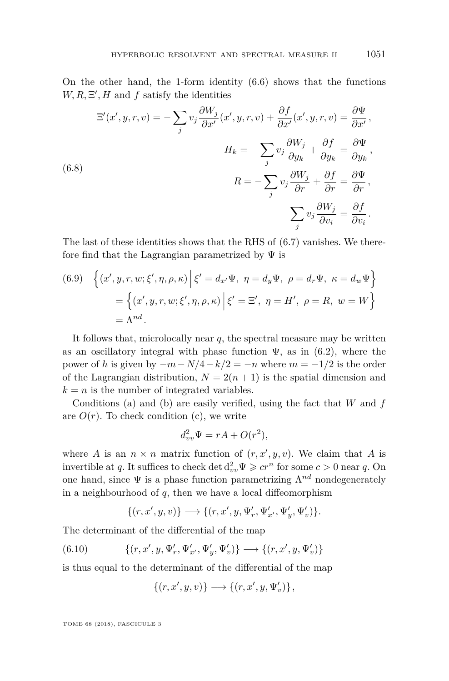On the other hand, the 1-form identity  $(6.6)$  shows that the functions  $W, R, \Xi', H$  and  $f$  satisfy the identities

$$
\Xi'(x', y, r, v) = -\sum_{j} v_{j} \frac{\partial W_{j}}{\partial x'}(x', y, r, v) + \frac{\partial f}{\partial x'}(x', y, r, v) = \frac{\partial \Psi}{\partial x'},
$$
  
\n
$$
H_{k} = -\sum_{j} v_{j} \frac{\partial W_{j}}{\partial y_{k}} + \frac{\partial f}{\partial y_{k}} = \frac{\partial \Psi}{\partial y_{k}},
$$
  
\n(6.8)  
\n
$$
R = -\sum_{j} v_{j} \frac{\partial W_{j}}{\partial r} + \frac{\partial f}{\partial r} = \frac{\partial \Psi}{\partial r},
$$
  
\n
$$
\sum_{j} v_{j} \frac{\partial W_{j}}{\partial v_{i}} = \frac{\partial f}{\partial v_{i}}.
$$

The last of these identities shows that the RHS of [\(6.7\)](#page-40-1) vanishes. We therefore find that the Lagrangian parametrized by  $\Psi$  is

(6.9) 
$$
\left\{ (x', y, r, w; \xi', \eta, \rho, \kappa) \middle| \xi' = d_{x'} \Psi, \eta = d_y \Psi, \rho = d_r \Psi, \kappa = d_w \Psi \right\}
$$

$$
= \left\{ (x', y, r, w; \xi', \eta, \rho, \kappa) \middle| \xi' = \Xi', \eta = H', \rho = R, w = W \right\}
$$

$$
= \Lambda^{nd}.
$$

It follows that, microlocally near  $q$ , the spectral measure may be written as an oscillatory integral with phase function  $\Psi$ , as in [\(6.2\)](#page-39-2), where the power of *h* is given by  $-m - N/4 - k/2 = -n$  where  $m = -1/2$  is the order of the Lagrangian distribution,  $N = 2(n + 1)$  is the spatial dimension and  $k = n$  is the number of integrated variables.

Conditions [\(a\)](#page-39-0) and [\(b\)](#page-39-3) are easily verified, using the fact that *W* and *f* are  $O(r)$ . To check condition [\(c\),](#page-39-4) we write

$$
d_{vv}^2 \Psi = rA + O(r^2),
$$

where *A* is an  $n \times n$  matrix function of  $(r, x', y, v)$ . We claim that *A* is invertible at *q*. It suffices to check det  $d_{vv}^2 \Psi \geqslant cr^n$  for some  $c > 0$  near *q*. On one hand, since  $\Psi$  is a phase function parametrizing  $\Lambda^{nd}$  nondegenerately in a neighbourhood of *q*, then we have a local diffeomorphism

<span id="page-41-0"></span>
$$
\{(r,x',y,v)\} \longrightarrow \{(r,x',y,\Psi_r',\Psi_{x'}',\Psi_y',\Psi_v')\}.
$$

The determinant of the differential of the map

$$
(6.10) \qquad \qquad \{(r,x',y,\Psi_{r}',\Psi_{x'}',\Psi_{y}',\Psi_{v}')\} \longrightarrow \{(r,x',y,\Psi_{v}')\}
$$

is thus equal to the determinant of the differential of the map

$$
\{(r,x',y,v)\}\longrightarrow\{(r,x',y,\Psi'_v)\}\,,
$$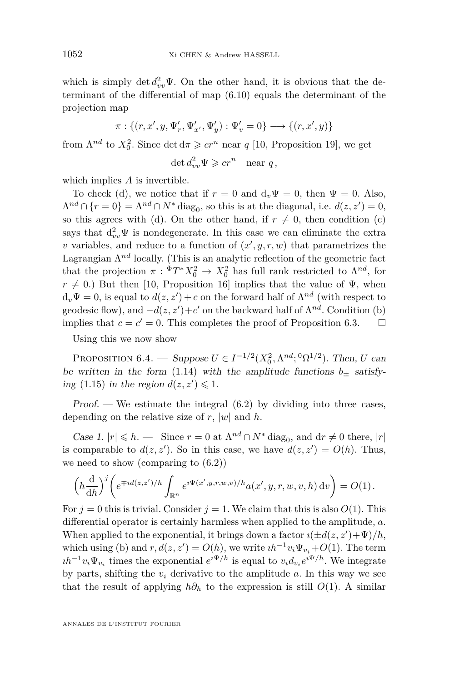which is simply  $\det d_{vv}^2 \Psi$ . On the other hand, it is obvious that the determinant of the differential of map [\(6.10\)](#page-41-0) equals the determinant of the projection map

$$
\pi: \{(r, x', y, \Psi'_r, \Psi'_{x'}, \Psi'_y) : \Psi'_v = 0\} \longrightarrow \{(r, x', y)\}
$$

from  $\Lambda^{nd}$  to  $X_0^2$ . Since det  $d\pi \geqslant cr^n$  near *q* [\[10,](#page-63-0) Proposition 19], we get

 $\det d_{vv}^2 \Psi \geqslant cr^n$  near *q*,

which implies *A* is invertible.

To check [\(d\),](#page-39-1) we notice that if  $r = 0$  and  $d_v\Psi = 0$ , then  $\Psi = 0$ . Also,  $\Lambda^{nd} \cap \{r=0\} = \Lambda^{nd} \cap N^*$  diag<sub>0</sub>, so this is at the diagonal, i.e.  $d(z, z') = 0$ , so this agrees with [\(d\).](#page-39-1) On the other hand, if  $r \neq 0$ , then condition [\(c\)](#page-39-4) says that  $d_{vv}^2 \Psi$  is nondegenerate. In this case we can eliminate the extra *v* variables, and reduce to a function of  $(x', y, r, w)$  that parametrizes the Lagrangian  $\Lambda^{nd}$  locally. (This is an analytic reflection of the geometric fact that the projection  $\pi$ :  ${}^{\Phi}T^*X_0^2 \to X_0^2$  has full rank restricted to  $\Lambda^{nd}$ , for  $r \neq 0$ .) But then [\[10,](#page-63-0) Proposition 16] implies that the value of  $\Psi$ , when  $d_v\Psi = 0$ , is equal to  $d(z, z') + c$  on the forward half of  $\Lambda^{nd}$  (with respect to geodesic flow), and  $-d(z, z') + c'$  on the backward half of  $\Lambda^{nd}$ . Condition [\(b\)](#page-39-3) implies that  $c = c' = 0$ . This completes the proof of Proposition [6.3.](#page-39-5)  $\Box$ 

Using this we now show

<span id="page-42-0"></span>PROPOSITION 6.4. — Suppose  $U \in I^{-1/2}(X_0^2, \Lambda^{nd}; {}^0\Omega^{1/2})$ . Then, *U* can be written in the form [\(1.14\)](#page-10-2) with the amplitude functions  $b_{\pm}$  satisfy-ing [\(1.15\)](#page-11-1) in the region  $d(z, z') \leq 1$ .

Proof. — We estimate the integral  $(6.2)$  by dividing into three cases, depending on the relative size of  $r$ ,  $|w|$  and  $h$ .

Case 1.  $|r| \le h$ . — Since  $r = 0$  at  $\Lambda^{nd} \cap N^*$  diag<sub>0</sub>, and  $dr \ne 0$  there,  $|r|$ is comparable to  $d(z, z')$ . So in this case, we have  $d(z, z') = O(h)$ . Thus, we need to show (comparing to [\(6.2\)](#page-39-2))

$$
\left(h\frac{\mathrm{d}}{\mathrm{d}h}\right)^j \left(e^{\mp id(z,z')/h} \int_{\mathbb{R}^n} e^{i\Psi(x',y,r,w,v)/h} a(x',y,r,w,v,h) \,\mathrm{d}v\right) = O(1).
$$

For  $j = 0$  this is trivial. Consider  $j = 1$ . We claim that this is also  $O(1)$ . This differential operator is certainly harmless when applied to the amplitude, *a*. When applied to the exponential, it brings down a factor  $\imath(\pm d(z, z') + \Psi)/h$ , which using [\(b\)](#page-39-3) and  $r, d(z, z') = O(h)$ , we write  $ih^{-1}v_i\Psi_{v_i} + O(1)$ . The term  $ih^{-1}v_i\Psi_{v_i}$  times the exponential  $e^{i\Psi/h}$  is equal to  $v_id_{v_i}e^{i\Psi/h}$ . We integrate by parts, shifting the  $v_i$  derivative to the amplitude  $a$ . In this way we see that the result of applying  $h\partial_h$  to the expression is still  $O(1)$ . A similar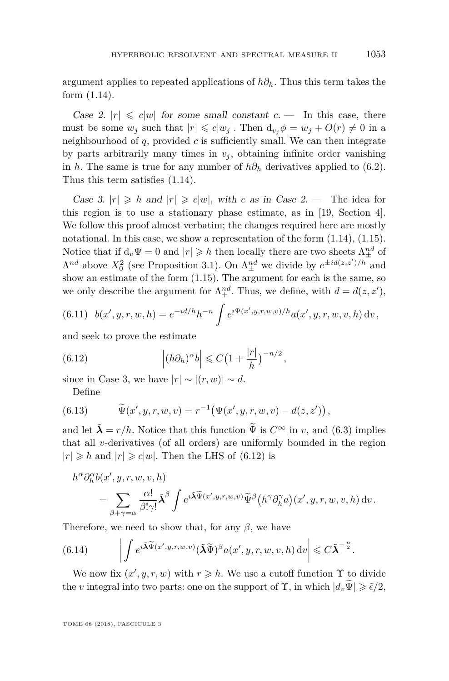argument applies to repeated applications of *h∂h*. Thus this term takes the form [\(1.14\)](#page-10-2).

Case 2.  $|r| \leq c|w|$  for some small constant  $c$ . — In this case, there must be some  $w_i$  such that  $|r| \leq c |w_i|$ . Then  $d_{v_i} \phi = w_i + O(r) \neq 0$  in a neighbourhood of  $q$ , provided  $c$  is sufficiently small. We can then integrate by parts arbitrarily many times in  $v_j$ , obtaining infinite order vanishing in *h*. The same is true for any number of  $h\partial_h$  derivatives applied to [\(6.2\)](#page-39-2). Thus this term satisfies [\(1.14\)](#page-10-2).

Case 3.  $|r| \ge h$  and  $|r| \ge c|w|$ , with c as in Case 2. — The idea for this region is to use a stationary phase estimate, as in [\[19,](#page-63-13) Section 4]. We follow this proof almost verbatim; the changes required here are mostly notational. In this case, we show a representation of the form  $(1.14)$ ,  $(1.15)$ . Notice that if  $d_v\Psi = 0$  and  $|r| \geq h$  then locally there are two sheets  $\Lambda^{nd}_{\pm}$  of  $\Lambda^{nd}$  above  $X_0^2$  (see Proposition [3.1\)](#page-22-1). On  $\Lambda^{nd}_{\pm}$  we divide by  $e^{\pm id(z, z')/h}$  and show an estimate of the form [\(1.15\)](#page-11-1). The argument for each is the same, so we only describe the argument for  $\Lambda^{nd}_{+}$ . Thus, we define, with  $d = d(z, z')$ ,

<span id="page-43-2"></span>(6.11) 
$$
b(x', y, r, w, h) = e^{-id/h}h^{-n} \int e^{i\Psi(x', y, r, w, v)/h} a(x', y, r, w, v, h) dv,
$$

and seek to prove the estimate

<span id="page-43-0"></span>(6.12) 
$$
\left| (h\partial_h)^\alpha b \right| \leqslant C \left( 1 + \frac{|r|}{h} \right)^{-n/2},
$$

since in Case 3, we have  $|r| \sim |(r, w)| \sim d$ .

Define

(6.13) 
$$
\widetilde{\Psi}(x', y, r, w, v) = r^{-1} (\Psi(x', y, r, w, v) - d(z, z'))
$$

and let  $\tilde{\lambda} = r/h$ . Notice that this function  $\tilde{\Psi}$  is  $C^{\infty}$  in *v*, and [\(6.3\)](#page-39-6) implies that all *v*-derivatives (of all orders) are uniformly bounded in the region  $|r| \ge h$  and  $|r| \ge c|w|$ . Then the LHS of [\(6.12\)](#page-43-0) is

$$
h^{\alpha}\partial_{h}^{\alpha}b(x',y,r,w,v,h)
$$
  
= 
$$
\sum_{\beta+\gamma=\alpha}\frac{\alpha!}{\beta!\gamma!}\tilde{\lambda}^{\beta}\int e^{i\tilde{\lambda}\tilde{\Psi}(x',y,r,w,v)}\tilde{\Psi}^{\beta}\big(h^{\gamma}\partial_{h}^{\gamma}a\big)(x',y,r,w,v,h)\,dv.
$$

Therefore, we need to show that, for any *β*, we have

<span id="page-43-1"></span>(6.14) 
$$
\left| \int e^{i\widetilde{\mathbf{\lambda}}\widetilde{\Psi}(x',y,r,w,v)} (\widetilde{\mathbf{\lambda}}\widetilde{\Psi})^{\beta} a(x',y,r,w,v,h) dv \right| \leq C \widetilde{\mathbf{\lambda}}^{-\frac{n}{2}}.
$$

We now fix  $(x', y, r, w)$  with  $r \geq h$ . We use a cutoff function  $\Upsilon$  to divide the *v* integral into two parts: one on the support of  $\Upsilon$ , in which  $|d_v \widetilde{\Psi}| \geq \tilde{\epsilon}/2$ ,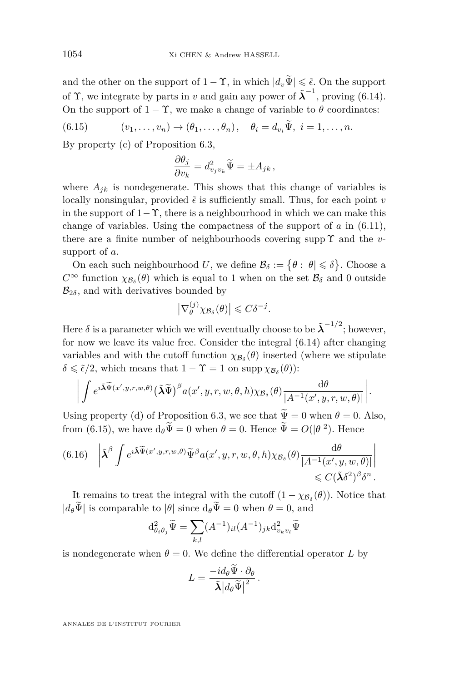and the other on the support of  $1 - \Upsilon$ , in which  $|d_v \widetilde{\Psi}| \leq \tilde{\epsilon}$ . On the support of  $\Upsilon$ , we integrate by parts in *v* and gain any power of  $\tilde{\lambda}^{-1}$ , proving [\(6.14\)](#page-43-1). On the support of  $1 - \Upsilon$ , we make a change of variable to  $\theta$  coordinates:

<span id="page-44-0"></span>(6.15) 
$$
(v_1,\ldots,v_n)\to(\theta_1,\ldots,\theta_n), \quad \theta_i=d_{v_i}\Psi, \ i=1,\ldots,n.
$$

By property [\(c\)](#page-39-4) of Proposition [6.3,](#page-39-5)

$$
\frac{\partial \theta_j}{\partial v_k} = d_{v_j v_k}^2 \widetilde{\Psi} = \pm A_{jk},
$$

where  $A_{jk}$  is nondegenerate. This shows that this change of variables is locally nonsingular, provided  $\tilde{\epsilon}$  is sufficiently small. Thus, for each point *v* in the support of  $1-\Upsilon$ , there is a neighbourhood in which we can make this change of variables. Using the compactness of the support of *a* in [\(6.11\)](#page-43-2), there are a finite number of neighbourhoods covering supp Υ and the *v*support of *a*.

On each such neighbourhood U, we define  $\mathcal{B}_{\delta} := \{ \theta : |\theta| \leq \delta \}$ . Choose a  $C^{\infty}$  function  $\chi_{\mathcal{B}_{\delta}}(\theta)$  which is equal to 1 when on the set  $\mathcal{B}_{\delta}$  and 0 outside  $\mathcal{B}_{2\delta}$ , and with derivatives bounded by

$$
\left|\nabla_{\theta}^{(j)}\chi_{\mathcal{B}_{\delta}}(\theta)\right| \leqslant C\delta^{-j}.
$$

Here  $\delta$  is a parameter which we will eventually choose to be  $\tilde{\lambda}^{-1/2}$ ; however, for now we leave its value free. Consider the integral [\(6.14\)](#page-43-1) after changing variables and with the cutoff function  $\chi_{\mathcal{B}_{\delta}}(\theta)$  inserted (where we stipulate  $\delta \leq \tilde{\epsilon}/2$ , which means that  $1 - \Upsilon = 1$  on supp  $\chi_{\mathcal{B}_{\delta}}(\theta)$ :

$$
\left| \int e^{i\widetilde{\mathbf{A}}\widetilde{\Psi}(x',y,r,w,\theta)} \left( \widetilde{\mathbf{A}}\widetilde{\Psi} \right)^{\beta} a(x',y,r,w,\theta,h) \chi_{\mathcal{B}_{\delta}}(\theta) \frac{\mathrm{d}\theta}{|A^{-1}(x',y,r,w,\theta)|} \right|.
$$

Using property [\(d\)](#page-39-1) of Proposition [6.3,](#page-39-5) we see that  $\widetilde{\Psi} = 0$  when  $\theta = 0$ . Also, from [\(6.15\)](#page-44-0), we have  $d_{\theta} \Psi = 0$  when  $\theta = 0$ . Hence  $\Psi = O(|\theta|^2)$ . Hence

<span id="page-44-1"></span>
$$
(6.16)\quad \left|\tilde{\lambda}^{\beta}\int e^{i\tilde{\lambda}\widetilde{\Psi}(x',y,r,w,\theta)}\widetilde{\Psi}^{\beta}a(x',y,r,w,\theta,h)\chi_{\mathcal{B}_{\delta}}(\theta)\frac{d\theta}{|A^{-1}(x',y,w,\theta)|}\right| \leq C(\tilde{\lambda}\delta^{2})^{\beta}\delta^{n}.
$$

It remains to treat the integral with the cutoff  $(1 - \chi_{\mathcal{B}_{\delta}}(\theta))$ . Notice that  $|d_{\theta}\tilde{\Psi}|$  is comparable to  $|\theta|$  since  $d_{\theta}\tilde{\Psi}=0$  when  $\theta=0$ , and

$$
\mathrm{d}^2_{\theta_i\theta_j}\widetilde{\Psi}=\sum_{k,l}(A^{-1})_{il}(A^{-1})_{jk}\mathrm{d}^2_{v_kv_l}\widetilde{\Psi}
$$

is nondegenerate when  $\theta = 0$ . We define the differential operator *L* by

$$
L = \frac{-id_{\theta}\tilde{\Psi} \cdot \partial_{\theta}}{\tilde{\lambda} \left| d_{\theta}\tilde{\Psi} \right|^2}.
$$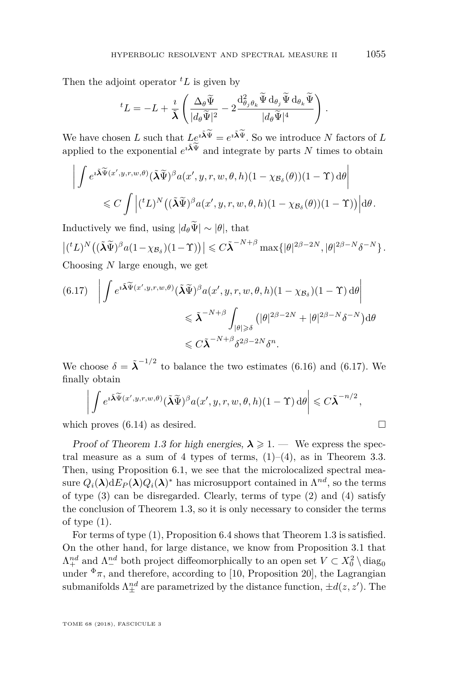Then the adjoint operator  ${}^tL$  is given by

$$
{}^{t}L = -L + \frac{i}{\tilde{\lambda}} \left( \frac{\Delta_{\theta} \tilde{\Psi}}{|d_{\theta} \tilde{\Psi}|^{2}} - 2 \frac{\mathrm{d}^{2}_{\theta_{j} \theta_{k}} \tilde{\Psi} \mathrm{d}_{\theta_{j}} \tilde{\Psi} \mathrm{d}_{\theta_{k}} \tilde{\Psi}}{|d_{\theta} \tilde{\Psi}|^{4}} \right).
$$

We have chosen *L* such that  $Le^{i\tilde{\lambda}\Psi} = e^{i\tilde{\lambda}\Psi}$ . So we introduce *N* factors of *L* applied to the exponential  $e^{i\tilde{\lambda}\Psi}$  and integrate by parts *N* times to obtain

$$
\left| \int e^{i\tilde{\mathbf{\Lambda}}\widetilde{\Psi}(x',y,r,w,\theta)} (\tilde{\mathbf{\Lambda}}\widetilde{\Psi})^{\beta} a(x',y,r,w,\theta,h) (1-\chi_{\mathcal{B}_{\delta}}(\theta)) (1-\Upsilon) d\theta \right| \leq C \int \left| ({}^{t}L)^{N} \left( (\tilde{\mathbf{\Lambda}}\widetilde{\Psi})^{\beta} a(x',y,r,w,\theta,h) (1-\chi_{\mathcal{B}_{\delta}}(\theta)) (1-\Upsilon) \right) \right| d\theta.
$$

Inductively we find, using  $|d_{\theta}\Psi| \sim |\theta|$ , that

$$
\left|({}^{t}L\right)^{N}\left((\tilde{\boldsymbol{\lambda}}\tilde{\boldsymbol{\Psi}})^{\beta}a(1-\chi_{\mathcal{B}_{\delta}})(1-\Upsilon)\right)\right| \leqslant C\tilde{\boldsymbol{\lambda}}^{-N+\beta}\max\{|\theta|^{2\beta-2N},|\theta|^{2\beta-N}\delta^{-N}\}.
$$
 Choosing  $N$  large enough, we get

<span id="page-45-0"></span>
$$
(6.17) \quad \left| \int e^{i\tilde{\mathbf{\Lambda}}\tilde{\Psi}(x',y,r,w,\theta)} (\tilde{\mathbf{\Lambda}}\tilde{\Psi})^{\beta} a(x',y,r,w,\theta,h) (1-\chi_{\mathcal{B}_{\delta}}) (1-\Upsilon) d\theta \right| \leq \tilde{\mathbf{\Lambda}}^{-N+\beta} \int_{|\theta| \geq \delta} (|\theta|^{2\beta-2N} + |\theta|^{2\beta-N} \delta^{-N}) d\theta \leq C \tilde{\mathbf{\Lambda}}^{-N+\beta} \delta^{2\beta-2N} \delta^{n}.
$$

We choose  $\delta = \tilde{\lambda}^{-1/2}$  to balance the two estimates [\(6.16\)](#page-44-1) and [\(6.17\)](#page-45-0). We finally obtain

$$
\left| \int e^{i\widetilde{\mathbf{\Lambda}}\widetilde{\Psi}(x',y,r,w,\theta)} (\widetilde{\mathbf{\Lambda}}\widetilde{\Psi})^{\beta} a(x',y,r,w,\theta,h) (1-\Upsilon) d\theta \right| \leqslant C \widetilde{\mathbf{\Lambda}}^{-n/2},
$$

which proves  $(6.14)$  as desired.

Proof of Theorem [1.3](#page-10-1) for high energies,  $\lambda \geq 1$ . — We express the spectral measure as a sum of 4 types of terms,  $(1)$ – $(4)$ , as in Theorem [3.3.](#page-23-2) Then, using Proposition [6.1,](#page-37-0) we see that the microlocalized spectral measure  $Q_i(\lambda) dE_P(\lambda) Q_i(\lambda)^*$  has microsupport contained in  $\Lambda^{nd}$ , so the terms of type  $(3)$  can be disregarded. Clearly, terms of type  $(2)$  and  $(4)$  satisfy the conclusion of Theorem [1.3,](#page-10-1) so it is only necessary to consider the terms of type [\(1\)](#page-23-0).

For terms of type [\(1\)](#page-23-0), Proposition [6.4](#page-42-0) shows that Theorem [1.3](#page-10-1) is satisfied. On the other hand, for large distance, we know from Proposition [3.1](#page-22-1) that  $\Lambda^{nd}_+$  and  $\Lambda^{nd}_-$  both project diffeomorphically to an open set  $V \subset X_0^2 \setminus diag_0$ under  $\Phi_{\pi}$ , and therefore, according to [\[10,](#page-63-0) Proposition 20], the Lagrangian submanifolds  $\Lambda^{nd}_{\pm}$  are parametrized by the distance function,  $\pm d(z, z')$ . The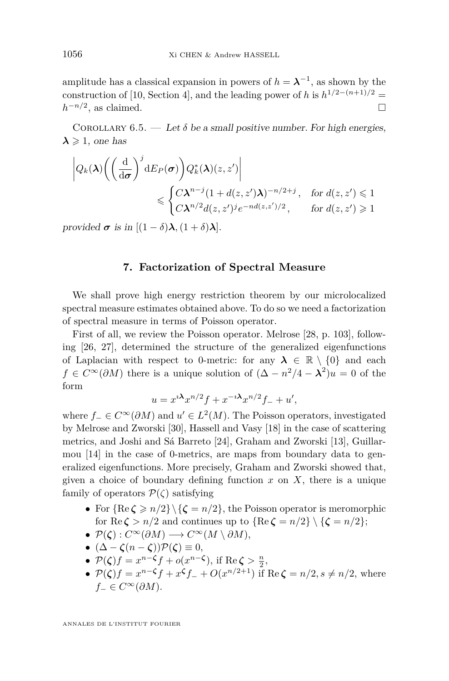amplitude has a classical expansion in powers of  $h = \lambda^{-1}$ , as shown by the construction of [\[10,](#page-63-0) Section 4], and the leading power of *h* is  $h^{1/2-(n+1)/2}$  =  $h^{-n/2}$ , as claimed.

<span id="page-46-1"></span>COROLLARY  $6.5.$  — Let  $\delta$  be a small positive number. For high energies,  $\lambda \geqslant 1$ , one has

$$
\left| Q_k(\boldsymbol{\lambda}) \bigg( \bigg( \frac{\mathrm{d}}{\mathrm{d}\sigma} \bigg)^j \mathrm{d} E_P(\sigma) \bigg) Q_k^*(\boldsymbol{\lambda}) (z, z') \right|
$$
  
\$\leqslant \begin{cases} C \boldsymbol{\lambda}^{n-j} (1 + d(z, z') \boldsymbol{\lambda})^{-n/2+j}, & \text{for } d(z, z') \leqslant 1 \\ C \boldsymbol{\lambda}^{n/2} d(z, z')^j e^{-nd(z, z')/2}, & \text{for } d(z, z') \geqslant 1 \end{cases}\$

provided  $\sigma$  is in  $[(1 - \delta)\lambda, (1 + \delta)\lambda]$ .

## **7. Factorization of Spectral Measure**

<span id="page-46-0"></span>We shall prove high energy restriction theorem by our microlocalized spectral measure estimates obtained above. To do so we need a factorization of spectral measure in terms of Poisson operator.

First of all, we review the Poisson operator. Melrose [\[28,](#page-64-15) p. 103], following [\[26,](#page-64-0) [27\]](#page-64-1), determined the structure of the generalized eigenfunctions of Laplacian with respect to 0-metric: for any  $\lambda \in \mathbb{R} \setminus \{0\}$  and each  $f \in C^{\infty}(\partial M)$  there is a unique solution of  $(\Delta - n^2/4 - \lambda^2)u = 0$  of the form

$$
u = x^{i\lambda} x^{n/2} f + x^{-i\lambda} x^{n/2} f_- + u',
$$

where  $f_-\in C^\infty(\partial M)$  and  $u'\in L^2(M)$ . The Poisson operators, investigated by Melrose and Zworski [\[30\]](#page-64-16), Hassell and Vasy [\[18\]](#page-63-17) in the case of scattering metrics, and Joshi and Sá Barreto [\[24\]](#page-64-17), Graham and Zworski [\[13\]](#page-63-18), Guillarmou [\[14\]](#page-63-10) in the case of 0-metrics, are maps from boundary data to generalized eigenfunctions. More precisely, Graham and Zworski showed that, given a choice of boundary defining function  $x$  on  $X$ , there is a unique family of operators  $P(\zeta)$  satisfying

- For  ${Re \zeta \ge n/2} \setminus {\zeta = n/2}$ , the Poisson operator is meromorphic for Re  $\zeta > n/2$  and continues up to  $\{Re \zeta = n/2\} \setminus \{\zeta = n/2\};$
- $\bullet \mathcal{P}(\zeta): C^{\infty}(\partial M) \longrightarrow C^{\infty}(M \setminus \partial M),$
- $(\Delta \zeta(n-\zeta))\mathcal{P}(\zeta) \equiv 0,$
- $P(\zeta)f = x^{n-\zeta}f + o(x^{n-\zeta}), \text{ if } \text{Re}\,\zeta > \frac{n}{2},$
- $P(\zeta)f = x^{n-\zeta}f + x^{\zeta}f O(x^{n/2+1})$  if Re  $\zeta = n/2, s \neq n/2$ , where *f*− ∈  $C^{\infty}(\partial M)$ .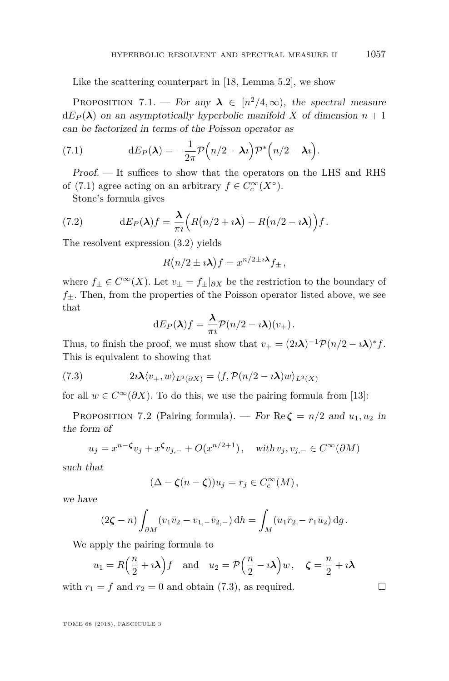Like the scattering counterpart in [\[18,](#page-63-17) Lemma 5.2], we show

PROPOSITION 7.1. — For any  $\lambda \in [n^2/4,\infty)$ , the spectral measure  $dE_P(\lambda)$  on an asymptotically hyperbolic manifold *X* of dimension  $n+1$ can be factorized in terms of the Poisson operator as

<span id="page-47-0"></span>(7.1) 
$$
dE_P(\lambda) = -\frac{1}{2\pi} \mathcal{P}\Big(n/2 - \lambda i\Big) \mathcal{P}^*\Big(n/2 - \lambda i\Big).
$$

Proof. — It suffices to show that the operators on the LHS and RHS of [\(7.1\)](#page-47-0) agree acting on an arbitrary  $f \in C_c^{\infty}(X^{\circ})$ .

Stone's formula gives

(7.2) 
$$
dE_P(\lambda)f = \frac{\lambda}{\pi i} \Big( R(n/2 + i\lambda) - R(n/2 - i\lambda) \Big) f.
$$

The resolvent expression [\(3.2\)](#page-21-0) yields

$$
R(n/2 \pm i\lambda) f = x^{n/2 \pm i\lambda} f_{\pm},
$$

where  $f_{\pm} \in C^{\infty}(X)$ . Let  $v_{\pm} = f_{\pm}|_{\partial X}$  be the restriction to the boundary of  $f_{\pm}$ . Then, from the properties of the Poisson operator listed above, we see that

<span id="page-47-1"></span>
$$
dE_P(\lambda)f = \frac{\lambda}{\pi i} \mathcal{P}(n/2 - i\lambda)(v_+).
$$

Thus, to finish the proof, we must show that  $v_{+} = (2i\lambda)^{-1} \mathcal{P}(n/2 - i\lambda)^{*} f$ . This is equivalent to showing that

(7.3) 
$$
2i\lambda \langle v_+, w \rangle_{L^2(\partial X)} = \langle f, \mathcal{P}(n/2 - i\lambda)w \rangle_{L^2(X)}
$$

for all  $w \in C^{\infty}(\partial X)$ . To do this, we use the pairing formula from [\[13\]](#page-63-18):

PROPOSITION 7.2 (Pairing formula). — For  $\text{Re}\,\zeta = n/2$  and  $u_1, u_2$  in the form of

$$
u_j = x^{n-\zeta}v_j + x^{\zeta}v_{j,-} + O(x^{n/2+1}), \quad \text{with } v_j, v_{j,-} \in C^{\infty}(\partial M)
$$

such that

$$
(\Delta - \zeta(n - \zeta))u_j = r_j \in C_c^{\infty}(M),
$$

we have

$$
(2\zeta - n) \int_{\partial M} (v_1 \bar{v}_2 - v_{1,-} \bar{v}_{2,-}) \, dh = \int_M (u_1 \bar{r}_2 - r_1 \bar{u}_2) \, dg.
$$

We apply the pairing formula to

$$
u_1 = R\left(\frac{n}{2} + i\lambda\right)f
$$
 and  $u_2 = P\left(\frac{n}{2} - i\lambda\right)w$ ,  $\zeta = \frac{n}{2} + i\lambda$ 

with  $r_1 = f$  and  $r_2 = 0$  and obtain [\(7.3\)](#page-47-1), as required.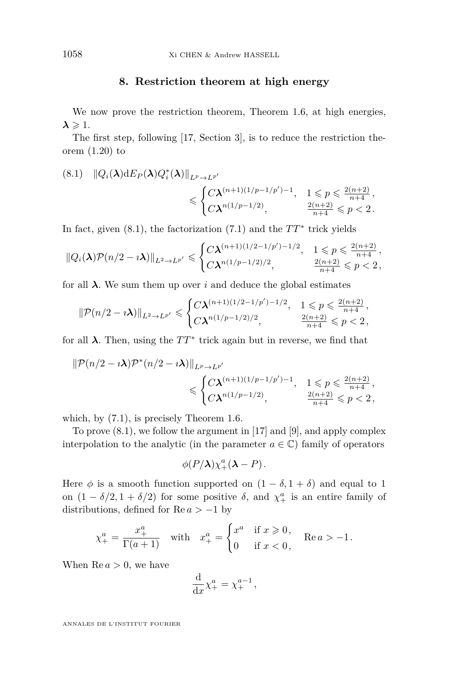## **8. Restriction theorem at high energy**

<span id="page-48-0"></span>We now prove the restriction theorem, Theorem [1.6,](#page-12-0) at high energies,  $\lambda \geqslant 1$ .

The first step, following [\[17,](#page-63-1) Section 3], is to reduce the restriction theorem [\(1.20\)](#page-12-2) to

<span id="page-48-1"></span>
$$
(8.1) \quad ||Q_i(\lambda) \, dF_P(\lambda) Q_i^*(\lambda) ||_{L^p \to L^{p'}}\n \leq \begin{cases} C \lambda^{(n+1)(1/p-1/p')-1}, & 1 \leq p \leq \frac{2(n+2)}{n+4}, \\ C \lambda^{n(1/p-1/2)}, & \frac{2(n+2)}{n+4} \leq p < 2. \end{cases}
$$

In fact, given  $(8.1)$ , the factorization  $(7.1)$  and the  $TT^*$  trick yields

$$
\|Q_i(\boldsymbol{\lambda})\mathcal{P}(n/2 - \imath\boldsymbol{\lambda})\|_{L^2 \to L^{p'}} \leqslant \begin{cases} C\boldsymbol{\lambda}^{(n+1)(1/2-1/p')-1/2}, & 1 \leqslant p \leqslant \frac{2(n+2)}{n+4}, \\ C\boldsymbol{\lambda}^{n(1/p-1/2)/2}, & \frac{2(n+2)}{n+4} \leqslant p < 2, \end{cases}
$$

for all  $\lambda$ . We sum them up over *i* and deduce the global estimates

$$
\|\mathcal{P}(n/2 - i\boldsymbol{\lambda})\|_{L^2 \to L^{p'}} \leqslant \begin{cases} C \boldsymbol{\lambda}^{(n+1)(1/2 - 1/p') - 1/2}, & 1 \leqslant p \leqslant \frac{2(n+2)}{n+4}, \\ C \boldsymbol{\lambda}^{n(1/p - 1/2)/2}, & \frac{2(n+2)}{n+4} \leqslant p < 2, \end{cases}
$$

for all  $\lambda$ . Then, using the  $TT^*$  trick again but in reverse, we find that

$$
\begin{aligned} \|\mathcal{P}(n/2-i\pmb{\lambda})\mathcal{P}^*(n/2-i\pmb{\lambda})\|_{L^p\to L^{p'}}\\ \leqslant & \begin{cases} C\pmb{\lambda}^{(n+1)(1/p-1/p')-1}, & 1\leqslant p\leqslant \frac{2(n+2)}{n+4}\\ C\pmb{\lambda}^{n(1/p-1/2)}, & \frac{2(n+2)}{n+4}\leqslant p<2, \end{cases} \end{aligned}
$$

which, by  $(7.1)$ , is precisely Theorem [1.6.](#page-12-0)

To prove [\(8.1\)](#page-48-1), we follow the argument in [\[17\]](#page-63-1) and [\[9\]](#page-63-3), and apply complex interpolation to the analytic (in the parameter  $a \in \mathbb{C}$ ) family of operators

$$
\phi(P/\lambda)\chi^a_+(\lambda-P).
$$

Here  $\phi$  is a smooth function supported on  $(1 - \delta, 1 + \delta)$  and equal to 1 on  $(1 - \delta/2, 1 + \delta/2)$  for some positive  $\delta$ , and  $\chi^a_+$  is an entire family of distributions, defined for  $\text{Re } a > -1$  by

$$
\chi_{+}^{a} = \frac{x_{+}^{a}}{\Gamma(a+1)} \quad \text{with} \quad x_{+}^{a} = \begin{cases} x^{a} & \text{if } x \geq 0, \\ 0 & \text{if } x < 0, \end{cases} \quad \text{Re}\,a > -1.
$$

When  $\text{Re } a > 0$ , we have

$$
\frac{\mathrm{d}}{\mathrm{d}x} \chi_+^a = \chi_+^{a-1},
$$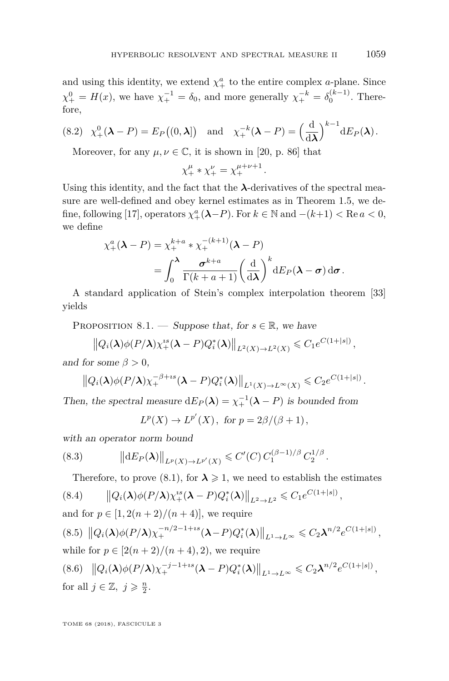and using this identity, we extend  $\chi^a_+$  to the entire complex *a*-plane. Since  $\chi^0_+ = H(x)$ , we have  $\chi^{-1}_+ = \delta_0$ , and more generally  $\chi^{-k}_+ = \delta_0^{(k-1)}$ . Therefore,

(8.2) 
$$
\chi^0_+(\lambda - P) = E_P((0, \lambda])
$$
 and  $\chi^{-k}_+(\lambda - P) = \left(\frac{\mathrm{d}}{\mathrm{d}\lambda}\right)^{k-1} \mathrm{d}E_P(\lambda)$ .

Moreover, for any  $\mu, \nu \in \mathbb{C}$ , it is shown in [\[20,](#page-64-18) p. 86] that

$$
\chi_+^{\mu} * \chi_+^{\nu} = \chi_+^{\mu+\nu+1}.
$$

Using this identity, and the fact that the  $\lambda$ -derivatives of the spectral measure are well-defined and obey kernel estimates as in Theorem [1.5,](#page-11-0) we de-fine, following [\[17\]](#page-63-1), operators  $\chi^a_+(\lambda - P)$ . For  $k \in \mathbb{N}$  and  $-(k+1) < \text{Re } a < 0$ , we define

$$
\chi^a_+(\lambda - P) = \chi^{k+a}_+ * \chi^{-(k+1)}_+(\lambda - P)
$$
  
= 
$$
\int_0^\lambda \frac{\sigma^{k+a}}{\Gamma(k+a+1)} \left(\frac{\mathrm{d}}{\mathrm{d}\lambda}\right)^k \mathrm{d}E_P(\lambda - \sigma) \,\mathrm{d}\sigma.
$$

A standard application of Stein's complex interpolation theorem [\[33\]](#page-64-19) yields

PROPOSITION 8.1. — Suppose that, for  $s \in \mathbb{R}$ , we have

$$
\|Q_i(\boldsymbol{\lambda})\phi(P/\boldsymbol{\lambda})\chi_+^{is}(\boldsymbol{\lambda}-P)Q_i^*(\boldsymbol{\lambda})\|_{L^2(X)\to L^2(X)}\leq C_1e^{C(1+|s|)},
$$

and for some  $\beta > 0$ ,

$$
\left\|Q_i(\boldsymbol{\lambda})\phi(P/\boldsymbol{\lambda})\chi_+^{-\beta+is}(\boldsymbol{\lambda}-P)Q_i^*(\boldsymbol{\lambda})\right\|_{L^1(X)\to L^\infty(X)}\leqslant C_2e^{C(1+|s|)}.
$$

Then, the spectral measure  $dE_P(\lambda) = \chi_+^{-1}(\lambda - P)$  is bounded from

$$
L^p(X) \to L^{p'}(X), \text{ for } p = 2\beta/(\beta + 1),
$$

with an operator norm bound

$$
(8.3) \t\t ||dE_P(\lambda)||_{L^p(X)\to L^{p'}(X)} \leq C'(C) C_1^{(\beta-1)/\beta} C_2^{1/\beta}.
$$

<span id="page-49-0"></span>Therefore, to prove [\(8.1\)](#page-48-1), for  $\lambda \geq 1$ , we need to establish the estimates

$$
(8.4) \qquad \left\|Q_i(\boldsymbol{\lambda})\phi(P/\boldsymbol{\lambda})\chi_+^{ss}(\boldsymbol{\lambda}-P)Q_i^*(\boldsymbol{\lambda})\right\|_{L^2\to L^2}\leqslant C_1e^{C(1+|s|)},
$$

<span id="page-49-2"></span><span id="page-49-1"></span>and for 
$$
p \in [1, 2(n+2)/(n+4)]
$$
, we require  
\n $(8.5) ||Q_i(\lambda)\phi(P/\lambda)\chi_+^{-n/2-1+is}(\lambda - P)Q_i^*(\lambda)||_{L^1 \to L^\infty} \le C_2\lambda^{n/2}e^{C(1+|s|)},$   
\nwhile for  $p \in [2(n+2)/(n+4), 2)$ , we require  
\n $(8.6) ||Q_i(\lambda)\phi(P/\lambda)\chi_+^{-j-1+is}(\lambda - P)Q_i^*(\lambda)||_{L^1 \to L^\infty} \le C_2\lambda^{n/2}e^{C(1+|s|)},$   
\nfor all  $j \in \mathbb{Z}$ ,  $j \ge \frac{n}{2}$ .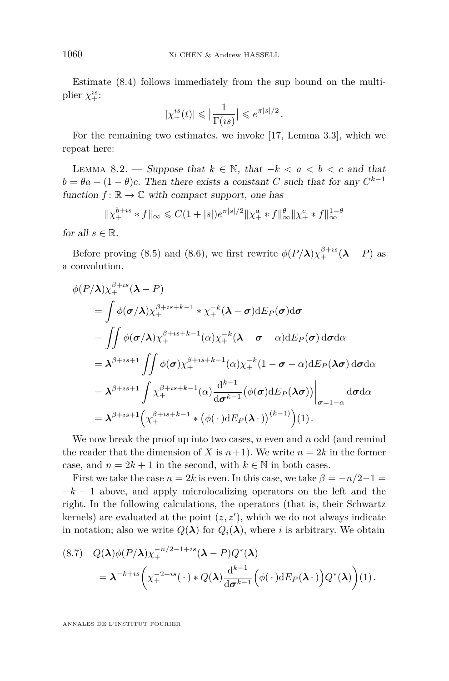Estimate [\(8.4\)](#page-49-0) follows immediately from the sup bound on the multiplier  $\chi^{is}_{+}$ :

$$
|\chi_{+}^{is}(t)| \leqslant \big|\frac{1}{\Gamma(is)}\big| \leqslant e^{\pi|s|/2}\,.
$$

For the remaining two estimates, we invoke [\[17,](#page-63-1) Lemma 3.3], which we repeat here:

<span id="page-50-0"></span>LEMMA 8.2. — Suppose that  $k \in \mathbb{N}$ , that  $-k < a < b < c$  and that  $b = \theta a + (1 - \theta)c$ . Then there exists a constant *C* such that for any  $C^{k-1}$ function  $f: \mathbb{R} \to \mathbb{C}$  with compact support, one has

$$
\|\chi_+^{b+is} * f\|_{\infty} \leq C(1+|s|)e^{\pi|s|/2}\|\chi_+^a * f\|_{\infty}^{\theta}\|\chi_+^c * f\|_{\infty}^{1-\theta}
$$

for all  $s \in \mathbb{R}$ .

Before proving [\(8.5\)](#page-49-1) and [\(8.6\)](#page-49-2), we first rewrite  $\phi(P/\lambda)\chi_+^{\beta+is}(\lambda - P)$  as a convolution.

$$
\phi(P/\lambda)\chi_{+}^{\beta+is}(\lambda-P)
$$
\n
$$
= \int \phi(\sigma/\lambda)\chi_{+}^{\beta+is+k-1} * \chi_{+}^{-k}(\lambda-\sigma) dE_{P}(\sigma) d\sigma
$$
\n
$$
= \iint \phi(\sigma/\lambda)\chi_{+}^{\beta+is+k-1}(\alpha)\chi_{+}^{-k}(\lambda-\sigma-\alpha) dE_{P}(\sigma) d\sigma d\alpha
$$
\n
$$
= \lambda^{\beta+is+1} \iint \phi(\sigma)\chi_{+}^{\beta+is+k-1}(\alpha)\chi_{+}^{-k}(1-\sigma-\alpha) dE_{P}(\lambda\sigma) d\sigma d\alpha
$$
\n
$$
= \lambda^{\beta+is+1} \int \chi_{+}^{\beta+is+k-1}(\alpha) \frac{d^{k-1}}{d\sigma^{k-1}} (\phi(\sigma) dE_{P}(\lambda\sigma)) \Big|_{\sigma=1-\alpha} d\sigma d\alpha
$$
\n
$$
= \lambda^{\beta+is+1} (\chi_{+}^{\beta+is+k-1} * (\phi(\cdot) dE_{P}(\lambda \cdot))^{(k-1)})(1).
$$

We now break the proof up into two cases, *n* even and *n* odd (and remind the reader that the dimension of *X* is  $n+1$ ). We write  $n=2k$  in the former case, and  $n = 2k + 1$  in the second, with  $k \in \mathbb{N}$  in both cases.

First we take the case  $n = 2k$  is even. In this case, we take  $\beta = -n/2 - 1 =$  $-k-1$  above, and apply microlocalizing operators on the left and the right. In the following calculations, the operators (that is, their Schwartz kernels) are evaluated at the point  $(z, z')$ , which we do not always indicate in notation; also we write  $Q(\lambda)$  for  $Q_i(\lambda)$ , where *i* is arbitrary. We obtain

<span id="page-50-1"></span>
$$
(8.7) \quad Q(\boldsymbol{\lambda})\phi(P/\boldsymbol{\lambda})\chi_{+}^{-n/2-1+is}(\boldsymbol{\lambda}-P)Q^{*}(\boldsymbol{\lambda})
$$
  
=  $\boldsymbol{\lambda}^{-k+is}\bigg(\chi_{+}^{-2+is}(\cdot)*Q(\boldsymbol{\lambda})\frac{d^{k-1}}{d\boldsymbol{\sigma}^{k-1}}\Big(\phi(\cdot)dE_{P}(\boldsymbol{\lambda}\cdot)\Big)Q^{*}(\boldsymbol{\lambda})\bigg)(1).$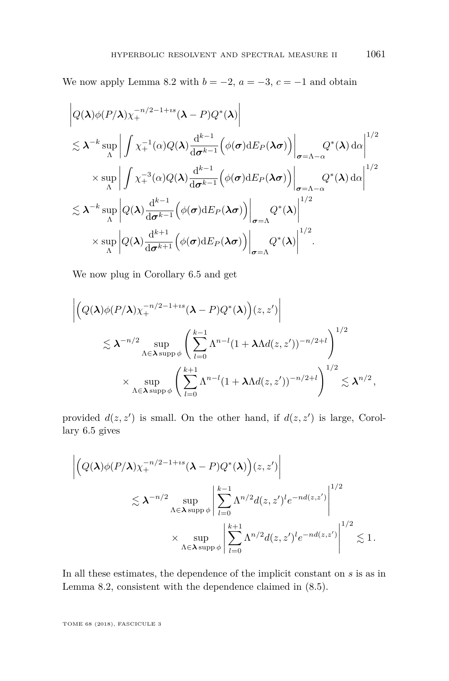We now apply Lemma [8.2](#page-50-0) with  $b = -2$ ,  $a = -3$ ,  $c = -1$  and obtain

$$
\left| Q(\boldsymbol{\lambda}) \phi(P/\boldsymbol{\lambda}) \chi_{+}^{-n/2-1+is} (\boldsymbol{\lambda} - P) Q^*(\boldsymbol{\lambda}) \right|
$$
  
\n
$$
\lesssim \boldsymbol{\lambda}^{-k} \sup_{\Lambda} \left| \int \chi_{+}^{-1}(\alpha) Q(\boldsymbol{\lambda}) \frac{d^{k-1}}{d \sigma^{k-1}} \left( \phi(\sigma) dE_P(\boldsymbol{\lambda} \sigma) \right) \right|_{\sigma = \Lambda - \alpha} Q^*(\boldsymbol{\lambda}) d\alpha \right|^{1/2}
$$
  
\n
$$
\times \sup_{\Lambda} \left| \int \chi_{+}^{-3}(\alpha) Q(\boldsymbol{\lambda}) \frac{d^{k-1}}{d \sigma^{k-1}} \left( \phi(\sigma) dE_P(\boldsymbol{\lambda} \sigma) \right) \right|_{\sigma = \Lambda - \alpha} Q^*(\boldsymbol{\lambda}) d\alpha \right|^{1/2}
$$
  
\n
$$
\lesssim \boldsymbol{\lambda}^{-k} \sup_{\Lambda} \left| Q(\boldsymbol{\lambda}) \frac{d^{k-1}}{d \sigma^{k-1}} \left( \phi(\sigma) dE_P(\boldsymbol{\lambda} \sigma) \right) \right|_{\sigma = \Lambda} Q^*(\boldsymbol{\lambda}) \right|^{1/2}
$$
  
\n
$$
\times \sup_{\Lambda} \left| Q(\boldsymbol{\lambda}) \frac{d^{k+1}}{d \sigma^{k+1}} \left( \phi(\sigma) dE_P(\boldsymbol{\lambda} \sigma) \right) \right|_{\sigma = \Lambda} Q^*(\boldsymbol{\lambda}) \right|^{1/2}.
$$

We now plug in Corollary [6.5](#page-46-1) and get

$$
\left| \left( Q(\boldsymbol{\lambda}) \phi(P/\boldsymbol{\lambda}) \chi_+^{-n/2 - 1 + is} (\boldsymbol{\lambda} - P) Q^*(\boldsymbol{\lambda}) \right) (z, z') \right|
$$
  
\$\lesssim \boldsymbol{\lambda}^{-n/2} \sup\_{\Lambda \in \boldsymbol{\lambda} \sup p \phi} \left( \sum\_{l=0}^{k-1} \Lambda^{n-l} (1 + \lambda \Lambda d(z, z'))^{-n/2 + l} \right)^{1/2}\$  
\$\times \sup\_{\Lambda \in \boldsymbol{\lambda} \sup p \phi} \left( \sum\_{l=0}^{k+1} \Lambda^{n-l} (1 + \lambda \Lambda d(z, z'))^{-n/2 + l} \right)^{1/2} \lesssim \boldsymbol{\lambda}^{n/2},

provided  $d(z, z')$  is small. On the other hand, if  $d(z, z')$  is large, Corollary [6.5](#page-46-1) gives

$$
\left| \left( Q(\boldsymbol{\lambda}) \phi(P/\boldsymbol{\lambda}) \chi_{+}^{-n/2 - 1 + is} (\boldsymbol{\lambda} - P) Q^*(\boldsymbol{\lambda}) \right) (z, z') \right|
$$
  

$$
\lesssim \boldsymbol{\lambda}^{-n/2} \sup_{\Lambda \in \boldsymbol{\lambda} \text{ supp } \phi} \left| \sum_{l=0}^{k-1} \Lambda^{n/2} d(z, z')^l e^{-n d(z, z')} \right|^{1/2}
$$
  

$$
\times \sup_{\Lambda \in \boldsymbol{\lambda} \text{ supp } \phi} \left| \sum_{l=0}^{k+1} \Lambda^{n/2} d(z, z')^l e^{-n d(z, z')} \right|^{1/2} \lesssim 1.
$$

In all these estimates, the dependence of the implicit constant on *s* is as in Lemma [8.2,](#page-50-0) consistent with the dependence claimed in [\(8.5\)](#page-49-1).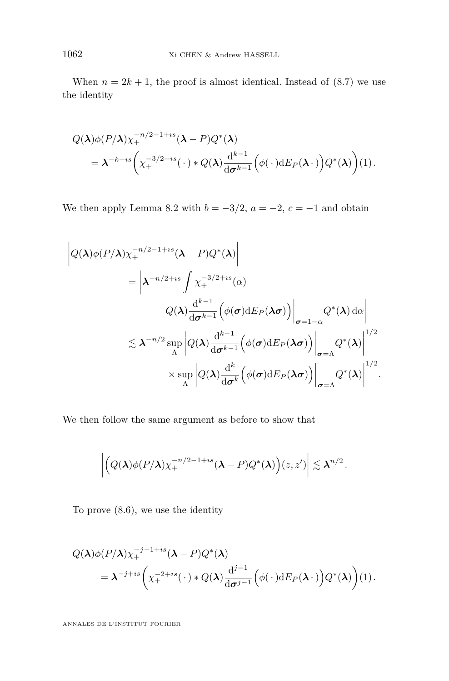When  $n = 2k + 1$ , the proof is almost identical. Instead of  $(8.7)$  we use the identity

$$
Q(\boldsymbol{\lambda})\phi(P/\boldsymbol{\lambda})\chi_+^{-n/2-1+is}(\boldsymbol{\lambda}-P)Q^*(\boldsymbol{\lambda})
$$
  
=  $\boldsymbol{\lambda}^{-k+is}\left(\chi_+^{-3/2+is}(\cdot)*Q(\boldsymbol{\lambda})\frac{d^{k-1}}{d\boldsymbol{\sigma}^{k-1}}\left(\phi(\cdot)dE_P(\boldsymbol{\lambda}\cdot)\right)Q^*(\boldsymbol{\lambda})\right)(1).$ 

We then apply Lemma [8.2](#page-50-0) with  $b = -3/2$ ,  $a = -2$ ,  $c = -1$  and obtain

$$
\left| Q(\boldsymbol{\lambda}) \phi(P/\boldsymbol{\lambda}) \chi_{+}^{-n/2-1+is} (\boldsymbol{\lambda} - P) Q^{*}(\boldsymbol{\lambda}) \right|
$$
\n
$$
= \left| \boldsymbol{\lambda}^{-n/2+is} \int \chi_{+}^{-3/2+is} (\alpha)
$$
\n
$$
Q(\boldsymbol{\lambda}) \frac{d^{k-1}}{d \sigma^{k-1}} \left( \phi(\sigma) dE_{P}(\boldsymbol{\lambda}\sigma) \right) \right|_{\sigma=1-\alpha} Q^{*}(\boldsymbol{\lambda}) d\alpha \right|
$$
\n
$$
\lesssim \boldsymbol{\lambda}^{-n/2} \sup_{\Lambda} \left| Q(\boldsymbol{\lambda}) \frac{d^{k-1}}{d \sigma^{k-1}} \left( \phi(\sigma) dE_{P}(\boldsymbol{\lambda}\sigma) \right) \right|_{\sigma=\Lambda} Q^{*}(\boldsymbol{\lambda}) \right|^{1/2}
$$
\n
$$
\times \sup_{\Lambda} \left| Q(\boldsymbol{\lambda}) \frac{d^{k}}{d \sigma^{k}} \left( \phi(\sigma) dE_{P}(\boldsymbol{\lambda}\sigma) \right) \right|_{\sigma=\Lambda} Q^{*}(\boldsymbol{\lambda}) \right|^{1/2}.
$$

We then follow the same argument as before to show that

$$
\left| \left( Q(\boldsymbol{\lambda}) \phi(P/\boldsymbol{\lambda}) \chi_+^{-n/2-1+is} (\boldsymbol{\lambda} - P) Q^*(\boldsymbol{\lambda}) \right) (z, z') \right| \lesssim \boldsymbol{\lambda}^{n/2}.
$$

To prove [\(8.6\)](#page-49-2), we use the identity

$$
Q(\boldsymbol{\lambda})\phi(P/\boldsymbol{\lambda})\chi_{+}^{-j-1+is}(\boldsymbol{\lambda}-P)Q^{*}(\boldsymbol{\lambda})
$$
  
=  $\boldsymbol{\lambda}^{-j+is}\bigg(\chi_{+}^{-2+is}(\cdot)*Q(\boldsymbol{\lambda})\frac{\mathrm{d}^{j-1}}{\mathrm{d}\boldsymbol{\sigma}^{j-1}}\bigg(\phi(\cdot)\mathrm{d}E_{P}(\boldsymbol{\lambda}\cdot)\bigg)Q^{*}(\boldsymbol{\lambda})\bigg)(1).$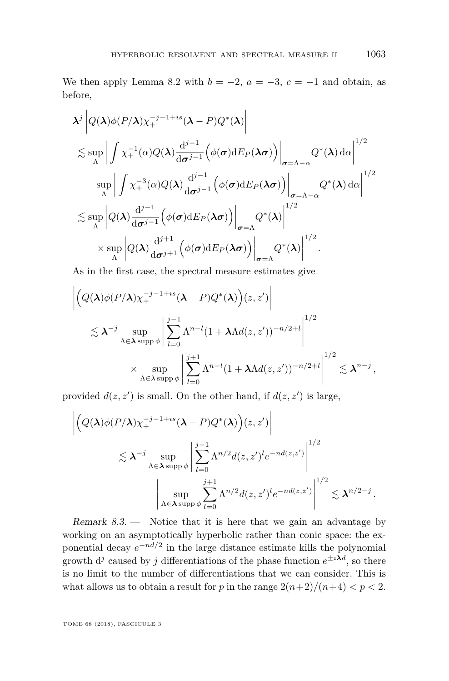We then apply Lemma [8.2](#page-50-0) with  $b = -2$ ,  $a = -3$ ,  $c = -1$  and obtain, as before,

$$
\lambda^{j} \left| Q(\lambda) \phi(P/\lambda) \chi_{+}^{-j-1+is} (\lambda - P) Q^{*}(\lambda) \right|
$$
\n
$$
\lesssim \sup_{\Lambda} \left| \int \chi_{+}^{-1}(\alpha) Q(\lambda) \frac{d^{j-1}}{d\sigma^{j-1}} \left( \phi(\sigma) dE_{P}(\lambda \sigma) \right) \right|_{\sigma = \Lambda - \alpha} Q^{*}(\lambda) d\alpha \right|^{1/2}
$$
\n
$$
\sup_{\Lambda} \left| \int \chi_{+}^{-3}(\alpha) Q(\lambda) \frac{d^{j-1}}{d\sigma^{j-1}} \left( \phi(\sigma) dE_{P}(\lambda \sigma) \right) \right|_{\sigma = \Lambda - \alpha} Q^{*}(\lambda) d\alpha \right|^{1/2}
$$
\n
$$
\lesssim \sup_{\Lambda} \left| Q(\lambda) \frac{d^{j-1}}{d\sigma^{j-1}} \left( \phi(\sigma) dE_{P}(\lambda \sigma) \right) \right|_{\sigma = \Lambda} Q^{*}(\lambda) \right|^{1/2}
$$
\n
$$
\times \sup_{\Lambda} \left| Q(\lambda) \frac{d^{j+1}}{d\sigma^{j+1}} \left( \phi(\sigma) dE_{P}(\lambda \sigma) \right) \right|_{\sigma = \Lambda} Q^{*}(\lambda) \right|^{1/2}.
$$

As in the first case, the spectral measure estimates give

$$
\left| \left( Q(\boldsymbol{\lambda}) \phi(P/\boldsymbol{\lambda}) \chi_{+}^{-j-1+is} (\boldsymbol{\lambda} - P) Q^{*}(\boldsymbol{\lambda}) \right) (z, z') \right|
$$
  
\$\lesssim \boldsymbol{\lambda}^{-j} \sup\_{\Lambda \in \boldsymbol{\lambda} \text{ supp } \phi} \left| \sum\_{l=0}^{j-1} \Lambda^{n-l} (1 + \boldsymbol{\lambda} \Lambda d(z, z'))^{-n/2 + l} \right|^{1/2}\$  
\$\times \sup\_{\Lambda \in \lambda \text{ supp } \phi} \left| \sum\_{l=0}^{j+1} \Lambda^{n-l} (1 + \boldsymbol{\lambda} \Lambda d(z, z'))^{-n/2 + l} \right|^{1/2} \lesssim \boldsymbol{\lambda}^{n-j}, \end{cases}

provided  $d(z, z')$  is small. On the other hand, if  $d(z, z')$  is large,

$$
\left| \left( Q(\boldsymbol{\lambda}) \phi(P/\boldsymbol{\lambda}) \chi_{+}^{-j-1+is} (\boldsymbol{\lambda} - P) Q^{*}(\boldsymbol{\lambda}) \right) (z, z') \right|
$$
  

$$
\lesssim \boldsymbol{\lambda}^{-j} \sup_{\Lambda \in \boldsymbol{\lambda} \supp \phi} \left| \sum_{l=0}^{j-1} \Lambda^{n/2} d(z, z')^{l} e^{-nd(z, z')} \right|^{1/2}
$$
  

$$
\left| \sup_{\Lambda \in \boldsymbol{\lambda} \supp \phi} \sum_{l=0}^{j+1} \Lambda^{n/2} d(z, z')^{l} e^{-nd(z, z')} \right|^{1/2} \lesssim \boldsymbol{\lambda}^{n/2 - j}.
$$

Remark 8.3. — Notice that it is here that we gain an advantage by working on an asymptotically hyperbolic rather than conic space: the exponential decay  $e^{-nd/2}$  in the large distance estimate kills the polynomial growth  $d^j$  caused by *j* differentiations of the phase function  $e^{\pm i \lambda d}$ , so there is no limit to the number of differentiations that we can consider. This is what allows us to obtain a result for *p* in the range  $2(n+2)/(n+4) < p < 2$ .

 $\mathbf{r}$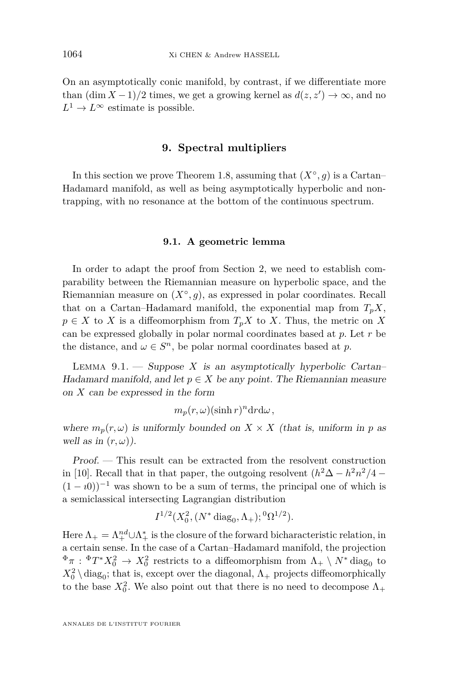On an asymptotically conic manifold, by contrast, if we differentiate more than  $(\dim X - 1)/2$  times, we get a growing kernel as  $d(z, z') \to \infty$ , and no  $L^1 \to L^\infty$  estimate is possible.

## **9. Spectral multipliers**

<span id="page-54-0"></span>In this section we prove Theorem [1.8,](#page-13-0) assuming that  $(X^{\circ}, g)$  is a Cartan– Hadamard manifold, as well as being asymptotically hyperbolic and nontrapping, with no resonance at the bottom of the continuous spectrum.

#### **9.1. A geometric lemma**

<span id="page-54-1"></span>In order to adapt the proof from Section [2,](#page-14-0) we need to establish comparability between the Riemannian measure on hyperbolic space, and the Riemannian measure on  $(X^{\circ}, g)$ , as expressed in polar coordinates. Recall that on a Cartan–Hadamard manifold, the exponential map from  $T_pX$ ,  $p \in X$  to *X* is a diffeomorphism from  $T_p X$  to *X*. Thus, the metric on *X* can be expressed globally in polar normal coordinates based at *p*. Let *r* be the distance, and  $\omega \in S^n$ , be polar normal coordinates based at p.

<span id="page-54-2"></span>LEMMA  $9.1.$  — Suppose X is an asymptotically hyperbolic Cartan– Hadamard manifold, and let  $p \in X$  be any point. The Riemannian measure on *X* can be expressed in the form

$$
m_p(r,\omega)(\sinh r)^n dr d\omega,
$$

where  $m_p(r,\omega)$  is uniformly bounded on  $X \times X$  (that is, uniform in p as well as in  $(r, \omega)$ ).

Proof. — This result can be extracted from the resolvent construction in [\[10\]](#page-63-0). Recall that in that paper, the outgoing resolvent  $(h^2\Delta - h^2n^2/4 (1 - i0)^{-1}$  was shown to be a sum of terms, the principal one of which is a semiclassical intersecting Lagrangian distribution

$$
I^{1/2}(X_0^2, (N^* \text{diag}_0, \Lambda_+); {}^0\Omega^{1/2}).
$$

Here  $\Lambda_+ = \Lambda^{nd}_+ \cup \Lambda^*_+$  is the closure of the forward bicharacteristic relation, in a certain sense. In the case of a Cartan–Hadamard manifold, the projection  $\Phi_{\pi}: \Phi_{T^*X_0^2} \to X_0^2$  restricts to a diffeomorphism from  $\Lambda_+ \setminus N^*$  diag<sub>0</sub> to  $X_0^2 \setminus \text{diag}_0$ ; that is, except over the diagonal,  $\Lambda_+$  projects diffeomorphically to the base  $X_0^2$ . We also point out that there is no need to decompose  $\Lambda_+$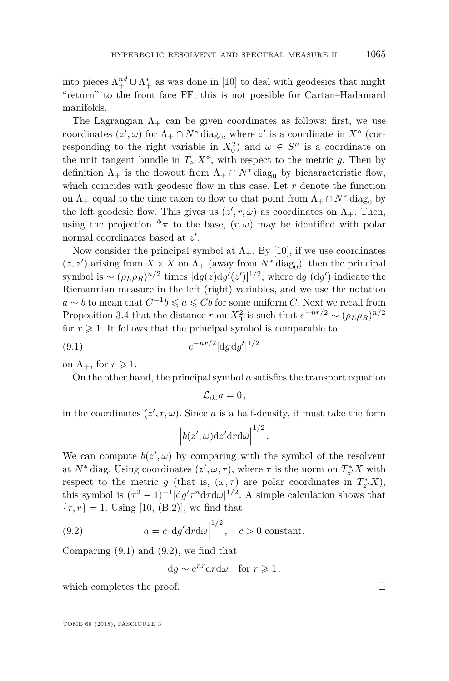into pieces  $\Lambda^{nd}_+ \cup \Lambda^*_+$  as was done in [\[10\]](#page-63-0) to deal with geodesics that might "return" to the front face FF; this is not possible for Cartan–Hadamard manifolds.

The Lagrangian  $\Lambda_{+}$  can be given coordinates as follows: first, we use coordinates  $(z', \omega)$  for  $\Lambda_+ \cap N^*$  diag<sub>0</sub>, where  $z'$  is a coordinate in  $X^{\circ}$  (corresponding to the right variable in  $X_0^2$  and  $\omega \in S^n$  is a coordinate on the unit tangent bundle in  $T_{z}$ ,  $X^{\circ}$ , with respect to the metric g. Then by definition  $\Lambda_+$  is the flowout from  $\Lambda_+ \cap N^*$  diag<sub>0</sub> by bicharacteristic flow, which coincides with geodesic flow in this case. Let  $r$  denote the function on  $\Lambda_+$  equal to the time taken to flow to that point from  $\Lambda_+ \cap N^*$  diag<sub>0</sub> by the left geodesic flow. This gives us  $(z', r, \omega)$  as coordinates on  $\Lambda_+$ . Then, using the projection  $\Phi_{\pi}$  to the base,  $(r,\omega)$  may be identified with polar normal coordinates based at z'.

Now consider the principal symbol at  $\Lambda_{+}$ . By [\[10\]](#page-63-0), if we use coordinates  $(z, z^\prime)$  arising from  $X \times X$  on  $\Lambda_+$  (away from  $N^* \operatorname{diag}_0$ ), then the principal symbol is  $\sim (\rho_L \rho_R)^{n/2}$  times  $|dg(z)dg'(z')|^{1/2}$ , where dg  $(dg')$  indicate the Riemannian measure in the left (right) variables, and we use the notation *a* ∼ *b* to mean that  $C^{-1}b \le a \le Cb$  for some uniform *C*. Next we recall from Proposition [3.4](#page-25-0) that the distance *r* on  $X_0^2$  is such that  $e^{-nr/2} \sim (\rho_L \rho_R)^{n/2}$ for  $r \geq 1$ . It follows that the principal symbol is comparable to

(9.1) 
$$
e^{-nr/2} |dg dg'|^{1/2}
$$

on  $\Lambda_+$ , for  $r \geqslant 1$ .

On the other hand, the principal symbol *a* satisfies the transport equation

<span id="page-55-0"></span> $\mathcal{L}_{\partial}$  *a* = 0,

in the coordinates  $(z', r, \omega)$ . Since *a* is a half-density, it must take the form

$$
\left|b(z',\omega)dz'drd\omega\right|^{1/2}.
$$

We can compute  $b(z', \omega)$  by comparing with the symbol of the resolvent at  $N^*$  diag. Using coordinates  $(z', \omega, \tau)$ , where  $\tau$  is the norm on  $T^*_{z'}X$  with respect to the metric *g* (that is,  $(\omega, \tau)$  are polar coordinates in  $T^*_{z'}X$ ), this symbol is  $(\tau^2 - 1)^{-1} |dg'\tau^n d\tau d\omega|^{1/2}$ . A simple calculation shows that  ${\tau, r} = 1$ . Using [\[10,](#page-63-0) (B.2)], we find that

(9.2) 
$$
a = c \left| \frac{dg'}{dr} \right|^{1/2}, \quad c > 0 \text{ constant.}
$$

Comparing [\(9.1\)](#page-55-0) and [\(9.2\)](#page-55-1), we find that

<span id="page-55-1"></span>
$$
dg \sim e^{nr} dr d\omega \quad \text{for } r \geq 1,
$$

which completes the proof.  $\Box$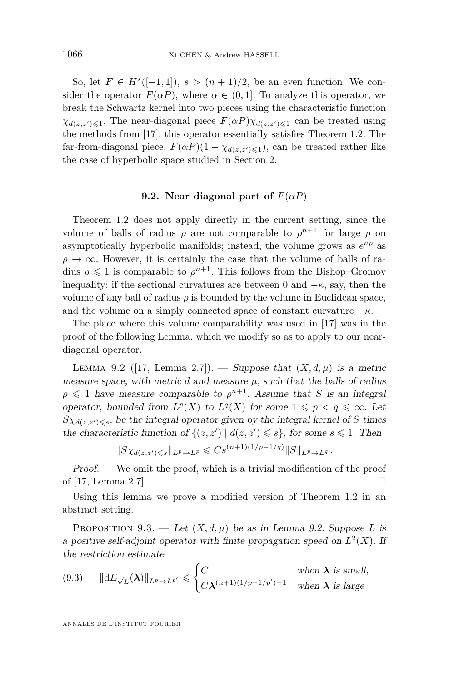So, let  $F \in H^s([-1,1])$ ,  $s > (n+1)/2$ , be an even function. We consider the operator  $F(\alpha P)$ , where  $\alpha \in (0,1]$ . To analyze this operator, we break the Schwartz kernel into two pieces using the characteristic function  $\chi_{d(z,z')\leq 1}$ . The near-diagonal piece  $F(\alpha P)\chi_{d(z,z')\leq 1}$  can be treated using the methods from [\[17\]](#page-63-1); this operator essentially satisfies Theorem [1.2.](#page-7-1) The far-from-diagonal piece,  $F(\alpha P)(1 - \chi_{d(z,z') \leq 1})$ , can be treated rather like the case of hyperbolic space studied in Section [2.](#page-14-0)

## **9.2.** Near diagonal part of  $F(\alpha P)$

<span id="page-56-3"></span>Theorem [1.2](#page-7-1) does not apply directly in the current setting, since the volume of balls of radius  $\rho$  are not comparable to  $\rho^{n+1}$  for large  $\rho$  on asymptotically hyperbolic manifolds; instead, the volume grows as *e nρ* as  $\rho \rightarrow \infty$ . However, it is certainly the case that the volume of balls of radius  $\rho \leq 1$  is comparable to  $\rho^{n+1}$ . This follows from the Bishop–Gromov inequality: if the sectional curvatures are between 0 and  $-\kappa$ , say, then the volume of any ball of radius  $\rho$  is bounded by the volume in Euclidean space, and the volume on a simply connected space of constant curvature  $-\kappa$ .

The place where this volume comparability was used in [\[17\]](#page-63-1) was in the proof of the following Lemma, which we modify so as to apply to our neardiagonal operator.

<span id="page-56-0"></span>LEMMA 9.2 ([\[17,](#page-63-1) Lemma 2.7]). — Suppose that  $(X, d, \mu)$  is a metric measure space, with metric  $d$  and measure  $\mu$ , such that the balls of radius  $\rho \leq 1$  have measure comparable to  $\rho^{n+1}$ . Assume that *S* is an integral operator, bounded from  $L^p(X)$  to  $L^q(X)$  for some  $1 \leqslant p \leqslant q \leqslant \infty$ . Let  $S\chi_{d(z,z')\leq s}$ , be the integral operator given by the integral kernel of *S* times the characteristic function of  $\{(z, z') | d(z, z') \leq s\}$ , for some  $s \leq 1$ . Then

$$
||S\chi_{d(z,z')\leq s}||_{L^p\to L^p}\leqslant Cs^{(n+1)(1/p-1/q)}||S||_{L^p\to L^q}.
$$

Proof. — We omit the proof, which is a trivial modification of the proof of [\[17,](#page-63-1) Lemma 2.7].

Using this lemma we prove a modified version of Theorem [1.2](#page-7-1) in an abstract setting.

<span id="page-56-1"></span>PROPOSITION 9.3. — Let  $(X, d, \mu)$  be as in Lemma [9.2.](#page-56-0) Suppose L is a positive self-adjoint operator with finite propagation speed on  $L^2(X)$ . If the restriction estimate

<span id="page-56-2"></span>
$$
(9.3) \qquad \|\mathrm{d}E_{\sqrt{L}}(\boldsymbol{\lambda})\|_{L^p \to L^{p'}} \leqslant \begin{cases} C & \text{when } \boldsymbol{\lambda} \text{ is small,} \\ C\boldsymbol{\lambda}^{(n+1)(1/p-1/p')-1} & \text{when } \boldsymbol{\lambda} \text{ is large} \end{cases}
$$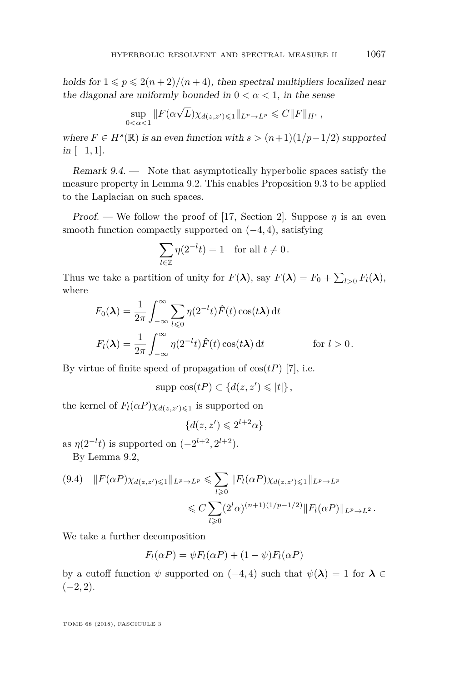holds for  $1 \leq p \leq 2(n+2)/(n+4)$ , then spectral multipliers localized near the diagonal are uniformly bounded in  $0 < \alpha < 1$ , in the sense

$$
\sup_{0<\alpha<1}||F(\alpha\sqrt{L})\chi_{d(z,z')\leq 1}||_{L^p\to L^p}\leq C||F||_{H^s},
$$

where  $F \in H^s(\mathbb{R})$  is an even function with  $s > (n+1)(1/p-1/2)$  supported in [−1*,* 1].

Remark  $9.4.$  — Note that asymptotically hyperbolic spaces satisfy the measure property in Lemma [9.2.](#page-56-0) This enables Proposition [9.3](#page-56-1) to be applied to the Laplacian on such spaces.

Proof. — We follow the proof of [\[17,](#page-63-1) Section 2]. Suppose  $\eta$  is an even smooth function compactly supported on (−4*,* 4), satisfying

$$
\sum_{l \in \mathbb{Z}} \eta(2^{-l}t) = 1 \quad \text{for all } t \neq 0.
$$

Thus we take a partition of unity for  $F(\lambda)$ , say  $F(\lambda) = F_0 + \sum_{l>0} F_l(\lambda)$ , where

$$
F_0(\lambda) = \frac{1}{2\pi} \int_{-\infty}^{\infty} \sum_{l \leq 0} \eta(2^{-l}t) \hat{F}(t) \cos(t\lambda) dt
$$
  

$$
F_l(\lambda) = \frac{1}{2\pi} \int_{-\infty}^{\infty} \eta(2^{-l}t) \hat{F}(t) \cos(t\lambda) dt \qquad \text{for } l > 0.
$$

By virtue of finite speed of propagation of  $cos(tP)$  [\[7\]](#page-63-9), i.e.

$$
\text{supp } \cos(tP) \subset \{d(z,z')\leqslant |t|\},
$$

the kernel of  $F_l(\alpha P)\chi_{d(z,z')\leq 1}$  is supported on

$$
\{d(z,z')\leqslant 2^{l+2}\alpha\}
$$

as  $\eta(2^{-l}t)$  is supported on  $(-2^{l+2}, 2^{l+2})$ . By Lemma [9.2,](#page-56-0)

<span id="page-57-0"></span>
$$
(9.4) \quad ||F(\alpha P)\chi_{d(z,z')\leq 1}||_{L^p \to L^p} \leq \sum_{l\geq 0} ||F_l(\alpha P)\chi_{d(z,z')\leq 1}||_{L^p \to L^p}
$$
  

$$
\leq C \sum (2^l \alpha)^{(n+1)(1/p-1/2)} ||F_l(\alpha P)||_{L^p \to L^2}.
$$

We take a further decomposition

$$
F_l(\alpha P) = \psi F_l(\alpha P) + (1 - \psi) F_l(\alpha P)
$$

*l*>0

by a cutoff function  $\psi$  supported on (−4*,* 4) such that  $\psi(\lambda) = 1$  for  $\lambda \in$  $(-2, 2)$ .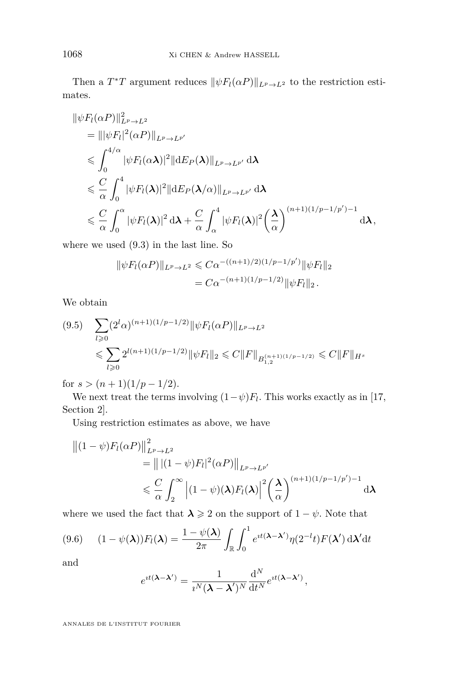Then a  $T^*T$  argument reduces  $\|\psi F_l(\alpha P)\|_{L^p \to L^2}$  to the restriction estimates.

$$
\|\psi F_l(\alpha P)\|_{L^p \to L^2}^2
$$
\n
$$
= \|\psi F_l|^2 (\alpha P)\|_{L^p \to L^{p'}}
$$
\n
$$
\leq \int_0^{4/\alpha} |\psi F_l(\alpha \lambda)|^2 \|dE_P(\lambda)\|_{L^p \to L^{p'}} d\lambda
$$
\n
$$
\leq \frac{C}{\alpha} \int_0^4 |\psi F_l(\lambda)|^2 \|dE_P(\lambda/\alpha)\|_{L^p \to L^{p'}} d\lambda
$$
\n
$$
\leq \frac{C}{\alpha} \int_0^{\alpha} |\psi F_l(\lambda)|^2 d\lambda + \frac{C}{\alpha} \int_\alpha^4 |\psi F_l(\lambda)|^2 (\frac{\lambda}{\alpha})^{(n+1)(1/p-1/p')-1} d\lambda,
$$

where we used [\(9.3\)](#page-56-2) in the last line. So

$$
\|\psi F_l(\alpha P)\|_{L^p \to L^2} \leq C\alpha^{-((n+1)/2)(1/p - 1/p')} \|\psi F_l\|_2
$$
  
=  $C\alpha^{-(n+1)(1/p - 1/2)} \|\psi F_l\|_2$ .

We obtain

<span id="page-58-1"></span>
$$
(9.5) \quad \sum_{l\geq 0} (2^l \alpha)^{(n+1)(1/p-1/2)} \|\psi F_l(\alpha P)\|_{L^p \to L^2}
$$
  
\$\leqslant \sum\_{l\geqslant 0} 2^{l(n+1)(1/p-1/2)} \|\psi F\_l\|\_2 \leqslant C \|F\|\_{B\_{1,2}^{(n+1)(1/p-1/2)}} \leqslant C \|F\|\_{H^s}\$

for  $s > (n+1)(1/p-1/2)$ .

We next treat the terms involving  $(1-\psi)F_l$ . This works exactly as in [\[17,](#page-63-1) Section 2].

Using restriction estimates as above, we have

$$
\begin{aligned} \left\| (1 - \psi) F_l(\alpha P) \right\|_{L^p \to L^2}^2 \\ &= \left\| |(1 - \psi) F_l|^2(\alpha P) \right\|_{L^p \to L^{p'}} \\ &\leq \frac{C}{\alpha} \int_2^\infty \left| (1 - \psi)(\lambda) F_l(\lambda) \right|^2 \left( \frac{\lambda}{\alpha} \right)^{(n+1)(1/p - 1/p') - 1} d\lambda \end{aligned}
$$

where we used the fact that  $\lambda \geq 2$  on the support of  $1 - \psi$ . Note that

<span id="page-58-0"></span>
$$
(9.6) \qquad (1 - \psi(\boldsymbol{\lambda})) F_l(\boldsymbol{\lambda}) = \frac{1 - \psi(\boldsymbol{\lambda})}{2\pi} \int_{\mathbb{R}} \int_0^1 e^{it(\boldsymbol{\lambda} - \boldsymbol{\lambda}')}\eta(2^{-l}t)F(\boldsymbol{\lambda}') \,d\boldsymbol{\lambda}' dt
$$

and

$$
e^{it(\lambda - \lambda')} = \frac{1}{i^N (\lambda - \lambda')^N} \frac{\mathrm{d}^N}{\mathrm{d}t^N} e^{it(\lambda - \lambda')},
$$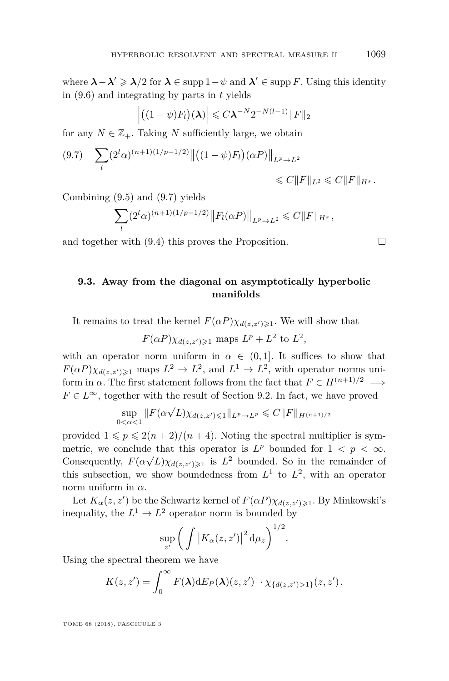where  $\lambda - \lambda' \geqslant \lambda/2$  for  $\lambda \in \text{supp } 1 - \psi$  and  $\lambda' \in \text{supp } F$ . Using this identity in [\(9.6\)](#page-58-0) and integrating by parts in *t* yields

$$
\left| \left( (1 - \psi) F_l \right) (\boldsymbol{\lambda}) \right| \leqslant C \boldsymbol{\lambda}^{-N} 2^{-N(l-1)} \| F \|_2
$$

for any  $N \in \mathbb{Z}_+$ . Taking N sufficiently large, we obtain

<span id="page-59-0"></span>
$$
(9.7) \quad \sum_{l} (2^l \alpha)^{(n+1)(1/p-1/2)} \left\| \left( (1-\psi) F_l \right) (\alpha P) \right\|_{L^p \to L^2} \leq C \|F\|_{L^2} \leq C \|F\|_{H^s}.
$$

Combining [\(9.5\)](#page-58-1) and [\(9.7\)](#page-59-0) yields

$$
\sum_{l} (2^l \alpha)^{(n+1)(1/p-1/2)} ||F_l(\alpha P)||_{L^p \to L^2} \leq C ||F||_{H^s},
$$

and together with  $(9.4)$  this proves the Proposition.

## **9.3. Away from the diagonal on asymptotically hyperbolic manifolds**

It remains to treat the kernel  $F(\alpha P)\chi_{d(z,z')\geq 1}$ . We will show that

$$
F(\alpha P)\chi_{d(z,z')\geq 1}
$$
 maps  $L^p + L^2$  to  $L^2$ ,

with an operator norm uniform in  $\alpha \in (0,1]$ . It suffices to show that  $F(\alpha P)\chi_{d(z,z')\geqslant1}$  maps  $L^2 \to L^2$ , and  $L^1 \to L^2$ , with operator norms uniform in  $\alpha$ . The first statement follows from the fact that  $F \in H^{(n+1)/2} \implies$  $F \in L^{\infty}$ , together with the result of Section [9.2.](#page-56-3) In fact, we have proved

$$
\sup_{0 < \alpha < 1} \|F(\alpha \sqrt{L}) \chi_{d(z, z') \leq 1} \|_{L^p \to L^p} \leq C \|F\|_{H^{(n+1)/2}}
$$

provided  $1 \leqslant p \leqslant 2(n+2)/(n+4)$ . Noting the spectral multiplier is symmetric, we conclude that this operator is  $L^p$  bounded for  $1 < p < \infty$ . Consequently,  $F(\alpha \sqrt{L}) \chi_{d(z,z')}$  is  $L^2$  bounded. So in the remainder of this subsection, we show boundedness from  $L^1$  to  $L^2$ , with an operator norm uniform in *α*.

Let  $K_{\alpha}(z, z')$  be the Schwartz kernel of  $F(\alpha P)\chi_{d(z, z')\geq 1}$ . By Minkowski's inequality, the  $L^1 \to L^2$  operator norm is bounded by

$$
\sup_{z'} \bigg( \int \big| K_{\alpha}(z, z') \big|^2 \, \mathrm{d}\mu_z \bigg)^{1/2}.
$$

Using the spectral theorem we have

$$
K(z,z')=\int_0^\infty F(\lambda)\mathrm{d}E_P(\lambda)(z,z')\,\cdot\chi_{\{d(z,z')>1\}}(z,z').
$$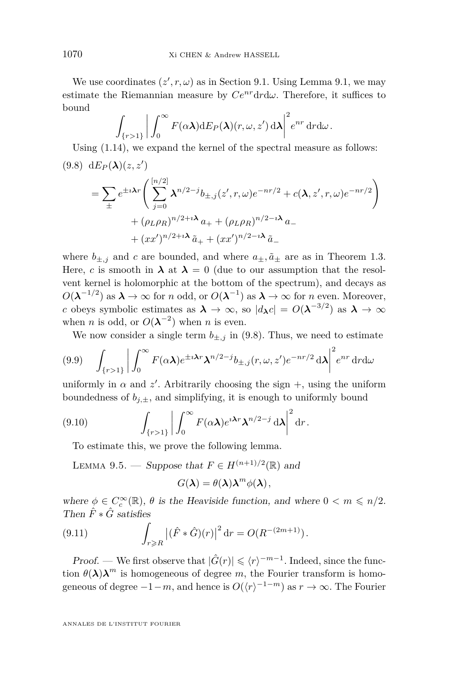We use coordinates  $(z', r, \omega)$  as in Section [9.1.](#page-54-1) Using Lemma [9.1,](#page-54-2) we may estimate the Riemannian measure by  $Ce^{nr} dr d\omega$ . Therefore, it suffices to bound

$$
\int_{\{r>1\}} \bigg| \int_0^\infty F(\alpha \lambda) dE_P(\lambda)(r,\omega,z') d\lambda \bigg|^2 e^{nr} dr d\omega.
$$

<span id="page-60-0"></span>Using [\(1.14\)](#page-10-2), we expand the kernel of the spectral measure as follows:  $\sum_{P}$  (9.8) d $E_P(\lambda)(z, z')$ 

$$
= \sum_{\pm} e^{\pm i \lambda r} \left( \sum_{j=0}^{[n/2]} \lambda^{n/2-j} b_{\pm,j}(z',r,\omega) e^{-nr/2} + c(\lambda, z',r,\omega) e^{-nr/2} \right) + (\rho_L \rho_R)^{n/2 + i \lambda} a_+ + (\rho_L \rho_R)^{n/2 - i \lambda} a_- + (xx')^{n/2 + i \lambda} \tilde{a}_+ + (xx')^{n/2 - i \lambda} \tilde{a}_-
$$

where  $b_{\pm,j}$  and *c* are bounded, and where  $a_{\pm}$ ,  $\tilde{a}_{\pm}$  are as in Theorem [1.3.](#page-10-1) Here, *c* is smooth in  $\lambda$  at  $\lambda = 0$  (due to our assumption that the resolvent kernel is holomorphic at the bottom of the spectrum), and decays as  $O(\lambda^{-1/2})$  as  $\lambda \to \infty$  for *n* odd, or  $O(\lambda^{-1})$  as  $\lambda \to \infty$  for *n* even. Moreover, *c* obeys symbolic estimates as  $\lambda \to \infty$ , so  $|d_{\lambda}c| = O(\lambda^{-3/2})$  as  $\lambda \to \infty$ when *n* is odd, or  $O(\lambda^{-2})$  when *n* is even.

We now consider a single term  $b_{\pm,j}$  in [\(9.8\)](#page-60-0). Thus, we need to estimate

$$
(9.9) \quad \int_{\{r>1\}} \left| \int_0^\infty F(\alpha \lambda) e^{\pm i \lambda r} \lambda^{n/2-j} b_{\pm,j}(r,\omega,z') e^{-nr/2} d\lambda \right|^2 e^{nr} dr d\omega
$$

uniformly in  $\alpha$  and  $z'$ . Arbitrarily choosing the sign  $+$ , using the uniform boundedness of  $b_{i,\pm}$ , and simplifying, it is enough to uniformly bound

(9.10) 
$$
\int_{\{r>1\}} \left| \int_0^\infty F(\alpha \lambda) e^{i \lambda r} \lambda^{n/2-j} d\lambda \right|^2 dr.
$$

<span id="page-60-1"></span>To estimate this, we prove the following lemma.

<span id="page-60-2"></span>LEMMA 9.5. — Suppose that  $F \in H^{(n+1)/2}(\mathbb{R})$  and

$$
G(\lambda) = \theta(\lambda) \lambda^m \phi(\lambda),
$$

where  $\phi \in C_c^{\infty}(\mathbb{R})$ ,  $\theta$  is the Heaviside function, and where  $0 < m \leq n/2$ . Then  $\hat{F} * \hat{G}$  satisfies

(9.11) 
$$
\int_{r \ge R} |(\hat{F} * \hat{G})(r)|^2 dr = O(R^{-(2m+1)}).
$$

*Proof.* — We first observe that  $|\hat{G}(r)| \leq \langle r \rangle^{-m-1}$ . Indeed, since the function  $\theta(\lambda)\lambda^m$  is homogeneous of degree *m*, the Fourier transform is homogeneous of degree  $-1-m$ , and hence is  $O(\langle r \rangle^{-1-m})$  as  $r \to \infty$ . The Fourier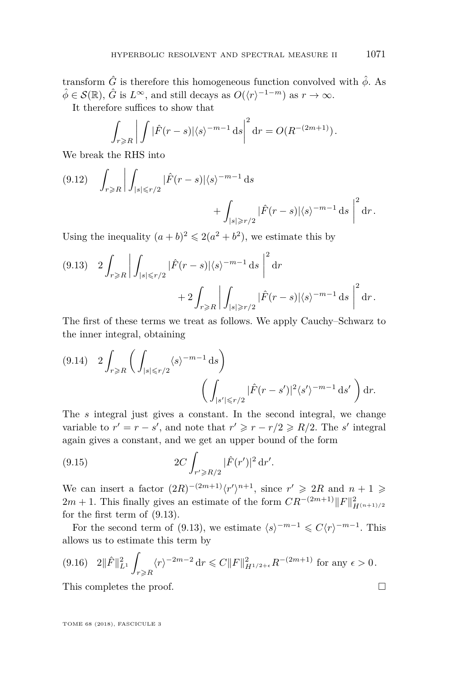transform  $\hat{G}$  is therefore this homogeneous function convolved with  $\hat{\phi}$ . As  $\hat{\phi} \in \mathcal{S}(\mathbb{R})$ ,  $\hat{G}$  is  $L^{\infty}$ , and still decays as  $O(\langle r \rangle^{-1-m})$  as  $r \to \infty$ .

It therefore suffices to show that

$$
\int_{r \ge R} \left| \int |\hat{F}(r-s)| \langle s \rangle^{-m-1} ds \right|^2 dr = O(R^{-(2m+1)}).
$$

We break the RHS into

$$
(9.12) \quad \int_{r \ge R} \left| \int_{|s| \le r/2} |\hat{F}(r-s)| \langle s \rangle^{-m-1} ds \right| + \int_{|s| \ge r/2} |\hat{F}(r-s)| \langle s \rangle^{-m-1} ds \right|^2 dr.
$$

Using the inequality  $(a + b)^2 \leq 2(a^2 + b^2)$ , we estimate this by

<span id="page-61-0"></span>
$$
(9.13) \quad 2 \int_{r \ge R} \left| \int_{|s| \le r/2} |\hat{F}(r-s)| \langle s \rangle^{-m-1} ds \right|^2 dr
$$

$$
+ 2 \int_{r \ge R} \left| \int_{|s| \ge r/2} |\hat{F}(r-s)| \langle s \rangle^{-m-1} ds \right|^2 dr.
$$

The first of these terms we treat as follows. We apply Cauchy–Schwarz to the inner integral, obtaining

$$
(9.14) \quad 2 \int_{r \ge R} \left( \int_{|s| \le r/2} \langle s \rangle^{-m-1} ds \right)
$$

$$
\left( \int_{|s'| \le r/2} |\hat{F}(r-s')|^2 \langle s' \rangle^{-m-1} ds' \right) dr.
$$

The *s* integral just gives a constant. In the second integral, we change variable to  $r' = r - s'$ , and note that  $r' \geq r - r/2 \geq R/2$ . The *s'* integral again gives a constant, and we get an upper bound of the form

(9.15) 
$$
2C \int_{r' \ge R/2} |\hat{F}(r')|^2 dr'.
$$

We can insert a factor  $(2R)^{-(2m+1)}\langle r'\rangle^{n+1}$ , since  $r' \geq 2R$  and  $n+1 \geq$ 2*m* + 1. This finally gives an estimate of the form  $CR^{-(2m+1)}||F||^2_{H^{(n+1)/2}}$ for the first term of [\(9.13\)](#page-61-0).

For the second term of [\(9.13\)](#page-61-0), we estimate  $\langle s \rangle^{-m-1} \leq C \langle r \rangle^{-m-1}$ . This allows us to estimate this term by

$$
(9.16) \quad 2\|\hat{F}\|_{L^1}^2 \int_{r \ge R} \langle r \rangle^{-2m-2} \, dr \le C\|F\|_{H^{1/2+\epsilon}}^2 R^{-(2m+1)} \text{ for any } \epsilon > 0.
$$

This completes the proof.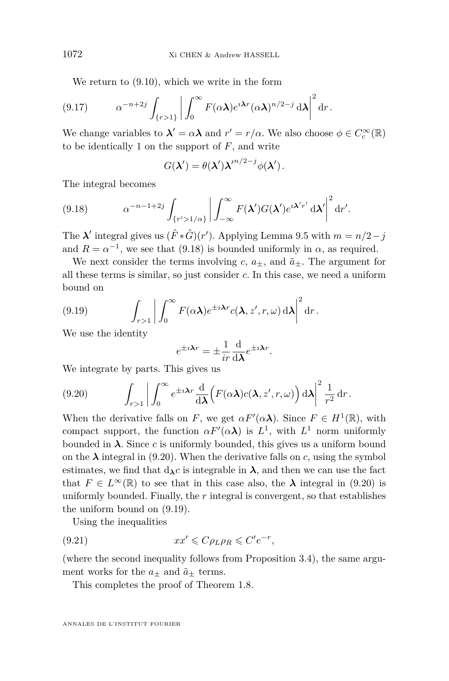We return to [\(9.10\)](#page-60-1), which we write in the form

$$
(9.17) \qquad \alpha^{-n+2j} \int_{\{r>1\}} \left| \int_0^\infty F(\alpha \lambda) e^{i \lambda r} (\alpha \lambda)^{n/2-j} d\lambda \right|^2 dr.
$$

We change variables to  $\lambda' = \alpha \lambda$  and  $r' = r/\alpha$ . We also choose  $\phi \in C_c^{\infty}(\mathbb{R})$ to be identically 1 on the support of *F*, and write

<span id="page-62-0"></span>
$$
G(\lambda') = \theta(\lambda'){\lambda'}^{n/2-j}\phi(\lambda').
$$

The integral becomes

(9.18) 
$$
\alpha^{-n-1+2j} \int_{\{r'>1/\alpha\}} \left| \int_{-\infty}^{\infty} F(\mathbf{\lambda}') G(\mathbf{\lambda}') e^{i\mathbf{\lambda}' r'} d\mathbf{\lambda}' \right|^2 dr'.
$$

The  $\lambda'$  integral gives us  $(\hat{F} * \hat{G})(r')$ . Applying Lemma [9.5](#page-60-2) with  $m = n/2 - j$ and  $R = \alpha^{-1}$ , we see that [\(9.18\)](#page-62-0) is bounded uniformly in  $\alpha$ , as required.

We next consider the terms involving  $c, a_{+}$ , and  $\tilde{a}_{+}$ . The argument for all these terms is similar, so just consider *c*. In this case, we need a uniform bound on

(9.19) 
$$
\int_{r>1} \left| \int_0^\infty F(\alpha \lambda) e^{\pm i \lambda r} c(\lambda, z', r, \omega) d\lambda \right|^2 dr.
$$

We use the identity

<span id="page-62-2"></span>
$$
e^{\pm i\lambda r} = \pm \frac{1}{ir} \frac{\mathrm{d}}{\mathrm{d}\lambda} e^{\pm i\lambda r}.
$$

We integrate by parts. This gives us

<span id="page-62-1"></span>(9.20) 
$$
\int_{r>1} \left| \int_0^\infty e^{\pm i \lambda r} \frac{d}{d\lambda} \Big( F(\alpha \lambda) c(\lambda, z', r, \omega) \Big) d\lambda \right|^2 \frac{1}{r^2} dr.
$$

When the derivative falls on *F*, we get  $\alpha F'(\alpha \lambda)$ . Since  $F \in H^1(\mathbb{R})$ , with compact support, the function  $\alpha F'(\alpha \lambda)$  is  $L^1$ , with  $L^1$  norm uniformly bounded in  $\lambda$ . Since *c* is uniformly bounded, this gives us a uniform bound on the  $\lambda$  integral in [\(9.20\)](#page-62-1). When the derivative falls on *c*, using the symbol estimates, we find that  $d_{\lambda}c$  is integrable in  $\lambda$ , and then we can use the fact that  $F \in L^{\infty}(\mathbb{R})$  to see that in this case also, the  $\lambda$  integral in [\(9.20\)](#page-62-1) is uniformly bounded. Finally, the *r* integral is convergent, so that establishes the uniform bound on [\(9.19\)](#page-62-2).

Using the inequalities

(9.21) 
$$
xx' \leqslant C\rho_L\rho_R \leqslant C'e^{-r},
$$

(where the second inequality follows from Proposition [3.4\)](#page-25-0), the same argument works for the  $a_\pm$  and  $\tilde{a}_\pm$  terms.

This completes the proof of Theorem [1.8.](#page-13-0)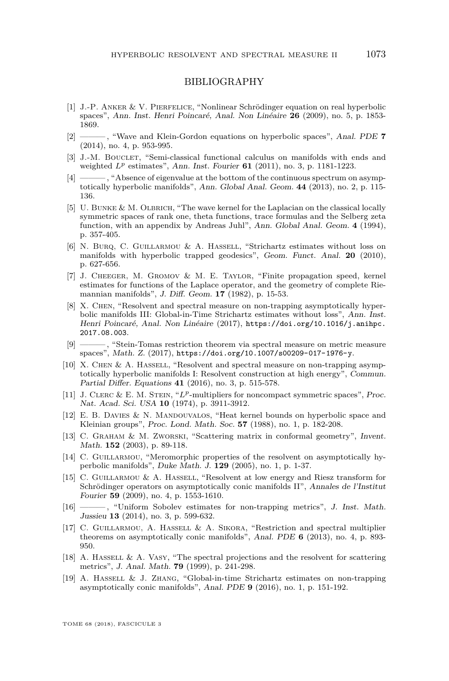## BIBLIOGRAPHY

- <span id="page-63-5"></span>[1] J.-P. Anker & V. Pierfelice, "Nonlinear Schrödinger equation on real hyperbolic spaces", Ann. Inst. Henri Poincaré, Anal. Non Linéaire **26** (2009), no. 5, p. 1853- 1869.
- <span id="page-63-14"></span>[2] ——— , "Wave and Klein-Gordon equations on hyperbolic spaces", Anal. PDE **7** (2014), no. 4, p. 953-995.
- <span id="page-63-16"></span>[3] J.-M. BOUCLET, "Semi-classical functional calculus on manifolds with ends and weighted *L<sup>p</sup>* estimates", Ann. Inst. Fourier **61** (2011), no. 3, p. 1181-1223.
- <span id="page-63-11"></span>[4] ——— , "Absence of eigenvalue at the bottom of the continuous spectrum on asymptotically hyperbolic manifolds", Ann. Global Anal. Geom. **44** (2013), no. 2, p. 115- 136.
- <span id="page-63-6"></span>[5] U. BUNKE & M. OLBRICH, "The wave kernel for the Laplacian on the classical locally symmetric spaces of rank one, theta functions, trace formulas and the Selberg zeta function, with an appendix by Andreas Juhl", Ann. Global Anal. Geom. 4 (1994), p. 357-405.
- <span id="page-63-7"></span>[6] N. Burq, C. Guillarmou & A. Hassell, "Strichartz estimates without loss on manifolds with hyperbolic trapped geodesics", Geom. Funct. Anal. **20** (2010), p. 627-656.
- <span id="page-63-9"></span>[7] J. Cheeger, M. Gromov & M. E. Taylor, "Finite propagation speed, kernel estimates for functions of the Laplace operator, and the geometry of complete Riemannian manifolds", J. Diff. Geom. **17** (1982), p. 15-53.
- <span id="page-63-15"></span>[8] X. Chen, "Resolvent and spectral measure on non-trapping asymptotically hyperbolic manifolds III: Global-in-Time Strichartz estimates without loss", Ann. Inst. Henri Poincaré, Anal. Non Linéaire (2017), [https://doi.org/10.1016/j.anihpc.](https://doi.org/10.1016/j.anihpc.2017.08.003) [2017.08.003](https://doi.org/10.1016/j.anihpc.2017.08.003).
- <span id="page-63-3"></span>[9] ——— , "Stein-Tomas restriction theorem via spectral measure on metric measure spaces", Math. Z. (2017), <https://doi.org/10.1007/s00209-017-1976-y>.
- <span id="page-63-0"></span>[10] X. CHEN & A. HASSELL, "Resolvent and spectral measure on non-trapping asymptotically hyperbolic manifolds I: Resolvent construction at high energy", Commun. Partial Differ. Equations **41** (2016), no. 3, p. 515-578.
- <span id="page-63-2"></span>[11] J. Clerc & E. M. Stein, "*Lp*-multipliers for noncompact symmetric spaces", Proc. Nat. Acad. Sci. USA **10** (1974), p. 3911-3912.
- <span id="page-63-8"></span>[12] E. B. Davies & N. Mandouvalos, "Heat kernel bounds on hyperbolic space and Kleinian groups", Proc. Lond. Math. Soc. **57** (1988), no. 1, p. 182-208.
- <span id="page-63-18"></span>[13] C. GRAHAM & M. ZWORSKI, "Scattering matrix in conformal geometry", Invent. Math. **152** (2003), p. 89-118.
- <span id="page-63-10"></span>[14] C. GUILLARMOU, "Meromorphic properties of the resolvent on asymptotically hyperbolic manifolds", Duke Math. J. **129** (2005), no. 1, p. 1-37.
- <span id="page-63-12"></span>[15] C. Guillarmou & A. Hassell, "Resolvent at low energy and Riesz transform for Schrödinger operators on asymptotically conic manifolds II", Annales de l'Institut Fourier **59** (2009), no. 4, p. 1553-1610.
- <span id="page-63-4"></span>[16] ——— , "Uniform Sobolev estimates for non-trapping metrics", J. Inst. Math. Jussieu **13** (2014), no. 3, p. 599-632.
- <span id="page-63-1"></span>[17] C. Guillarmou, A. Hassell & A. Sikora, "Restriction and spectral multiplier theorems on asymptotically conic manifolds", Anal. PDE **6** (2013), no. 4, p. 893- 950.
- <span id="page-63-17"></span>[18] A. Hassell & A. Vasy, "The spectral projections and the resolvent for scattering metrics", J. Anal. Math. **79** (1999), p. 241-298.
- <span id="page-63-13"></span>[19] A. Hassell & J. Zhang, "Global-in-time Strichartz estimates on non-trapping asymptotically conic manifolds", Anal. PDE **9** (2016), no. 1, p. 151-192.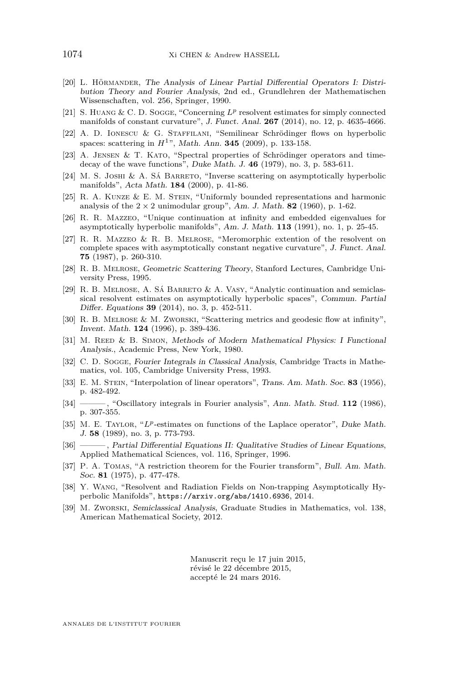- <span id="page-64-18"></span>[20] L. Hörmander, The Analysis of Linear Partial Differential Operators I: Distribution Theory and Fourier Analysis, 2nd ed., Grundlehren der Mathematischen Wissenschaften, vol. 256, Springer, 1990.
- <span id="page-64-9"></span>[21] S. Huang & C. D. Sogge, "Concerning *L<sup>p</sup>* resolvent estimates for simply connected manifolds of constant curvature", J. Funct. Anal. **267** (2014), no. 12, p. 4635-4666.
- <span id="page-64-12"></span>[22] A. D. Ionescu & G. Staffilani, "Semilinear Schrödinger flows on hyperbolic spaces: scattering in *H*1", Math. Ann. **345** (2009), p. 133-158.
- <span id="page-64-10"></span>[23] A. Jensen & T. Kato, "Spectral properties of Schrödinger operators and timedecay of the wave functions", Duke Math. J. **46** (1979), no. 3, p. 583-611.
- <span id="page-64-17"></span>[24] M. S. Joshi & A. Sá Barreto, "Inverse scattering on asymptotically hyperbolic manifolds", Acta Math. **184** (2000), p. 41-86.
- <span id="page-64-11"></span>[25] R. A. KUNZE & E. M. STEIN, "Uniformly bounded representations and harmonic analysis of the  $2 \times 2$  unimodular group", Am. J. Math. **82** (1960), p. 1-62.
- <span id="page-64-0"></span>[26] R. R. Mazzeo, "Unique continuation at infinity and embedded eigenvalues for asymptotically hyperbolic manifolds", Am. J. Math. **113** (1991), no. 1, p. 25-45.
- <span id="page-64-1"></span>[27] R. R. Mazzeo & R. B. Melrose, "Meromorphic extention of the resolvent on complete spaces with asymptotically constant negative curvature", J. Funct. Anal. **75** (1987), p. 260-310.
- <span id="page-64-15"></span>[28] R. B. Melrose, Geometric Scattering Theory, Stanford Lectures, Cambridge University Press, 1995.
- <span id="page-64-2"></span>[29] R. B. Melrose, A. Sá Barreto & A. Vasy, "Analytic continuation and semiclassical resolvent estimates on asymptotically hyperbolic spaces", Commun. Partial Differ. Equations **39** (2014), no. 3, p. 452-511.
- <span id="page-64-16"></span>[30] R. B. MELROSE & M. ZWORSKI, "Scattering metrics and geodesic flow at infinity", Invent. Math. **124** (1996), p. 389-436.
- <span id="page-64-5"></span>[31] M. REED & B. SIMON, Methods of Modern Mathematical Physics: I Functional Analysis., Academic Press, New York, 1980.
- <span id="page-64-8"></span>[32] C. D. Sogge, Fourier Integrals in Classical Analysis, Cambridge Tracts in Mathematics, vol. 105, Cambridge University Press, 1993.
- <span id="page-64-19"></span>[33] E. M. Stein, "Interpolation of linear operators", Trans. Am. Math. Soc. **83** (1956), p. 482-492.
- <span id="page-64-6"></span>[34] ——— , "Oscillatory integrals in Fourier analysis", Ann. Math. Stud. **112** (1986), p. 307-355.
- <span id="page-64-4"></span>[35] M. E. Taylor, "*Lp*-estimates on functions of the Laplace operator", Duke Math. J. **58** (1989), no. 3, p. 773-793.
- <span id="page-64-13"></span>[36] ——— , Partial Differential Equations II: Qualitative Studies of Linear Equations, Applied Mathematical Sciences, vol. 116, Springer, 1996.
- <span id="page-64-7"></span>[37] P. A. Tomas, "A restriction theorem for the Fourier transform", Bull. Am. Math. Soc. **81** (1975), p. 477-478.
- <span id="page-64-3"></span>[38] Y. Wang, "Resolvent and Radiation Fields on Non-trapping Asymptotically Hyperbolic Manifolds", <https://arxiv.org/abs/1410.6936>, 2014.
- <span id="page-64-14"></span>[39] M. Zworski, Semiclassical Analysis, Graduate Studies in Mathematics, vol. 138, American Mathematical Society, 2012.

Manuscrit reçu le 17 juin 2015, révisé le 22 décembre 2015, accepté le 24 mars 2016.